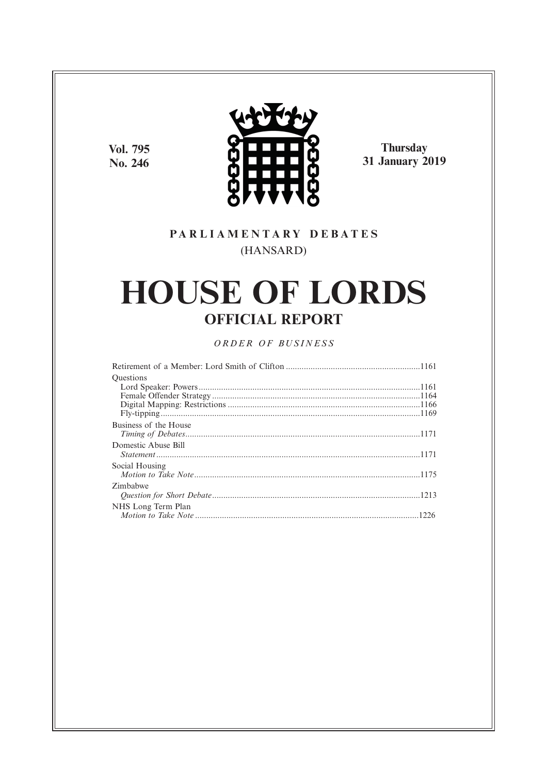Vol. 795 No. 246



Thursday<br>31 January 2019

# PARLIAMENTARY DEBATES (HANSARD)

# **HOUSE OF LORDS OFFICIAL REPORT**

# ORDER OF BUSINESS

| <b>Ouestions</b>      |  |
|-----------------------|--|
|                       |  |
|                       |  |
|                       |  |
|                       |  |
| Business of the House |  |
|                       |  |
| Domestic Abuse Bill   |  |
|                       |  |
| Social Housing        |  |
|                       |  |
| Zimbabwe              |  |
|                       |  |
| NHS Long Term Plan    |  |
|                       |  |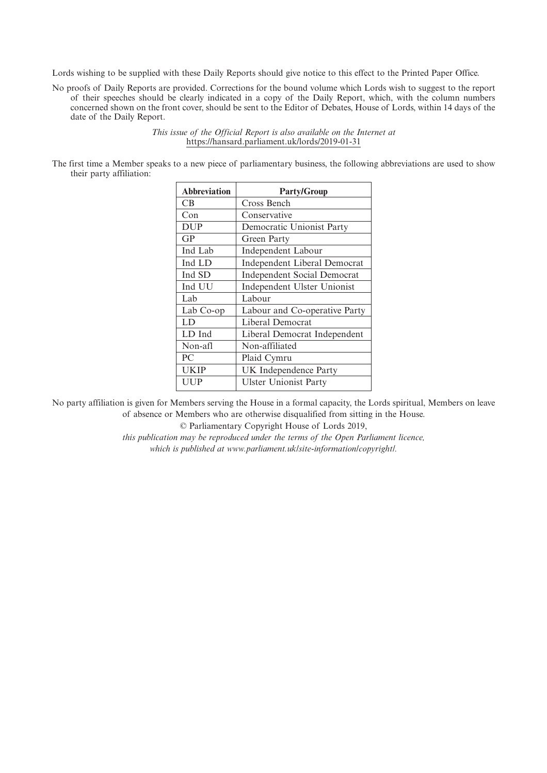Lords wishing to be supplied with these Daily Reports should give notice to this effect to the Printed Paper Office.

No proofs of Daily Reports are provided. Corrections for the bound volume which Lords wish to suggest to the report of their speeches should be clearly indicated in a copy of the Daily Report, which, with the column numbers concerned shown on the front cover, should be sent to the Editor of Debates, House of Lords, within 14 days of the date of the Daily Report.

> *This issue of the Official Report is also available on the Internet at* https://hansard.parliament.uk/lords/2019-01-31

The first time a Member speaks to a new piece of parliamentary business, the following abbreviations are used to show their party affiliation:

| <b>Abbreviation</b> | <b>Party/Group</b>                 |
|---------------------|------------------------------------|
| CВ                  | Cross Bench                        |
| Con                 | Conservative                       |
| <b>DUP</b>          | Democratic Unionist Party          |
| GP                  | Green Party                        |
| Ind Lab             | Independent Labour                 |
| Ind LD              | Independent Liberal Democrat       |
| Ind SD              | <b>Independent Social Democrat</b> |
| Ind UU              | Independent Ulster Unionist        |
| Lab                 | Labour                             |
| Lab Co-op           | Labour and Co-operative Party      |
| LD                  | Liberal Democrat                   |
| LD Ind              | Liberal Democrat Independent       |
| Non-afl             | Non-affiliated                     |
| PC                  | Plaid Cymru                        |
| UKIP                | UK Independence Party              |
| UUP                 | <b>Ulster Unionist Party</b>       |

No party affiliation is given for Members serving the House in a formal capacity, the Lords spiritual, Members on leave of absence or Members who are otherwise disqualified from sitting in the House.

© Parliamentary Copyright House of Lords 2019,

*this publication may be reproduced under the terms of the Open Parliament licence, which is published at www.parliament.uk/site-information/copyright/.*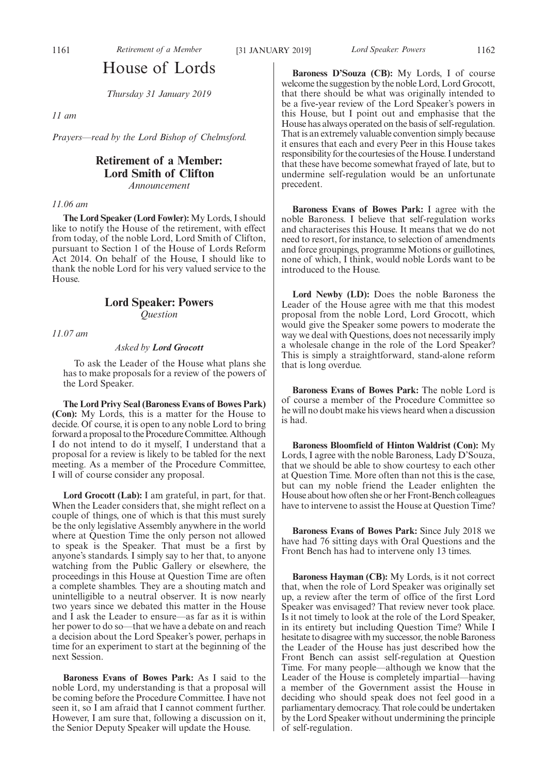# House of Lords

*Thursday 31 January 2019*

# *11 am*

*Prayers—read by the Lord Bishop of Chelmsford.*

# **Retirement of a Member: Lord Smith of Clifton** *Announcement*

# *11.06 am*

**The Lord Speaker (Lord Fowler):** My Lords, I should like to notify the House of the retirement, with effect from today, of the noble Lord, Lord Smith of Clifton, pursuant to Section 1 of the House of Lords Reform Act 2014. On behalf of the House, I should like to thank the noble Lord for his very valued service to the House.

# **Lord Speaker: Powers** *Question*

*11.07 am*

# *Asked by Lord Grocott*

To ask the Leader of the House what plans she has to make proposals for a review of the powers of the Lord Speaker.

**The Lord Privy Seal (Baroness Evans of Bowes Park) (Con):** My Lords, this is a matter for the House to decide. Of course, it is open to any noble Lord to bring forward a proposal to the Procedure Committee. Although I do not intend to do it myself, I understand that a proposal for a review is likely to be tabled for the next meeting. As a member of the Procedure Committee, I will of course consider any proposal.

**Lord Grocott (Lab):** I am grateful, in part, for that. When the Leader considers that, she might reflect on a couple of things, one of which is that this must surely be the only legislative Assembly anywhere in the world where at Question Time the only person not allowed to speak is the Speaker. That must be a first by anyone's standards. I simply say to her that, to anyone watching from the Public Gallery or elsewhere, the proceedings in this House at Question Time are often a complete shambles. They are a shouting match and unintelligible to a neutral observer. It is now nearly two years since we debated this matter in the House and I ask the Leader to ensure—as far as it is within her power to do so—that we have a debate on and reach a decision about the Lord Speaker's power, perhaps in time for an experiment to start at the beginning of the next Session.

**Baroness Evans of Bowes Park:** As I said to the noble Lord, my understanding is that a proposal will be coming before the Procedure Committee. I have not seen it, so I am afraid that I cannot comment further. However, I am sure that, following a discussion on it, the Senior Deputy Speaker will update the House.

**Baroness D'Souza (CB):** My Lords, I of course welcome the suggestion by the noble Lord, Lord Grocott, that there should be what was originally intended to be a five-year review of the Lord Speaker's powers in this House, but I point out and emphasise that the House has always operated on the basis of self-regulation. That is an extremely valuable convention simply because it ensures that each and every Peer in this House takes responsibility for the courtesies of the House. I understand that these have become somewhat frayed of late, but to undermine self-regulation would be an unfortunate precedent.

**Baroness Evans of Bowes Park:** I agree with the noble Baroness. I believe that self-regulation works and characterises this House. It means that we do not need to resort, for instance, to selection of amendments and force groupings, programme Motions or guillotines, none of which, I think, would noble Lords want to be introduced to the House.

**Lord Newby (LD):** Does the noble Baroness the Leader of the House agree with me that this modest proposal from the noble Lord, Lord Grocott, which would give the Speaker some powers to moderate the way we deal with Questions, does not necessarily imply a wholesale change in the role of the Lord Speaker? This is simply a straightforward, stand-alone reform that is long overdue.

**Baroness Evans of Bowes Park:** The noble Lord is of course a member of the Procedure Committee so he will no doubt make his views heard when a discussion is had.

**Baroness Bloomfield of Hinton Waldrist (Con):** My Lords, I agree with the noble Baroness, Lady D'Souza, that we should be able to show courtesy to each other at Question Time. More often than not this is the case, but can my noble friend the Leader enlighten the House about how often she or her Front-Bench colleagues have to intervene to assist the House at Question Time?

**Baroness Evans of Bowes Park:** Since July 2018 we have had 76 sitting days with Oral Questions and the Front Bench has had to intervene only 13 times.

**Baroness Hayman (CB):** My Lords, is it not correct that, when the role of Lord Speaker was originally set up, a review after the term of office of the first Lord Speaker was envisaged? That review never took place. Is it not timely to look at the role of the Lord Speaker, in its entirety but including Question Time? While I hesitate to disagree with my successor, the noble Baroness the Leader of the House has just described how the Front Bench can assist self-regulation at Question Time. For many people—although we know that the Leader of the House is completely impartial—having a member of the Government assist the House in deciding who should speak does not feel good in a parliamentary democracy. That role could be undertaken by the Lord Speaker without undermining the principle of self-regulation.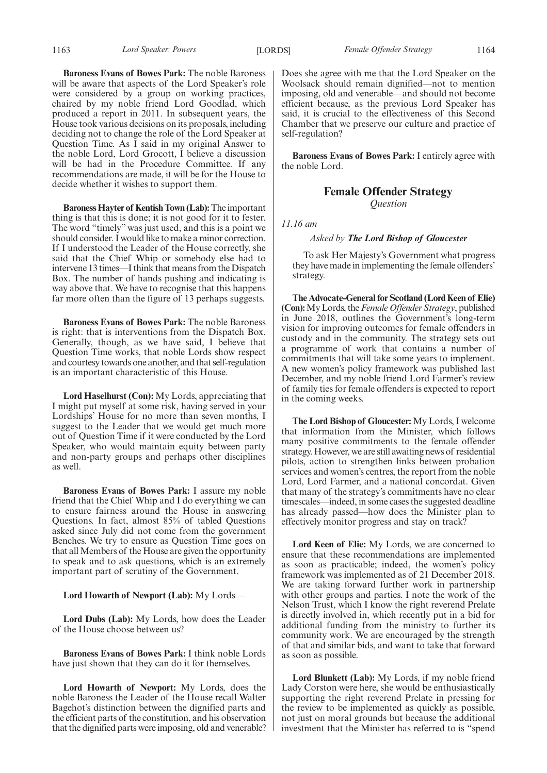Does she agree with me that the Lord Speaker on the Woolsack should remain dignified—not to mention imposing, old and venerable—and should not become efficient because, as the previous Lord Speaker has said, it is crucial to the effectiveness of this Second Chamber that we preserve our culture and practice of self-regulation?

> **Baroness Evans of Bowes Park:** I entirely agree with the noble Lord.

> > **Female Offender Strategy** *Question*

*11.16 am*

# *Asked by The Lord Bishop of Gloucester*

To ask Her Majesty's Government what progress they have made in implementing the female offenders' strategy.

**The Advocate-General for Scotland (Lord Keen of Elie) (Con):**My Lords, the*Female Offender Strategy*, published in June 2018, outlines the Government's long-term vision for improving outcomes for female offenders in custody and in the community. The strategy sets out a programme of work that contains a number of commitments that will take some years to implement. A new women's policy framework was published last December, and my noble friend Lord Farmer's review of family ties for female offenders is expected to report in the coming weeks.

**The Lord Bishop of Gloucester:** My Lords, I welcome that information from the Minister, which follows many positive commitments to the female offender strategy. However, we are still awaiting news of residential pilots, action to strengthen links between probation services and women's centres, the report from the noble Lord, Lord Farmer, and a national concordat. Given that many of the strategy's commitments have no clear timescales—indeed, in some cases the suggested deadline has already passed—how does the Minister plan to effectively monitor progress and stay on track?

**Lord Keen of Elie:** My Lords, we are concerned to ensure that these recommendations are implemented as soon as practicable; indeed, the women's policy framework was implemented as of 21 December 2018. We are taking forward further work in partnership with other groups and parties. I note the work of the Nelson Trust, which I know the right reverend Prelate is directly involved in, which recently put in a bid for additional funding from the ministry to further its community work. We are encouraged by the strength of that and similar bids, and want to take that forward as soon as possible.

**Lord Blunkett (Lab):** My Lords, if my noble friend Lady Corston were here, she would be enthusiastically supporting the right reverend Prelate in pressing for the review to be implemented as quickly as possible, not just on moral grounds but because the additional investment that the Minister has referred to is "spend

**Baroness Evans of Bowes Park:** The noble Baroness will be aware that aspects of the Lord Speaker's role were considered by a group on working practices, chaired by my noble friend Lord Goodlad, which produced a report in 2011. In subsequent years, the House took various decisions on its proposals, including deciding not to change the role of the Lord Speaker at Question Time. As I said in my original Answer to the noble Lord, Lord Grocott, I believe a discussion will be had in the Procedure Committee. If any recommendations are made, it will be for the House to decide whether it wishes to support them.

**Baroness Hayter of Kentish Town (Lab):**The important thing is that this is done; it is not good for it to fester. The word "timely" was just used, and this is a point we should consider. I would like to make a minor correction. If I understood the Leader of the House correctly, she said that the Chief Whip or somebody else had to intervene 13 times—I think that means from the Dispatch Box. The number of hands pushing and indicating is way above that. We have to recognise that this happens far more often than the figure of 13 perhaps suggests.

**Baroness Evans of Bowes Park:** The noble Baroness is right: that is interventions from the Dispatch Box. Generally, though, as we have said, I believe that Question Time works, that noble Lords show respect and courtesy towards one another, and that self-regulation is an important characteristic of this House.

**Lord Haselhurst (Con):** My Lords, appreciating that I might put myself at some risk, having served in your Lordships' House for no more than seven months, I suggest to the Leader that we would get much more out of Question Time if it were conducted by the Lord Speaker, who would maintain equity between party and non-party groups and perhaps other disciplines as well.

**Baroness Evans of Bowes Park:** I assure my noble friend that the Chief Whip and I do everything we can to ensure fairness around the House in answering Questions. In fact, almost 85% of tabled Questions asked since July did not come from the government Benches. We try to ensure as Question Time goes on that all Members of the House are given the opportunity to speak and to ask questions, which is an extremely important part of scrutiny of the Government.

# **Lord Howarth of Newport (Lab):** My Lords—

**Lord Dubs (Lab):** My Lords, how does the Leader of the House choose between us?

**Baroness Evans of Bowes Park:** I think noble Lords have just shown that they can do it for themselves.

**Lord Howarth of Newport:** My Lords, does the noble Baroness the Leader of the House recall Walter Bagehot's distinction between the dignified parts and the efficient parts of the constitution, and his observation that the dignified parts were imposing, old and venerable?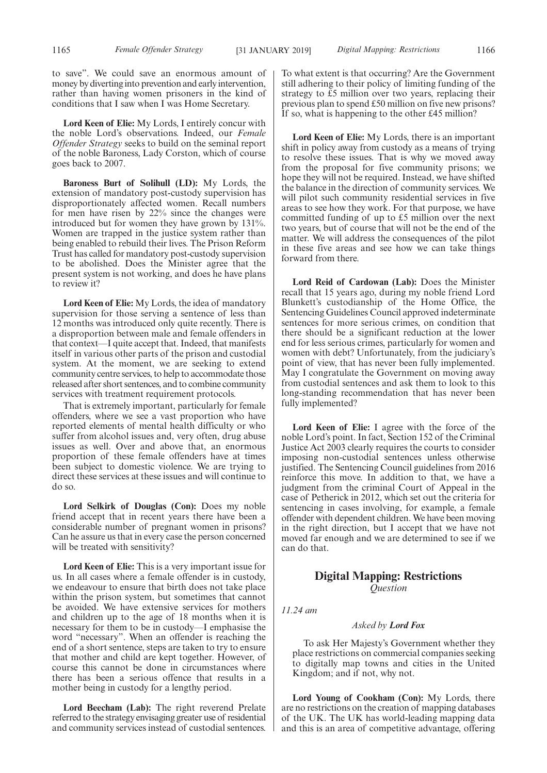to save". We could save an enormous amount of money by diverting into prevention and early intervention, rather than having women prisoners in the kind of conditions that I saw when I was Home Secretary.

**Lord Keen of Elie:** My Lords, I entirely concur with the noble Lord's observations. Indeed, our *Female Offender Strategy* seeks to build on the seminal report of the noble Baroness, Lady Corston, which of course goes back to 2007.

**Baroness Burt of Solihull (LD):** My Lords, the extension of mandatory post-custody supervision has disproportionately affected women. Recall numbers for men have risen by 22% since the changes were introduced but for women they have grown by 131%. Women are trapped in the justice system rather than being enabled to rebuild their lives. The Prison Reform Trust has called for mandatory post-custody supervision to be abolished. Does the Minister agree that the present system is not working, and does he have plans to review it?

**Lord Keen of Elie:** My Lords, the idea of mandatory supervision for those serving a sentence of less than 12 months was introduced only quite recently. There is a disproportion between male and female offenders in that context—I quite accept that. Indeed, that manifests itself in various other parts of the prison and custodial system. At the moment, we are seeking to extend community centre services, to help to accommodate those released after short sentences, and to combine community services with treatment requirement protocols.

That is extremely important, particularly for female offenders, where we see a vast proportion who have reported elements of mental health difficulty or who suffer from alcohol issues and, very often, drug abuse issues as well. Over and above that, an enormous proportion of these female offenders have at times been subject to domestic violence. We are trying to direct these services at these issues and will continue to do so.

**Lord Selkirk of Douglas (Con):** Does my noble friend accept that in recent years there have been a considerable number of pregnant women in prisons? Can he assure us that in every case the person concerned will be treated with sensitivity?

**Lord Keen of Elie:** This is a very important issue for us. In all cases where a female offender is in custody, we endeavour to ensure that birth does not take place within the prison system, but sometimes that cannot be avoided. We have extensive services for mothers and children up to the age of 18 months when it is necessary for them to be in custody—I emphasise the word "necessary". When an offender is reaching the end of a short sentence, steps are taken to try to ensure that mother and child are kept together. However, of course this cannot be done in circumstances where there has been a serious offence that results in a mother being in custody for a lengthy period.

**Lord Beecham (Lab):** The right reverend Prelate referred to the strategy envisaging greater use of residential and community services instead of custodial sentences. To what extent is that occurring? Are the Government still adhering to their policy of limiting funding of the strategy to £5 million over two years, replacing their previous plan to spend £50 million on five new prisons? If so, what is happening to the other £45 million?

**Lord Keen of Elie:** My Lords, there is an important shift in policy away from custody as a means of trying to resolve these issues. That is why we moved away from the proposal for five community prisons; we hope they will not be required. Instead, we have shifted the balance in the direction of community services. We will pilot such community residential services in five areas to see how they work. For that purpose, we have committed funding of up to £5 million over the next two years, but of course that will not be the end of the matter. We will address the consequences of the pilot in these five areas and see how we can take things forward from there.

**Lord Reid of Cardowan (Lab):** Does the Minister recall that 15 years ago, during my noble friend Lord Blunkett's custodianship of the Home Office, the Sentencing Guidelines Council approved indeterminate sentences for more serious crimes, on condition that there should be a significant reduction at the lower end for less serious crimes, particularly for women and women with debt? Unfortunately, from the judiciary's point of view, that has never been fully implemented. May I congratulate the Government on moving away from custodial sentences and ask them to look to this long-standing recommendation that has never been fully implemented?

**Lord Keen of Elie:** I agree with the force of the noble Lord's point. In fact, Section 152 of the Criminal Justice Act 2003 clearly requires the courts to consider imposing non-custodial sentences unless otherwise justified. The Sentencing Council guidelines from 2016 reinforce this move. In addition to that, we have a judgment from the criminal Court of Appeal in the case of Petherick in 2012, which set out the criteria for sentencing in cases involving, for example, a female offender with dependent children. We have been moving in the right direction, but I accept that we have not moved far enough and we are determined to see if we can do that.

# **Digital Mapping: Restrictions** *Question*

*11.24 am*

# *Asked by Lord Fox*

To ask Her Majesty's Government whether they place restrictions on commercial companies seeking to digitally map towns and cities in the United Kingdom; and if not, why not.

**Lord Young of Cookham (Con):** My Lords, there are no restrictions on the creation of mapping databases of the UK. The UK has world-leading mapping data and this is an area of competitive advantage, offering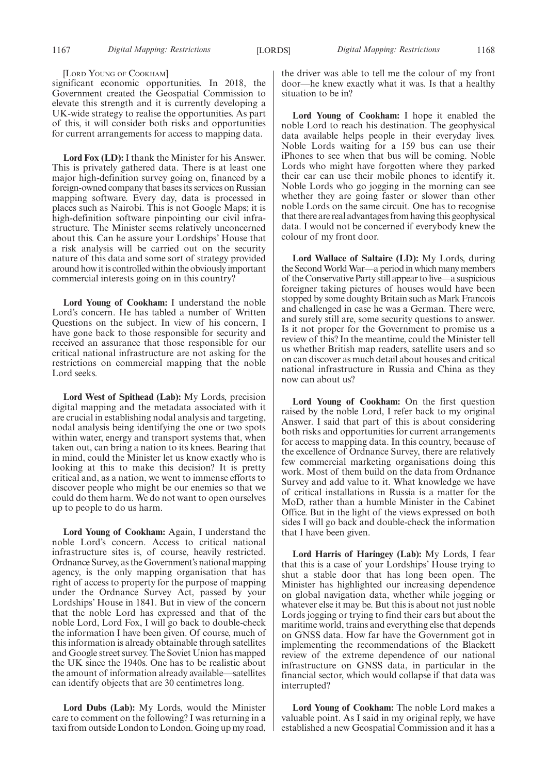#### [LORD YOUNG OF COOKHAM]

significant economic opportunities. In 2018, the Government created the Geospatial Commission to elevate this strength and it is currently developing a UK-wide strategy to realise the opportunities. As part of this, it will consider both risks and opportunities for current arrangements for access to mapping data.

**Lord Fox (LD):** I thank the Minister for his Answer. This is privately gathered data. There is at least one major high-definition survey going on, financed by a foreign-owned company that bases its services on Russian mapping software. Every day, data is processed in places such as Nairobi. This is not Google Maps; it is high-definition software pinpointing our civil infrastructure. The Minister seems relatively unconcerned about this. Can he assure your Lordships' House that a risk analysis will be carried out on the security nature of this data and some sort of strategy provided around how it is controlled within the obviously important commercial interests going on in this country?

**Lord Young of Cookham:** I understand the noble Lord's concern. He has tabled a number of Written Questions on the subject. In view of his concern, I have gone back to those responsible for security and received an assurance that those responsible for our critical national infrastructure are not asking for the restrictions on commercial mapping that the noble Lord seeks.

**Lord West of Spithead (Lab):** My Lords, precision digital mapping and the metadata associated with it are crucial in establishing nodal analysis and targeting, nodal analysis being identifying the one or two spots within water, energy and transport systems that, when taken out, can bring a nation to its knees. Bearing that in mind, could the Minister let us know exactly who is looking at this to make this decision? It is pretty critical and, as a nation, we went to immense efforts to discover people who might be our enemies so that we could do them harm. We do not want to open ourselves up to people to do us harm.

**Lord Young of Cookham:** Again, I understand the noble Lord's concern. Access to critical national infrastructure sites is, of course, heavily restricted. Ordnance Survey, as the Government's national mapping agency, is the only mapping organisation that has right of access to property for the purpose of mapping under the Ordnance Survey Act, passed by your Lordships' House in 1841. But in view of the concern that the noble Lord has expressed and that of the noble Lord, Lord Fox, I will go back to double-check the information I have been given. Of course, much of this information is already obtainable through satellites and Google street survey. The Soviet Union has mapped the UK since the 1940s. One has to be realistic about the amount of information already available—satellites can identify objects that are 30 centimetres long.

**Lord Dubs (Lab):** My Lords, would the Minister care to comment on the following? I was returning in a taxi from outside London to London. Going up my road, the driver was able to tell me the colour of my front door—he knew exactly what it was. Is that a healthy situation to be in?

**Lord Young of Cookham:** I hope it enabled the noble Lord to reach his destination. The geophysical data available helps people in their everyday lives. Noble Lords waiting for a 159 bus can use their iPhones to see when that bus will be coming. Noble Lords who might have forgotten where they parked their car can use their mobile phones to identify it. Noble Lords who go jogging in the morning can see whether they are going faster or slower than other noble Lords on the same circuit. One has to recognise that there are real advantages from having this geophysical data. I would not be concerned if everybody knew the colour of my front door.

**Lord Wallace of Saltaire (LD):** My Lords, during the Second World War—a period in which many members of the Conservative Party still appear to live—a suspicious foreigner taking pictures of houses would have been stopped by some doughty Britain such as Mark Francois and challenged in case he was a German. There were, and surely still are, some security questions to answer. Is it not proper for the Government to promise us a review of this? In the meantime, could the Minister tell us whether British map readers, satellite users and so on can discover as much detail about houses and critical national infrastructure in Russia and China as they now can about us?

**Lord Young of Cookham:** On the first question raised by the noble Lord, I refer back to my original Answer. I said that part of this is about considering both risks and opportunities for current arrangements for access to mapping data. In this country, because of the excellence of Ordnance Survey, there are relatively few commercial marketing organisations doing this work. Most of them build on the data from Ordnance Survey and add value to it. What knowledge we have of critical installations in Russia is a matter for the MoD, rather than a humble Minister in the Cabinet Office. But in the light of the views expressed on both sides I will go back and double-check the information that I have been given.

**Lord Harris of Haringey (Lab):** My Lords, I fear that this is a case of your Lordships' House trying to shut a stable door that has long been open. The Minister has highlighted our increasing dependence on global navigation data, whether while jogging or whatever else it may be. But this is about not just noble Lords jogging or trying to find their cars but about the maritime world, trains and everything else that depends on GNSS data. How far have the Government got in implementing the recommendations of the Blackett review of the extreme dependence of our national infrastructure on GNSS data, in particular in the financial sector, which would collapse if that data was interrupted?

**Lord Young of Cookham:** The noble Lord makes a valuable point. As I said in my original reply, we have established a new Geospatial Commission and it has a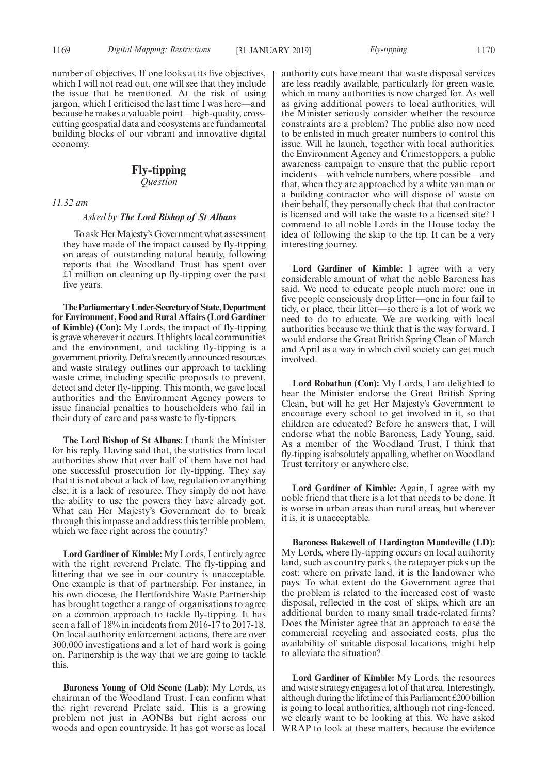number of objectives. If one looks at its five objectives, which I will not read out, one will see that they include the issue that he mentioned. At the risk of using jargon, which I criticised the last time I was here—and because he makes a valuable point—high-quality, crosscutting geospatial data and ecosystems are fundamental building blocks of our vibrant and innovative digital economy.

# **Fly-tipping**

*Question*

# *11.32 am*

# *Asked by The Lord Bishop of St Albans*

To ask Her Majesty's Government what assessment they have made of the impact caused by fly-tipping on areas of outstanding natural beauty, following reports that the Woodland Trust has spent over £1 million on cleaning up fly-tipping over the past five years.

**TheParliamentaryUnder-Secretaryof State,Department for Environment, Food and Rural Affairs (Lord Gardiner of Kimble) (Con):** My Lords, the impact of fly-tipping is grave wherever it occurs. It blights local communities and the environment, and tackling fly-tipping is a government priority. Defra's recently announced resources and waste strategy outlines our approach to tackling waste crime, including specific proposals to prevent, detect and deter fly-tipping. This month, we gave local authorities and the Environment Agency powers to issue financial penalties to householders who fail in their duty of care and pass waste to fly-tippers.

**The Lord Bishop of St Albans:** I thank the Minister for his reply. Having said that, the statistics from local authorities show that over half of them have not had one successful prosecution for fly-tipping. They say that it is not about a lack of law, regulation or anything else; it is a lack of resource. They simply do not have the ability to use the powers they have already got. What can Her Majesty's Government do to break through this impasse and address this terrible problem, which we face right across the country?

**Lord Gardiner of Kimble:** My Lords, I entirely agree with the right reverend Prelate. The fly-tipping and littering that we see in our country is unacceptable. One example is that of partnership. For instance, in his own diocese, the Hertfordshire Waste Partnership has brought together a range of organisations to agree on a common approach to tackle fly-tipping. It has seen a fall of 18% in incidents from 2016-17 to 2017-18. On local authority enforcement actions, there are over 300,000 investigations and a lot of hard work is going on. Partnership is the way that we are going to tackle this.

**Baroness Young of Old Scone (Lab):** My Lords, as chairman of the Woodland Trust, I can confirm what the right reverend Prelate said. This is a growing problem not just in AONBs but right across our woods and open countryside. It has got worse as local authority cuts have meant that waste disposal services are less readily available, particularly for green waste, which in many authorities is now charged for. As well as giving additional powers to local authorities, will the Minister seriously consider whether the resource constraints are a problem? The public also now need to be enlisted in much greater numbers to control this issue. Will he launch, together with local authorities, the Environment Agency and Crimestoppers, a public awareness campaign to ensure that the public report incidents—with vehicle numbers, where possible—and that, when they are approached by a white van man or a building contractor who will dispose of waste on their behalf, they personally check that that contractor is licensed and will take the waste to a licensed site? I commend to all noble Lords in the House today the idea of following the skip to the tip. It can be a very interesting journey.

**Lord Gardiner of Kimble:** I agree with a very considerable amount of what the noble Baroness has said. We need to educate people much more: one in five people consciously drop litter—one in four fail to tidy, or place, their litter—so there is a lot of work we need to do to educate. We are working with local authorities because we think that is the way forward. I would endorse the Great British Spring Clean of March and April as a way in which civil society can get much involved.

**Lord Robathan (Con):** My Lords, I am delighted to hear the Minister endorse the Great British Spring Clean, but will he get Her Majesty's Government to encourage every school to get involved in it, so that children are educated? Before he answers that, I will endorse what the noble Baroness, Lady Young, said. As a member of the Woodland Trust, I think that fly-tipping is absolutely appalling, whether on Woodland Trust territory or anywhere else.

**Lord Gardiner of Kimble:** Again, I agree with my noble friend that there is a lot that needs to be done. It is worse in urban areas than rural areas, but wherever it is, it is unacceptable.

**Baroness Bakewell of Hardington Mandeville (LD):** My Lords, where fly-tipping occurs on local authority land, such as country parks, the ratepayer picks up the cost; where on private land, it is the landowner who pays. To what extent do the Government agree that the problem is related to the increased cost of waste disposal, reflected in the cost of skips, which are an additional burden to many small trade-related firms? Does the Minister agree that an approach to ease the commercial recycling and associated costs, plus the availability of suitable disposal locations, might help to alleviate the situation?

**Lord Gardiner of Kimble:** My Lords, the resources and waste strategy engages a lot of that area. Interestingly, although during the lifetime of this Parliament £200 billion is going to local authorities, although not ring-fenced, we clearly want to be looking at this. We have asked WRAP to look at these matters, because the evidence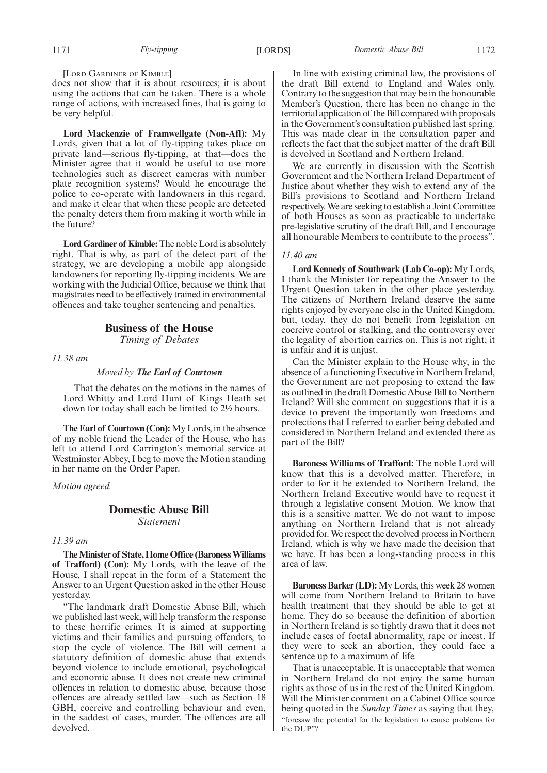[LORD GARDINER OF KIMBLE]

does not show that it is about resources; it is about using the actions that can be taken. There is a whole range of actions, with increased fines, that is going to be very helpful.

**Lord Mackenzie of Framwellgate (Non-Afl):** My Lords, given that a lot of fly-tipping takes place on private land—serious fly-tipping, at that—does the Minister agree that it would be useful to use more technologies such as discreet cameras with number plate recognition systems? Would he encourage the police to co-operate with landowners in this regard, and make it clear that when these people are detected the penalty deters them from making it worth while in the future?

**Lord Gardiner of Kimble:**The noble Lord is absolutely right. That is why, as part of the detect part of the strategy, we are developing a mobile app alongside landowners for reporting fly-tipping incidents. We are working with the Judicial Office, because we think that magistrates need to be effectively trained in environmental offences and take tougher sentencing and penalties.

# **Business of the House**

*Timing of Debates*

*11.38 am*

# *Moved by The Earl of Courtown*

That the debates on the motions in the names of Lord Whitty and Lord Hunt of Kings Heath set down for today shall each be limited to 2½ hours.

**The Earl of Courtown (Con):**My Lords, in the absence of my noble friend the Leader of the House, who has left to attend Lord Carrington's memorial service at Westminster Abbey, I beg to move the Motion standing in her name on the Order Paper.

*Motion agreed.*

# **Domestic Abuse Bill** *Statement*

# *11.39 am*

**The Minister of State, Home Office (Baroness Williams of Trafford) (Con):** My Lords, with the leave of the House, I shall repeat in the form of a Statement the Answer to an Urgent Question asked in the other House yesterday.

"The landmark draft Domestic Abuse Bill, which we published last week, will help transform the response to these horrific crimes. It is aimed at supporting victims and their families and pursuing offenders, to stop the cycle of violence. The Bill will cement a statutory definition of domestic abuse that extends beyond violence to include emotional, psychological and economic abuse. It does not create new criminal offences in relation to domestic abuse, because those offences are already settled law—such as Section 18 GBH, coercive and controlling behaviour and even, in the saddest of cases, murder. The offences are all devolved.

In line with existing criminal law, the provisions of the draft Bill extend to England and Wales only. Contrary to the suggestion that may be in the honourable Member's Question, there has been no change in the territorial application of the Bill compared with proposals in the Government's consultation published last spring. This was made clear in the consultation paper and reflects the fact that the subject matter of the draft Bill is devolved in Scotland and Northern Ireland.

We are currently in discussion with the Scottish Government and the Northern Ireland Department of Justice about whether they wish to extend any of the Bill's provisions to Scotland and Northern Ireland respectively. We are seeking to establish a Joint Committee of both Houses as soon as practicable to undertake pre-legislative scrutiny of the draft Bill, and I encourage all honourable Members to contribute to the process".

# *11.40 am*

**Lord Kennedy of Southwark (Lab Co-op):** My Lords, I thank the Minister for repeating the Answer to the Urgent Question taken in the other place yesterday. The citizens of Northern Ireland deserve the same rights enjoyed by everyone else in the United Kingdom, but, today, they do not benefit from legislation on coercive control or stalking, and the controversy over the legality of abortion carries on. This is not right; it is unfair and it is unjust.

Can the Minister explain to the House why, in the absence of a functioning Executive in Northern Ireland, the Government are not proposing to extend the law as outlined in the draft Domestic Abuse Bill to Northern Ireland? Will she comment on suggestions that it is a device to prevent the importantly won freedoms and protections that I referred to earlier being debated and considered in Northern Ireland and extended there as part of the Bill?

**Baroness Williams of Trafford:** The noble Lord will know that this is a devolved matter. Therefore, in order to for it be extended to Northern Ireland, the Northern Ireland Executive would have to request it through a legislative consent Motion. We know that this is a sensitive matter. We do not want to impose anything on Northern Ireland that is not already provided for. We respect the devolved process in Northern Ireland, which is why we have made the decision that we have. It has been a long-standing process in this area of law.

**Baroness Barker (LD):**My Lords, this week 28 women will come from Northern Ireland to Britain to have health treatment that they should be able to get at home. They do so because the definition of abortion in Northern Ireland is so tightly drawn that it does not include cases of foetal abnormality, rape or incest. If they were to seek an abortion, they could face a sentence up to a maximum of life.

That is unacceptable. It is unacceptable that women in Northern Ireland do not enjoy the same human rights as those of us in the rest of the United Kingdom. Will the Minister comment on a Cabinet Office source being quoted in the *Sunday Times* as saying that they, "foresaw the potential for the legislation to cause problems for the DUP"?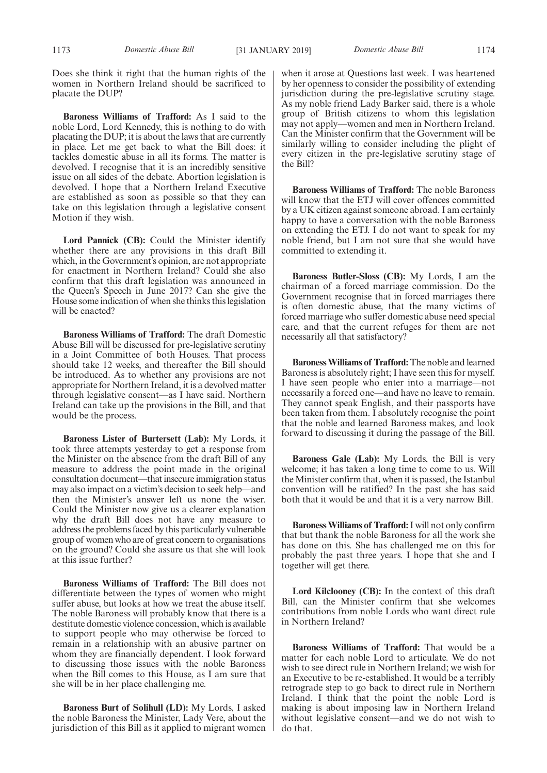Does she think it right that the human rights of the women in Northern Ireland should be sacrificed to placate the DUP?

**Baroness Williams of Trafford:** As I said to the noble Lord, Lord Kennedy, this is nothing to do with placating the DUP; it is about the laws that are currently in place. Let me get back to what the Bill does: it tackles domestic abuse in all its forms. The matter is devolved. I recognise that it is an incredibly sensitive issue on all sides of the debate. Abortion legislation is devolved. I hope that a Northern Ireland Executive are established as soon as possible so that they can take on this legislation through a legislative consent Motion if they wish.

**Lord Pannick (CB):** Could the Minister identify whether there are any provisions in this draft Bill which, in the Government's opinion, are not appropriate for enactment in Northern Ireland? Could she also confirm that this draft legislation was announced in the Queen's Speech in June 2017? Can she give the House some indication of when she thinks this legislation will be enacted?

**Baroness Williams of Trafford:** The draft Domestic Abuse Bill will be discussed for pre-legislative scrutiny in a Joint Committee of both Houses. That process should take 12 weeks, and thereafter the Bill should be introduced. As to whether any provisions are not appropriate for Northern Ireland, it is a devolved matter through legislative consent—as I have said. Northern Ireland can take up the provisions in the Bill, and that would be the process.

**Baroness Lister of Burtersett (Lab):** My Lords, it took three attempts yesterday to get a response from the Minister on the absence from the draft Bill of any measure to address the point made in the original consultation document—that insecure immigration status may also impact on a victim's decision to seek help—and then the Minister's answer left us none the wiser. Could the Minister now give us a clearer explanation why the draft Bill does not have any measure to address the problems faced by this particularly vulnerable group of women who are of great concern to organisations on the ground? Could she assure us that she will look at this issue further?

**Baroness Williams of Trafford:** The Bill does not differentiate between the types of women who might suffer abuse, but looks at how we treat the abuse itself. The noble Baroness will probably know that there is a destitute domestic violence concession, which is available to support people who may otherwise be forced to remain in a relationship with an abusive partner on whom they are financially dependent. I look forward to discussing those issues with the noble Baroness when the Bill comes to this House, as I am sure that she will be in her place challenging me.

**Baroness Burt of Solihull (LD):** My Lords, I asked the noble Baroness the Minister, Lady Vere, about the jurisdiction of this Bill as it applied to migrant women when it arose at Questions last week. I was heartened by her openness to consider the possibility of extending jurisdiction during the pre-legislative scrutiny stage. As my noble friend Lady Barker said, there is a whole group of British citizens to whom this legislation may not apply—women and men in Northern Ireland. Can the Minister confirm that the Government will be similarly willing to consider including the plight of every citizen in the pre-legislative scrutiny stage of the Bill?

**Baroness Williams of Trafford:** The noble Baroness will know that the ETJ will cover offences committed by a UK citizen against someone abroad. I am certainly happy to have a conversation with the noble Baroness on extending the ETJ. I do not want to speak for my noble friend, but I am not sure that she would have committed to extending it.

**Baroness Butler-Sloss (CB):** My Lords, I am the chairman of a forced marriage commission. Do the Government recognise that in forced marriages there is often domestic abuse, that the many victims of forced marriage who suffer domestic abuse need special care, and that the current refuges for them are not necessarily all that satisfactory?

**Baroness Williams of Trafford:** The noble and learned Baroness is absolutely right; I have seen this for myself. I have seen people who enter into a marriage—not necessarily a forced one—and have no leave to remain. They cannot speak English, and their passports have been taken from them. I absolutely recognise the point that the noble and learned Baroness makes, and look forward to discussing it during the passage of the Bill.

**Baroness Gale (Lab):** My Lords, the Bill is very welcome; it has taken a long time to come to us. Will the Minister confirm that, when it is passed, the Istanbul convention will be ratified? In the past she has said both that it would be and that it is a very narrow Bill.

**Baroness Williams of Trafford:**I will not only confirm that but thank the noble Baroness for all the work she has done on this. She has challenged me on this for probably the past three years. I hope that she and I together will get there.

**Lord Kilclooney (CB):** In the context of this draft Bill, can the Minister confirm that she welcomes contributions from noble Lords who want direct rule in Northern Ireland?

**Baroness Williams of Trafford:** That would be a matter for each noble Lord to articulate. We do not wish to see direct rule in Northern Ireland; we wish for an Executive to be re-established. It would be a terribly retrograde step to go back to direct rule in Northern Ireland. I think that the point the noble Lord is making is about imposing law in Northern Ireland without legislative consent—and we do not wish to do that.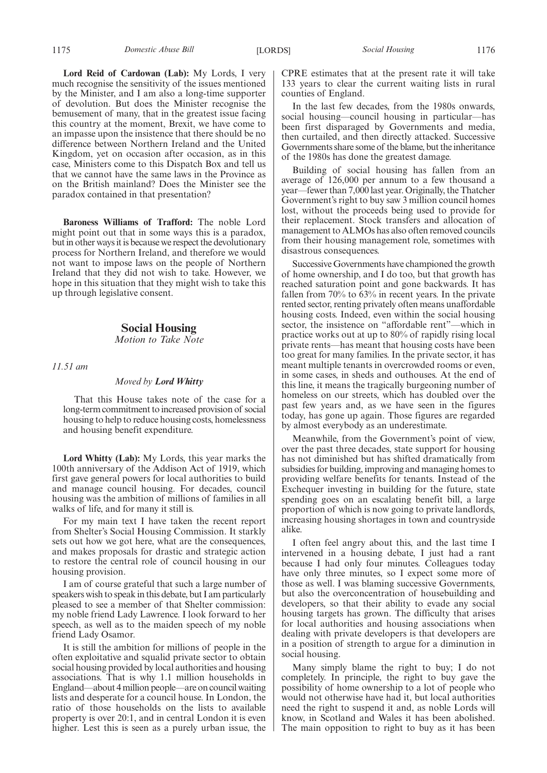**Lord Reid of Cardowan (Lab):** My Lords, I very much recognise the sensitivity of the issues mentioned by the Minister, and I am also a long-time supporter of devolution. But does the Minister recognise the bemusement of many, that in the greatest issue facing this country at the moment, Brexit, we have come to an impasse upon the insistence that there should be no difference between Northern Ireland and the United Kingdom, yet on occasion after occasion, as in this case, Ministers come to this Dispatch Box and tell us that we cannot have the same laws in the Province as on the British mainland? Does the Minister see the paradox contained in that presentation?

**Baroness Williams of Trafford:** The noble Lord might point out that in some ways this is a paradox, but in other ways it is because we respect the devolutionary process for Northern Ireland, and therefore we would not want to impose laws on the people of Northern Ireland that they did not wish to take. However, we hope in this situation that they might wish to take this up through legislative consent.

# **Social Housing**

*Motion to Take Note*

*11.51 am*

# *Moved by Lord Whitty*

That this House takes note of the case for a long-term commitment to increased provision of social housing to help to reduce housing costs, homelessness and housing benefit expenditure.

**Lord Whitty (Lab):** My Lords, this year marks the 100th anniversary of the Addison Act of 1919, which first gave general powers for local authorities to build and manage council housing. For decades, council housing was the ambition of millions of families in all walks of life, and for many it still is.

For my main text I have taken the recent report from Shelter's Social Housing Commission. It starkly sets out how we got here, what are the consequences, and makes proposals for drastic and strategic action to restore the central role of council housing in our housing provision.

I am of course grateful that such a large number of speakers wish to speak in this debate, but I am particularly pleased to see a member of that Shelter commission: my noble friend Lady Lawrence. I look forward to her speech, as well as to the maiden speech of my noble friend Lady Osamor.

It is still the ambition for millions of people in the often exploitative and squalid private sector to obtain social housing provided by local authorities and housing associations. That is why 1.1 million households in England—about 4 million people—are on council waiting lists and desperate for a council house. In London, the ratio of those households on the lists to available property is over 20:1, and in central London it is even higher. Lest this is seen as a purely urban issue, the

CPRE estimates that at the present rate it will take 133 years to clear the current waiting lists in rural counties of England.

In the last few decades, from the 1980s onwards, social housing—council housing in particular—has been first disparaged by Governments and media, then curtailed, and then directly attacked. Successive Governments share some of the blame, but the inheritance of the 1980s has done the greatest damage.

Building of social housing has fallen from an average of 126,000 per annum to a few thousand a year—fewer than 7,000 last year. Originally, the Thatcher Government's right to buy saw 3 million council homes lost, without the proceeds being used to provide for their replacement. Stock transfers and allocation of management to ALMOs has also often removed councils from their housing management role, sometimes with disastrous consequences.

Successive Governments have championed the growth of home ownership, and I do too, but that growth has reached saturation point and gone backwards. It has fallen from 70% to 63% in recent years. In the private rented sector, renting privately often means unaffordable housing costs. Indeed, even within the social housing sector, the insistence on "affordable rent"—which in practice works out at up to 80% of rapidly rising local private rents—has meant that housing costs have been too great for many families. In the private sector, it has meant multiple tenants in overcrowded rooms or even, in some cases, in sheds and outhouses. At the end of this line, it means the tragically burgeoning number of homeless on our streets, which has doubled over the past few years and, as we have seen in the figures today, has gone up again. Those figures are regarded by almost everybody as an underestimate.

Meanwhile, from the Government's point of view, over the past three decades, state support for housing has not diminished but has shifted dramatically from subsidies for building, improving and managing homes to providing welfare benefits for tenants. Instead of the Exchequer investing in building for the future, state spending goes on an escalating benefit bill, a large proportion of which is now going to private landlords, increasing housing shortages in town and countryside alike.

I often feel angry about this, and the last time I intervened in a housing debate, I just had a rant because I had only four minutes. Colleagues today have only three minutes, so I expect some more of those as well. I was blaming successive Governments, but also the overconcentration of housebuilding and developers, so that their ability to evade any social housing targets has grown. The difficulty that arises for local authorities and housing associations when dealing with private developers is that developers are in a position of strength to argue for a diminution in social housing.

Many simply blame the right to buy; I do not completely. In principle, the right to buy gave the possibility of home ownership to a lot of people who would not otherwise have had it, but local authorities need the right to suspend it and, as noble Lords will know, in Scotland and Wales it has been abolished. The main opposition to right to buy as it has been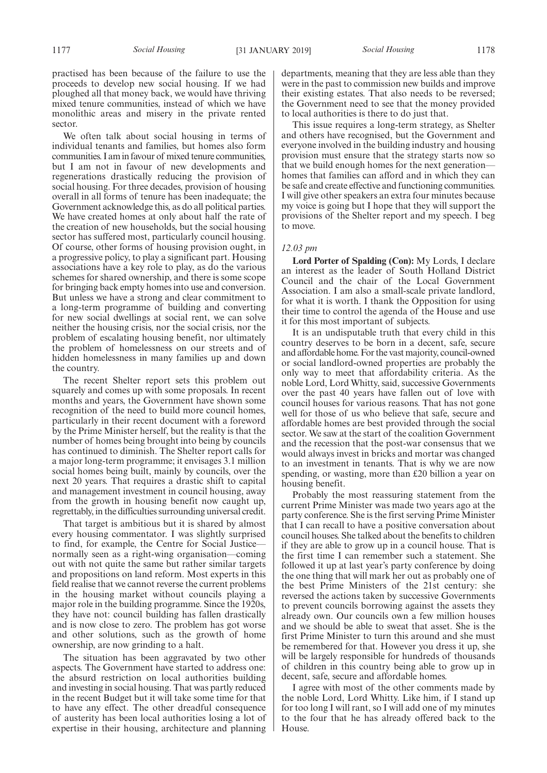practised has been because of the failure to use the proceeds to develop new social housing. If we had ploughed all that money back, we would have thriving mixed tenure communities, instead of which we have monolithic areas and misery in the private rented sector.

We often talk about social housing in terms of individual tenants and families, but homes also form communities. I am in favour of mixed tenure communities, but I am not in favour of new developments and regenerations drastically reducing the provision of social housing. For three decades, provision of housing overall in all forms of tenure has been inadequate; the Government acknowledge this, as do all political parties. We have created homes at only about half the rate of the creation of new households, but the social housing sector has suffered most, particularly council housing. Of course, other forms of housing provision ought, in a progressive policy, to play a significant part. Housing associations have a key role to play, as do the various schemes for shared ownership, and there is some scope for bringing back empty homes into use and conversion. But unless we have a strong and clear commitment to a long-term programme of building and converting for new social dwellings at social rent, we can solve neither the housing crisis, nor the social crisis, nor the problem of escalating housing benefit, nor ultimately the problem of homelessness on our streets and of hidden homelessness in many families up and down the country.

The recent Shelter report sets this problem out squarely and comes up with some proposals. In recent months and years, the Government have shown some recognition of the need to build more council homes, particularly in their recent document with a foreword by the Prime Minister herself, but the reality is that the number of homes being brought into being by councils has continued to diminish. The Shelter report calls for a major long-term programme; it envisages 3.1 million social homes being built, mainly by councils, over the next 20 years. That requires a drastic shift to capital and management investment in council housing, away from the growth in housing benefit now caught up, regrettably, in the difficulties surrounding universal credit.

That target is ambitious but it is shared by almost every housing commentator. I was slightly surprised to find, for example, the Centre for Social Justice normally seen as a right-wing organisation—coming out with not quite the same but rather similar targets and propositions on land reform. Most experts in this field realise that we cannot reverse the current problems in the housing market without councils playing a major role in the building programme. Since the 1920s, they have not: council building has fallen drastically and is now close to zero. The problem has got worse and other solutions, such as the growth of home ownership, are now grinding to a halt.

The situation has been aggravated by two other aspects. The Government have started to address one: the absurd restriction on local authorities building and investing in social housing. That was partly reduced in the recent Budget but it will take some time for that to have any effect. The other dreadful consequence of austerity has been local authorities losing a lot of expertise in their housing, architecture and planning departments, meaning that they are less able than they were in the past to commission new builds and improve their existing estates. That also needs to be reversed; the Government need to see that the money provided to local authorities is there to do just that.

This issue requires a long-term strategy, as Shelter and others have recognised, but the Government and everyone involved in the building industry and housing provision must ensure that the strategy starts now so that we build enough homes for the next generation homes that families can afford and in which they can be safe and create effective and functioning communities. I will give other speakers an extra four minutes because my voice is going but I hope that they will support the provisions of the Shelter report and my speech. I beg to move.

# *12.03 pm*

**Lord Porter of Spalding (Con):** My Lords, I declare an interest as the leader of South Holland District Council and the chair of the Local Government Association. I am also a small-scale private landlord, for what it is worth. I thank the Opposition for using their time to control the agenda of the House and use it for this most important of subjects.

It is an undisputable truth that every child in this country deserves to be born in a decent, safe, secure and affordable home. For the vast majority, council-owned or social landlord-owned properties are probably the only way to meet that affordability criteria. As the noble Lord, Lord Whitty, said, successive Governments over the past 40 years have fallen out of love with council houses for various reasons. That has not gone well for those of us who believe that safe, secure and affordable homes are best provided through the social sector. We saw at the start of the coalition Government and the recession that the post-war consensus that we would always invest in bricks and mortar was changed to an investment in tenants. That is why we are now spending, or wasting, more than £20 billion a year on housing benefit.

Probably the most reassuring statement from the current Prime Minister was made two years ago at the party conference. She is the first serving Prime Minister that I can recall to have a positive conversation about council houses. She talked about the benefits to children if they are able to grow up in a council house. That is the first time I can remember such a statement. She followed it up at last year's party conference by doing the one thing that will mark her out as probably one of the best Prime Ministers of the 21st century: she reversed the actions taken by successive Governments to prevent councils borrowing against the assets they already own. Our councils own a few million houses and we should be able to sweat that asset. She is the first Prime Minister to turn this around and she must be remembered for that. However you dress it up, she will be largely responsible for hundreds of thousands of children in this country being able to grow up in decent, safe, secure and affordable homes.

I agree with most of the other comments made by the noble Lord, Lord Whitty. Like him, if I stand up for too long I will rant, so I will add one of my minutes to the four that he has already offered back to the House.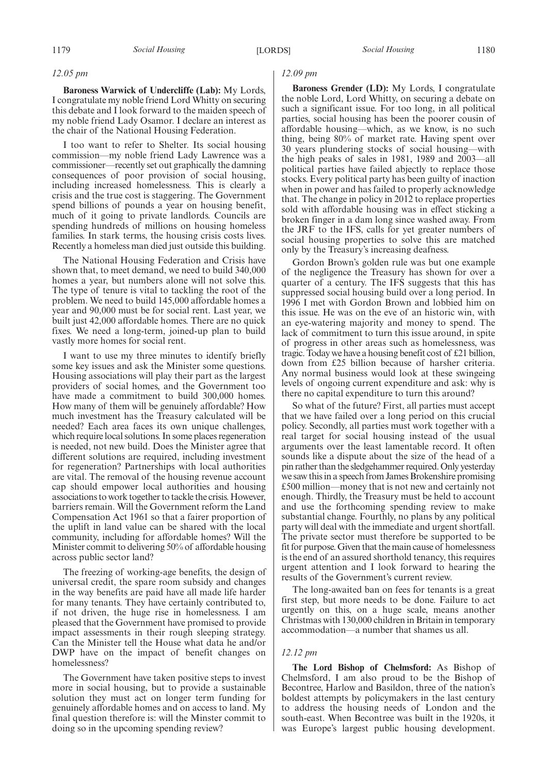#### *12.05 pm*

**Baroness Warwick of Undercliffe (Lab):** My Lords, I congratulate my noble friend Lord Whitty on securing this debate and I look forward to the maiden speech of my noble friend Lady Osamor. I declare an interest as the chair of the National Housing Federation.

I too want to refer to Shelter. Its social housing commission—my noble friend Lady Lawrence was a commissioner—recently set out graphically the damning consequences of poor provision of social housing, including increased homelessness. This is clearly a crisis and the true cost is staggering. The Government spend billions of pounds a year on housing benefit, much of it going to private landlords. Councils are spending hundreds of millions on housing homeless families. In stark terms, the housing crisis costs lives. Recently a homeless man died just outside this building.

The National Housing Federation and Crisis have shown that, to meet demand, we need to build 340,000 homes a year, but numbers alone will not solve this. The type of tenure is vital to tackling the root of the problem. We need to build 145,000 affordable homes a year and 90,000 must be for social rent. Last year, we built just 42,000 affordable homes. There are no quick fixes. We need a long-term, joined-up plan to build vastly more homes for social rent.

I want to use my three minutes to identify briefly some key issues and ask the Minister some questions. Housing associations will play their part as the largest providers of social homes, and the Government too have made a commitment to build 300,000 homes. How many of them will be genuinely affordable? How much investment has the Treasury calculated will be needed? Each area faces its own unique challenges, which require local solutions. In some places regeneration is needed, not new build. Does the Minister agree that different solutions are required, including investment for regeneration? Partnerships with local authorities are vital. The removal of the housing revenue account cap should empower local authorities and housing associations to work together to tackle the crisis. However, barriers remain. Will the Government reform the Land Compensation Act 1961 so that a fairer proportion of the uplift in land value can be shared with the local community, including for affordable homes? Will the Minister commit to delivering 50% of affordable housing across public sector land?

The freezing of working-age benefits, the design of universal credit, the spare room subsidy and changes in the way benefits are paid have all made life harder for many tenants. They have certainly contributed to, if not driven, the huge rise in homelessness. I am pleased that the Government have promised to provide impact assessments in their rough sleeping strategy. Can the Minister tell the House what data he and/or DWP have on the impact of benefit changes on homelessness?

The Government have taken positive steps to invest more in social housing, but to provide a sustainable solution they must act on longer term funding for genuinely affordable homes and on access to land. My final question therefore is: will the Minster commit to doing so in the upcoming spending review?

# *12.09 pm*

**Baroness Grender (LD):** My Lords, I congratulate the noble Lord, Lord Whitty, on securing a debate on such a significant issue. For too long, in all political parties, social housing has been the poorer cousin of affordable housing—which, as we know, is no such thing, being 80% of market rate. Having spent over 30 years plundering stocks of social housing—with the high peaks of sales in 1981, 1989 and  $2003$ —all political parties have failed abjectly to replace those stocks. Every political party has been guilty of inaction when in power and has failed to properly acknowledge that. The change in policy in 2012 to replace properties sold with affordable housing was in effect sticking a broken finger in a dam long since washed away. From the JRF to the IFS, calls for yet greater numbers of social housing properties to solve this are matched only by the Treasury's increasing deafness.

Gordon Brown's golden rule was but one example of the negligence the Treasury has shown for over a quarter of a century. The IFS suggests that this has suppressed social housing build over a long period. In 1996 I met with Gordon Brown and lobbied him on this issue. He was on the eve of an historic win, with an eye-watering majority and money to spend. The lack of commitment to turn this issue around, in spite of progress in other areas such as homelessness, was tragic. Today we have a housing benefit cost of £21 billion, down from £25 billion because of harsher criteria. Any normal business would look at these swingeing levels of ongoing current expenditure and ask: why is there no capital expenditure to turn this around?

So what of the future? First, all parties must accept that we have failed over a long period on this crucial policy. Secondly, all parties must work together with a real target for social housing instead of the usual arguments over the least lamentable record. It often sounds like a dispute about the size of the head of a pin rather than the sledgehammer required. Only yesterday we saw this in a speech from James Brokenshire promising £500 million—money that is not new and certainly not enough. Thirdly, the Treasury must be held to account and use the forthcoming spending review to make substantial change. Fourthly, no plans by any political party will deal with the immediate and urgent shortfall. The private sector must therefore be supported to be fit for purpose. Given that the main cause of homelessness is the end of an assured shorthold tenancy, this requires urgent attention and I look forward to hearing the results of the Government's current review.

The long-awaited ban on fees for tenants is a great first step, but more needs to be done. Failure to act urgently on this, on a huge scale, means another Christmas with 130,000 children in Britain in temporary accommodation—a number that shames us all.

#### *12.12 pm*

**The Lord Bishop of Chelmsford:** As Bishop of Chelmsford, I am also proud to be the Bishop of Becontree, Harlow and Basildon, three of the nation's boldest attempts by policymakers in the last century to address the housing needs of London and the south-east. When Becontree was built in the 1920s, it was Europe's largest public housing development.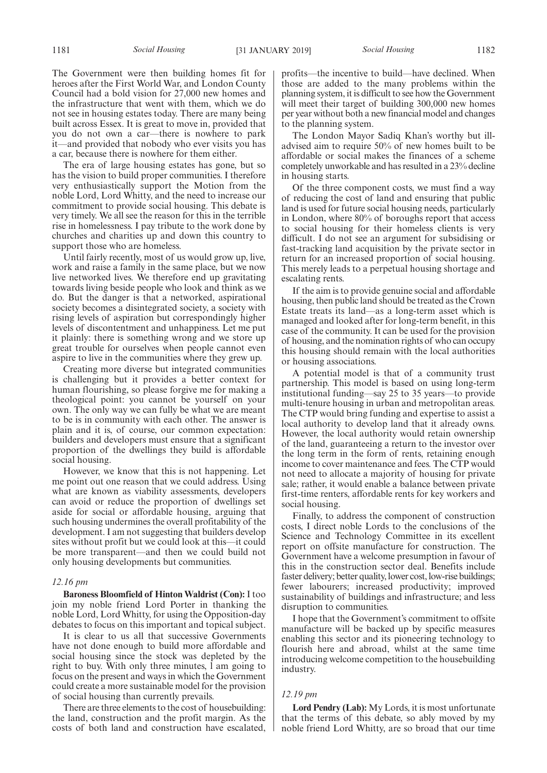The Government were then building homes fit for heroes after the First World War, and London County Council had a bold vision for 27,000 new homes and the infrastructure that went with them, which we do not see in housing estates today. There are many being built across Essex. It is great to move in, provided that you do not own a car—there is nowhere to park it—and provided that nobody who ever visits you has a car, because there is nowhere for them either.

The era of large housing estates has gone, but so has the vision to build proper communities. I therefore very enthusiastically support the Motion from the noble Lord, Lord Whitty, and the need to increase our commitment to provide social housing. This debate is very timely. We all see the reason for this in the terrible rise in homelessness. I pay tribute to the work done by churches and charities up and down this country to support those who are homeless.

Until fairly recently, most of us would grow up, live, work and raise a family in the same place, but we now live networked lives. We therefore end up gravitating towards living beside people who look and think as we do. But the danger is that a networked, aspirational society becomes a disintegrated society, a society with rising levels of aspiration but correspondingly higher levels of discontentment and unhappiness. Let me put it plainly: there is something wrong and we store up great trouble for ourselves when people cannot even aspire to live in the communities where they grew up.

Creating more diverse but integrated communities is challenging but it provides a better context for human flourishing, so please forgive me for making a theological point: you cannot be yourself on your own. The only way we can fully be what we are meant to be is in community with each other. The answer is plain and it is, of course, our common expectation: builders and developers must ensure that a significant proportion of the dwellings they build is affordable social housing.

However, we know that this is not happening. Let me point out one reason that we could address. Using what are known as viability assessments, developers can avoid or reduce the proportion of dwellings set aside for social or affordable housing, arguing that such housing undermines the overall profitability of the development. I am not suggesting that builders develop sites without profit but we could look at this—it could be more transparent—and then we could build not only housing developments but communities.

#### *12.16 pm*

**Baroness Bloomfield of Hinton Waldrist (Con):** I too join my noble friend Lord Porter in thanking the noble Lord, Lord Whitty, for using the Opposition-day debates to focus on this important and topical subject.

It is clear to us all that successive Governments have not done enough to build more affordable and social housing since the stock was depleted by the right to buy. With only three minutes, l am going to focus on the present and ways in which the Government could create a more sustainable model for the provision of social housing than currently prevails.

There are three elements to the cost of housebuilding: the land, construction and the profit margin. As the costs of both land and construction have escalated, profits—the incentive to build—have declined. When those are added to the many problems within the planning system, it is difficult to see how the Government will meet their target of building 300,000 new homes per year without both a new financial model and changes to the planning system.

The London Mayor Sadiq Khan's worthy but illadvised aim to require 50% of new homes built to be affordable or social makes the finances of a scheme completely unworkable and has resulted in a 23% decline in housing starts.

Of the three component costs, we must find a way of reducing the cost of land and ensuring that public land is used for future social housing needs, particularly in London, where 80% of boroughs report that access to social housing for their homeless clients is very difficult. I do not see an argument for subsidising or fast-tracking land acquisition by the private sector in return for an increased proportion of social housing. This merely leads to a perpetual housing shortage and escalating rents.

If the aim is to provide genuine social and affordable housing, then public land should be treated as the Crown Estate treats its land—as a long-term asset which is managed and looked after for long-term benefit, in this case of the community. It can be used for the provision of housing, and the nomination rights of who can occupy this housing should remain with the local authorities or housing associations.

A potential model is that of a community trust partnership. This model is based on using long-term institutional funding—say 25 to 35 years—to provide multi-tenure housing in urban and metropolitan areas. The CTP would bring funding and expertise to assist a local authority to develop land that it already owns. However, the local authority would retain ownership of the land, guaranteeing a return to the investor over the long term in the form of rents, retaining enough income to cover maintenance and fees. The CTP would not need to allocate a majority of housing for private sale; rather, it would enable a balance between private first-time renters, affordable rents for key workers and social housing.

Finally, to address the component of construction costs, I direct noble Lords to the conclusions of the Science and Technology Committee in its excellent report on offsite manufacture for construction. The Government have a welcome presumption in favour of this in the construction sector deal. Benefits include faster delivery; better quality, lower cost, low-rise buildings; fewer labourers; increased productivity; improved sustainability of buildings and infrastructure; and less disruption to communities.

I hope that the Government's commitment to offsite manufacture will be backed up by specific measures enabling this sector and its pioneering technology to flourish here and abroad, whilst at the same time introducing welcome competition to the housebuilding industry.

# *12.19 pm*

**Lord Pendry (Lab):** My Lords, it is most unfortunate that the terms of this debate, so ably moved by my noble friend Lord Whitty, are so broad that our time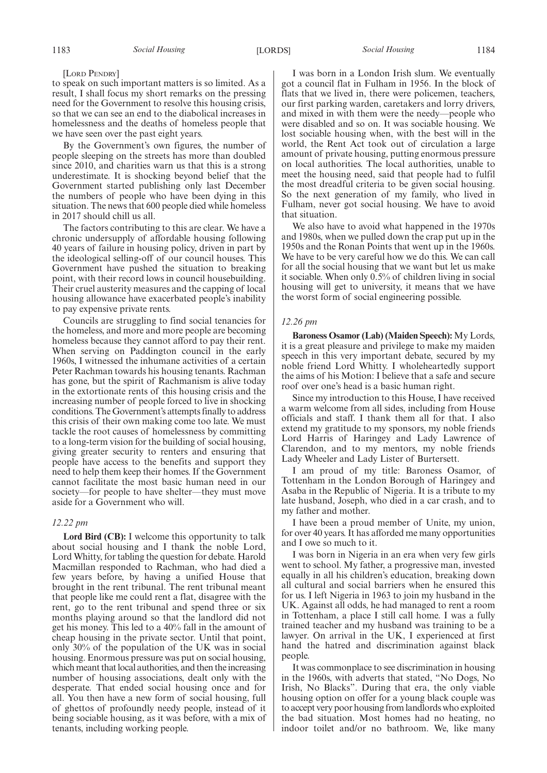[LORD PENDRY]

to speak on such important matters is so limited. As a result, I shall focus my short remarks on the pressing need for the Government to resolve this housing crisis, so that we can see an end to the diabolical increases in homelessness and the deaths of homeless people that we have seen over the past eight years.

By the Government's own figures, the number of people sleeping on the streets has more than doubled since 2010, and charities warn us that this is a strong underestimate. It is shocking beyond belief that the Government started publishing only last December the numbers of people who have been dying in this situation. The news that 600 people died while homeless in 2017 should chill us all.

The factors contributing to this are clear. We have a chronic undersupply of affordable housing following 40 years of failure in housing policy, driven in part by the ideological selling-off of our council houses. This Government have pushed the situation to breaking point, with their record lows in council housebuilding. Their cruel austerity measures and the capping of local housing allowance have exacerbated people's inability to pay expensive private rents.

Councils are struggling to find social tenancies for the homeless, and more and more people are becoming homeless because they cannot afford to pay their rent. When serving on Paddington council in the early 1960s, I witnessed the inhumane activities of a certain Peter Rachman towards his housing tenants. Rachman has gone, but the spirit of Rachmanism is alive today in the extortionate rents of this housing crisis and the increasing number of people forced to live in shocking conditions. The Government's attempts finally to address this crisis of their own making come too late. We must tackle the root causes of homelessness by committing to a long-term vision for the building of social housing, giving greater security to renters and ensuring that people have access to the benefits and support they need to help them keep their homes. If the Government cannot facilitate the most basic human need in our society—for people to have shelter—they must move aside for a Government who will.

# *12.22 pm*

**Lord Bird (CB):** I welcome this opportunity to talk about social housing and I thank the noble Lord, Lord Whitty, for tabling the question for debate. Harold Macmillan responded to Rachman, who had died a few years before, by having a unified House that brought in the rent tribunal. The rent tribunal meant that people like me could rent a flat, disagree with the rent, go to the rent tribunal and spend three or six months playing around so that the landlord did not get his money. This led to a 40% fall in the amount of cheap housing in the private sector. Until that point, only 30% of the population of the UK was in social housing. Enormous pressure was put on social housing, which meant that local authorities, and then the increasing number of housing associations, dealt only with the desperate. That ended social housing once and for all. You then have a new form of social housing, full of ghettos of profoundly needy people, instead of it being sociable housing, as it was before, with a mix of tenants, including working people.

I was born in a London Irish slum. We eventually got a council flat in Fulham in 1956. In the block of flats that we lived in, there were policemen, teachers, our first parking warden, caretakers and lorry drivers, and mixed in with them were the needy—people who were disabled and so on. It was sociable housing. We lost sociable housing when, with the best will in the world, the Rent Act took out of circulation a large amount of private housing, putting enormous pressure on local authorities. The local authorities, unable to meet the housing need, said that people had to fulfil the most dreadful criteria to be given social housing. So the next generation of my family, who lived in Fulham, never got social housing. We have to avoid that situation.

We also have to avoid what happened in the 1970s and 1980s, when we pulled down the crap put up in the 1950s and the Ronan Points that went up in the 1960s. We have to be very careful how we do this. We can call for all the social housing that we want but let us make it sociable. When only 0.5% of children living in social housing will get to university, it means that we have the worst form of social engineering possible.

#### *12.26 pm*

**Baroness Osamor (Lab) (Maiden Speech):** My Lords, it is a great pleasure and privilege to make my maiden speech in this very important debate, secured by my noble friend Lord Whitty. I wholeheartedly support the aims of his Motion: I believe that a safe and secure roof over one's head is a basic human right.

Since my introduction to this House, I have received a warm welcome from all sides, including from House officials and staff. I thank them all for that. I also extend my gratitude to my sponsors, my noble friends Lord Harris of Haringey and Lady Lawrence of Clarendon, and to my mentors, my noble friends Lady Wheeler and Lady Lister of Burtersett.

I am proud of my title: Baroness Osamor, of Tottenham in the London Borough of Haringey and Asaba in the Republic of Nigeria. It is a tribute to my late husband, Joseph, who died in a car crash, and to my father and mother.

I have been a proud member of Unite, my union, for over 40 years. It has afforded me many opportunities and I owe so much to it.

I was born in Nigeria in an era when very few girls went to school. My father, a progressive man, invested equally in all his children's education, breaking down all cultural and social barriers when he ensured this for us. I left Nigeria in 1963 to join my husband in the UK. Against all odds, he had managed to rent a room in Tottenham, a place I still call home. I was a fully trained teacher and my husband was training to be a lawyer. On arrival in the UK, I experienced at first hand the hatred and discrimination against black people.

It was commonplace to see discrimination in housing in the 1960s, with adverts that stated, "No Dogs, No Irish, No Blacks". During that era, the only viable housing option on offer for a young black couple was to accept very poor housing from landlords who exploited the bad situation. Most homes had no heating, no indoor toilet and/or no bathroom. We, like many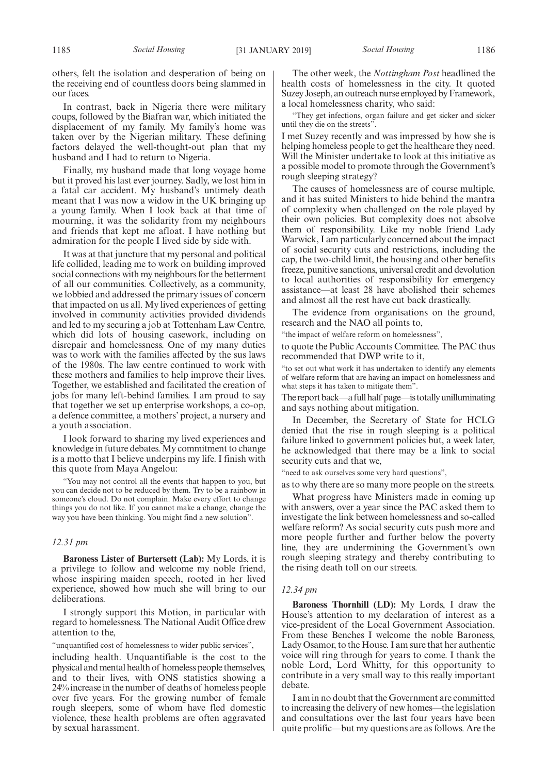others, felt the isolation and desperation of being on the receiving end of countless doors being slammed in our faces.

In contrast, back in Nigeria there were military coups, followed by the Biafran war, which initiated the displacement of my family. My family's home was taken over by the Nigerian military. These defining factors delayed the well-thought-out plan that my husband and I had to return to Nigeria.

Finally, my husband made that long voyage home but it proved his last ever journey. Sadly, we lost him in a fatal car accident. My husband's untimely death meant that I was now a widow in the UK bringing up a young family. When I look back at that time of mourning, it was the solidarity from my neighbours and friends that kept me afloat. I have nothing but admiration for the people I lived side by side with.

It was at that juncture that my personal and political life collided, leading me to work on building improved social connections with my neighbours for the betterment of all our communities. Collectively, as a community, we lobbied and addressed the primary issues of concern that impacted on us all. My lived experiences of getting involved in community activities provided dividends and led to my securing a job at Tottenham Law Centre, which did lots of housing casework, including on disrepair and homelessness. One of my many duties was to work with the families affected by the sus laws of the 1980s. The law centre continued to work with these mothers and families to help improve their lives. Together, we established and facilitated the creation of jobs for many left-behind families. I am proud to say that together we set up enterprise workshops, a co-op, a defence committee, a mothers' project, a nursery and a youth association.

I look forward to sharing my lived experiences and knowledge in future debates. My commitment to change is a motto that I believe underpins my life. I finish with this quote from Maya Angelou:

"You may not control all the events that happen to you, but you can decide not to be reduced by them. Try to be a rainbow in someone's cloud. Do not complain. Make every effort to change things you do not like. If you cannot make a change, change the way you have been thinking. You might find a new solution".

# *12.31 pm*

**Baroness Lister of Burtersett (Lab):** My Lords, it is a privilege to follow and welcome my noble friend, whose inspiring maiden speech, rooted in her lived experience, showed how much she will bring to our deliberations.

I strongly support this Motion, in particular with regard to homelessness. The National Audit Office drew attention to the,

"unquantified cost of homelessness to wider public services",

including health. Unquantifiable is the cost to the physical and mental health of homeless people themselves, and to their lives, with ONS statistics showing a 24% increase in the number of deaths of homeless people over five years. For the growing number of female rough sleepers, some of whom have fled domestic violence, these health problems are often aggravated by sexual harassment.

The other week, the *Nottingham Post* headlined the health costs of homelessness in the city. It quoted Suzey Joseph, an outreach nurse employed by Framework, a local homelessness charity, who said:

"They get infections, organ failure and get sicker and sicker until they die on the streets".

I met Suzey recently and was impressed by how she is helping homeless people to get the healthcare they need. Will the Minister undertake to look at this initiative as a possible model to promote through the Government's rough sleeping strategy?

The causes of homelessness are of course multiple, and it has suited Ministers to hide behind the mantra of complexity when challenged on the role played by their own policies. But complexity does not absolve them of responsibility. Like my noble friend Lady Warwick, I am particularly concerned about the impact of social security cuts and restrictions, including the cap, the two-child limit, the housing and other benefits freeze, punitive sanctions, universal credit and devolution to local authorities of responsibility for emergency assistance—at least 28 have abolished their schemes and almost all the rest have cut back drastically.

The evidence from organisations on the ground, research and the NAO all points to,

"the impact of welfare reform on homelessness",

to quote the Public Accounts Committee. The PAC thus recommended that DWP write to it,

"to set out what work it has undertaken to identify any elements of welfare reform that are having an impact on homelessness and what steps it has taken to mitigate them".

The report back—a full half page—is totally unilluminating and says nothing about mitigation.

In December, the Secretary of State for HCLG denied that the rise in rough sleeping is a political failure linked to government policies but, a week later, he acknowledged that there may be a link to social security cuts and that we,

"need to ask ourselves some very hard questions",

as to why there are so many more people on the streets.

What progress have Ministers made in coming up with answers, over a year since the PAC asked them to investigate the link between homelessness and so-called welfare reform? As social security cuts push more and more people further and further below the poverty line, they are undermining the Government's own rough sleeping strategy and thereby contributing to the rising death toll on our streets.

# *12.34 pm*

**Baroness Thornhill (LD):** My Lords, I draw the House's attention to my declaration of interest as a vice-president of the Local Government Association. From these Benches I welcome the noble Baroness, Lady Osamor, to the House. I am sure that her authentic voice will ring through for years to come. I thank the noble Lord, Lord Whitty, for this opportunity to contribute in a very small way to this really important debate.

I am in no doubt that the Government are committed to increasing the delivery of new homes—the legislation and consultations over the last four years have been quite prolific—but my questions are as follows. Are the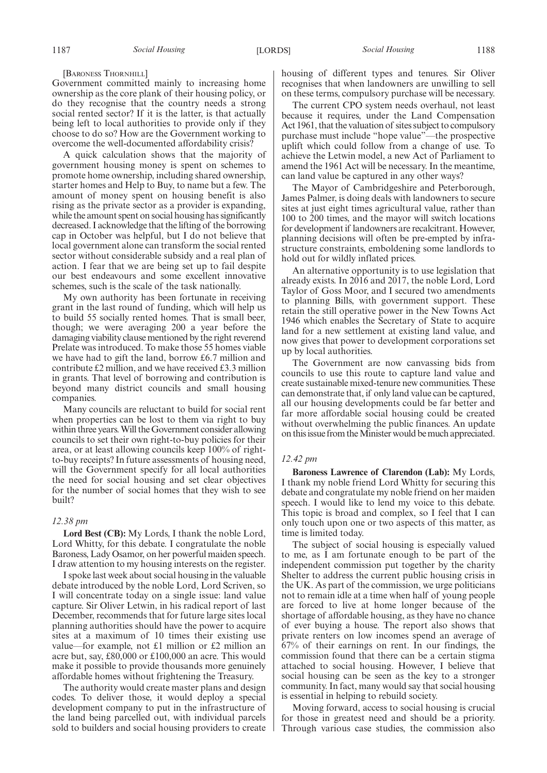[BARONESS THORNHILL]

Government committed mainly to increasing home ownership as the core plank of their housing policy, or do they recognise that the country needs a strong social rented sector? If it is the latter, is that actually being left to local authorities to provide only if they choose to do so? How are the Government working to overcome the well-documented affordability crisis?

A quick calculation shows that the majority of government housing money is spent on schemes to promote home ownership, including shared ownership, starter homes and Help to Buy, to name but a few. The amount of money spent on housing benefit is also rising as the private sector as a provider is expanding, while the amount spent on social housing has significantly decreased. I acknowledge that the lifting of the borrowing cap in October was helpful, but I do not believe that local government alone can transform the social rented sector without considerable subsidy and a real plan of action. I fear that we are being set up to fail despite our best endeavours and some excellent innovative schemes, such is the scale of the task nationally.

My own authority has been fortunate in receiving grant in the last round of funding, which will help us to build 55 socially rented homes. That is small beer, though; we were averaging 200 a year before the damaging viability clause mentioned by the right reverend Prelate was introduced. To make those 55 homes viable we have had to gift the land, borrow £6.7 million and contribute £2 million, and we have received £3.3 million in grants. That level of borrowing and contribution is beyond many district councils and small housing companies.

Many councils are reluctant to build for social rent when properties can be lost to them via right to buy within three years. Will the Government consider allowing councils to set their own right-to-buy policies for their area, or at least allowing councils keep 100% of rightto-buy receipts? In future assessments of housing need, will the Government specify for all local authorities the need for social housing and set clear objectives for the number of social homes that they wish to see built?

#### *12.38 pm*

**Lord Best (CB):** My Lords, I thank the noble Lord, Lord Whitty, for this debate. I congratulate the noble Baroness, Lady Osamor, on her powerful maiden speech. I draw attention to my housing interests on the register.

I spoke last week about social housing in the valuable debate introduced by the noble Lord, Lord Scriven, so I will concentrate today on a single issue: land value capture. Sir Oliver Letwin, in his radical report of last December, recommends that for future large sites local planning authorities should have the power to acquire sites at a maximum of 10 times their existing use value—for example, not £1 million or £2 million an acre but, say, £80,000 or £100,000 an acre. This would make it possible to provide thousands more genuinely affordable homes without frightening the Treasury.

The authority would create master plans and design codes. To deliver those, it would deploy a special development company to put in the infrastructure of the land being parcelled out, with individual parcels sold to builders and social housing providers to create housing of different types and tenures. Sir Oliver recognises that when landowners are unwilling to sell on these terms, compulsory purchase will be necessary.

The current CPO system needs overhaul, not least because it requires, under the Land Compensation Act 1961, that the valuation of sites subject to compulsory purchase must include "hope value"—the prospective uplift which could follow from a change of use. To achieve the Letwin model, a new Act of Parliament to amend the 1961 Act will be necessary. In the meantime, can land value be captured in any other ways?

The Mayor of Cambridgeshire and Peterborough, James Palmer, is doing deals with landowners to secure sites at just eight times agricultural value, rather than 100 to 200 times, and the mayor will switch locations for development if landowners are recalcitrant. However, planning decisions will often be pre-empted by infrastructure constraints, emboldening some landlords to hold out for wildly inflated prices.

An alternative opportunity is to use legislation that already exists. In 2016 and 2017, the noble Lord, Lord Taylor of Goss Moor, and I secured two amendments to planning Bills, with government support. These retain the still operative power in the New Towns Act 1946 which enables the Secretary of State to acquire land for a new settlement at existing land value, and now gives that power to development corporations set up by local authorities.

The Government are now canvassing bids from councils to use this route to capture land value and create sustainable mixed-tenure new communities. These can demonstrate that, if only land value can be captured, all our housing developments could be far better and far more affordable social housing could be created without overwhelming the public finances. An update on this issue from the Minister would be much appreciated.

## *12.42 pm*

**Baroness Lawrence of Clarendon (Lab):** My Lords, I thank my noble friend Lord Whitty for securing this debate and congratulate my noble friend on her maiden speech. I would like to lend my voice to this debate. This topic is broad and complex, so I feel that I can only touch upon one or two aspects of this matter, as time is limited today.

The subject of social housing is especially valued to me, as I am fortunate enough to be part of the independent commission put together by the charity Shelter to address the current public housing crisis in the UK. As part of the commission, we urge politicians not to remain idle at a time when half of young people are forced to live at home longer because of the shortage of affordable housing, as they have no chance of ever buying a house. The report also shows that private renters on low incomes spend an average of 67% of their earnings on rent. In our findings, the commission found that there can be a certain stigma attached to social housing. However, I believe that social housing can be seen as the key to a stronger community. In fact, many would say that social housing is essential in helping to rebuild society.

Moving forward, access to social housing is crucial for those in greatest need and should be a priority. Through various case studies, the commission also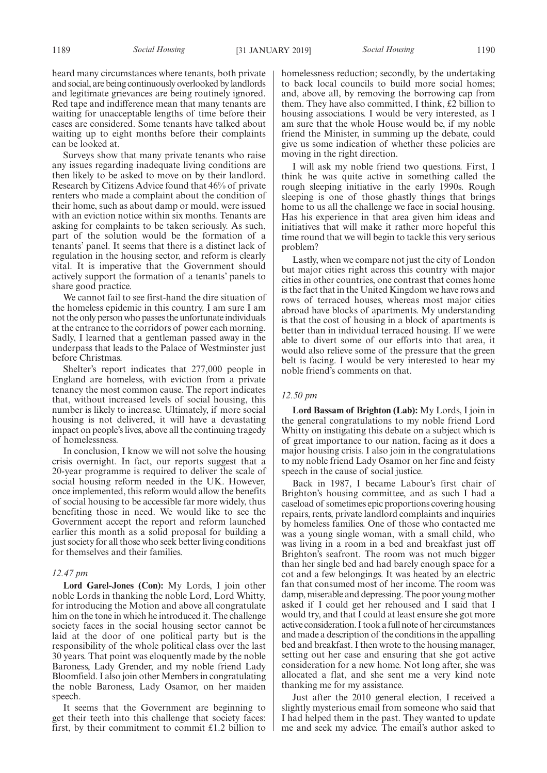heard many circumstances where tenants, both private and social, are being continuously overlooked by landlords and legitimate grievances are being routinely ignored. Red tape and indifference mean that many tenants are waiting for unacceptable lengths of time before their cases are considered. Some tenants have talked about waiting up to eight months before their complaints can be looked at.

Surveys show that many private tenants who raise any issues regarding inadequate living conditions are then likely to be asked to move on by their landlord. Research by Citizens Advice found that 46% of private renters who made a complaint about the condition of their home, such as about damp or mould, were issued with an eviction notice within six months. Tenants are asking for complaints to be taken seriously. As such, part of the solution would be the formation of a tenants' panel. It seems that there is a distinct lack of regulation in the housing sector, and reform is clearly vital. It is imperative that the Government should actively support the formation of a tenants' panels to share good practice.

We cannot fail to see first-hand the dire situation of the homeless epidemic in this country. I am sure I am not the only person who passes the unfortunate individuals at the entrance to the corridors of power each morning. Sadly, I learned that a gentleman passed away in the underpass that leads to the Palace of Westminster just before Christmas.

Shelter's report indicates that 277,000 people in England are homeless, with eviction from a private tenancy the most common cause. The report indicates that, without increased levels of social housing, this number is likely to increase. Ultimately, if more social housing is not delivered, it will have a devastating impact on people's lives, above all the continuing tragedy of homelessness.

In conclusion, I know we will not solve the housing crisis overnight. In fact, our reports suggest that a 20-year programme is required to deliver the scale of social housing reform needed in the UK. However, once implemented, this reform would allow the benefits of social housing to be accessible far more widely, thus benefiting those in need. We would like to see the Government accept the report and reform launched earlier this month as a solid proposal for building a just society for all those who seek better living conditions for themselves and their families.

#### *12.47 pm*

**Lord Garel-Jones (Con):** My Lords, I join other noble Lords in thanking the noble Lord, Lord Whitty, for introducing the Motion and above all congratulate him on the tone in which he introduced it. The challenge society faces in the social housing sector cannot be laid at the door of one political party but is the responsibility of the whole political class over the last 30 years. That point was eloquently made by the noble Baroness, Lady Grender, and my noble friend Lady Bloomfield. I also join other Members in congratulating the noble Baroness, Lady Osamor, on her maiden speech.

It seems that the Government are beginning to get their teeth into this challenge that society faces: first, by their commitment to commit £1.2 billion to homelessness reduction; secondly, by the undertaking to back local councils to build more social homes; and, above all, by removing the borrowing cap from them. They have also committed, I think, £2 billion to housing associations. I would be very interested, as I am sure that the whole House would be, if my noble friend the Minister, in summing up the debate, could give us some indication of whether these policies are moving in the right direction.

I will ask my noble friend two questions. First, I think he was quite active in something called the rough sleeping initiative in the early 1990s. Rough sleeping is one of those ghastly things that brings home to us all the challenge we face in social housing. Has his experience in that area given him ideas and initiatives that will make it rather more hopeful this time round that we will begin to tackle this very serious problem?

Lastly, when we compare not just the city of London but major cities right across this country with major cities in other countries, one contrast that comes home is the fact that in the United Kingdom we have rows and rows of terraced houses, whereas most major cities abroad have blocks of apartments. My understanding is that the cost of housing in a block of apartments is better than in individual terraced housing. If we were able to divert some of our efforts into that area, it would also relieve some of the pressure that the green belt is facing. I would be very interested to hear my noble friend's comments on that.

# *12.50 pm*

**Lord Bassam of Brighton (Lab):** My Lords, I join in the general congratulations to my noble friend Lord Whitty on instigating this debate on a subject which is of great importance to our nation, facing as it does a major housing crisis. I also join in the congratulations to my noble friend Lady Osamor on her fine and feisty speech in the cause of social justice.

Back in 1987, I became Labour's first chair of Brighton's housing committee, and as such I had a caseload of sometimes epic proportions covering housing repairs, rents, private landlord complaints and inquiries by homeless families. One of those who contacted me was a young single woman, with a small child, who was living in a room in a bed and breakfast just off Brighton's seafront. The room was not much bigger than her single bed and had barely enough space for a cot and a few belongings. It was heated by an electric fan that consumed most of her income. The room was damp, miserable and depressing. The poor young mother asked if I could get her rehoused and I said that I would try, and that I could at least ensure she got more active consideration. I took a full note of her circumstances and made a description of the conditions in the appalling bed and breakfast. I then wrote to the housing manager, setting out her case and ensuring that she got active consideration for a new home. Not long after, she was allocated a flat, and she sent me a very kind note thanking me for my assistance.

Just after the 2010 general election, I received a slightly mysterious email from someone who said that I had helped them in the past. They wanted to update me and seek my advice. The email's author asked to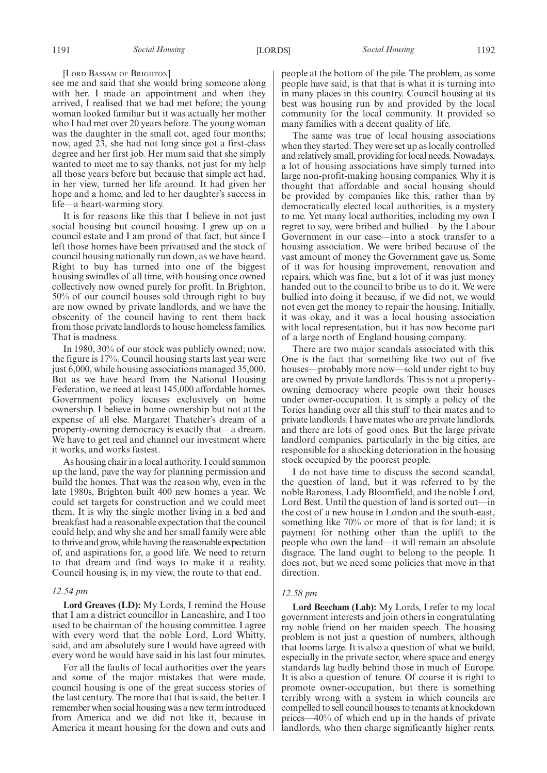[LORD BASSAM OF BRIGHTON]

see me and said that she would bring someone along with her. I made an appointment and when they arrived, I realised that we had met before; the young woman looked familiar but it was actually her mother who I had met over 20 years before. The young woman was the daughter in the small cot, aged four months; now, aged 23, she had not long since got a first-class degree and her first job. Her mum said that she simply wanted to meet me to say thanks, not just for my help all those years before but because that simple act had, in her view, turned her life around. It had given her hope and a home, and led to her daughter's success in life—a heart-warming story.

It is for reasons like this that I believe in not just social housing but council housing. I grew up on a council estate and I am proud of that fact, but since I left those homes have been privatised and the stock of council housing nationally run down, as we have heard. Right to buy has turned into one of the biggest housing swindles of all time, with housing once owned collectively now owned purely for profit. In Brighton, 50% of our council houses sold through right to buy are now owned by private landlords, and we have the obscenity of the council having to rent them back from those private landlords to house homeless families. That is madness.

In 1980, 30% of our stock was publicly owned; now, the figure is 17%. Council housing starts last year were just 6,000, while housing associations managed 35,000. But as we have heard from the National Housing Federation, we need at least 145,000 affordable homes. Government policy focuses exclusively on home ownership. I believe in home ownership but not at the expense of all else. Margaret Thatcher's dream of a property-owning democracy is exactly that—a dream. We have to get real and channel our investment where it works, and works fastest.

As housing chair in a local authority, I could summon up the land, pave the way for planning permission and build the homes. That was the reason why, even in the late 1980s, Brighton built 400 new homes a year. We could set targets for construction and we could meet them. It is why the single mother living in a bed and breakfast had a reasonable expectation that the council could help, and why she and her small family were able to thrive and grow, while having the reasonable expectation of, and aspirations for, a good life. We need to return to that dream and find ways to make it a reality. Council housing is, in my view, the route to that end.

#### *12.54 pm*

**Lord Greaves (LD):** My Lords, I remind the House that I am a district councillor in Lancashire, and I too used to be chairman of the housing committee. I agree with every word that the noble Lord, Lord Whitty, said, and am absolutely sure I would have agreed with every word he would have said in his last four minutes.

For all the faults of local authorities over the years and some of the major mistakes that were made, council housing is one of the great success stories of the last century. The more that that is said, the better. I remember when social housing was a new term introduced from America and we did not like it, because in America it meant housing for the down and outs and people at the bottom of the pile. The problem, as some people have said, is that that is what it is turning into in many places in this country. Council housing at its best was housing run by and provided by the local community for the local community. It provided so many families with a decent quality of life.

The same was true of local housing associations when they started. They were set up as locally controlled and relatively small, providing for local needs. Nowadays, a lot of housing associations have simply turned into large non-profit-making housing companies. Why it is thought that affordable and social housing should be provided by companies like this, rather than by democratically elected local authorities, is a mystery to me. Yet many local authorities, including my own I regret to say, were bribed and bullied—by the Labour Government in our case—into a stock transfer to a housing association. We were bribed because of the vast amount of money the Government gave us. Some of it was for housing improvement, renovation and repairs, which was fine, but a lot of it was just money handed out to the council to bribe us to do it. We were bullied into doing it because, if we did not, we would not even get the money to repair the housing. Initially, it was okay, and it was a local housing association with local representation, but it has now become part of a large north of England housing company.

There are two major scandals associated with this. One is the fact that something like two out of five houses—probably more now—sold under right to buy are owned by private landlords. This is not a propertyowning democracy where people own their houses under owner-occupation. It is simply a policy of the Tories handing over all this stuff to their mates and to private landlords. I have mates who are private landlords, and there are lots of good ones. But the large private landlord companies, particularly in the big cities, are responsible for a shocking deterioration in the housing stock occupied by the poorest people.

I do not have time to discuss the second scandal, the question of land, but it was referred to by the noble Baroness, Lady Bloomfield, and the noble Lord, Lord Best. Until the question of land is sorted out—in the cost of a new house in London and the south-east, something like 70% or more of that is for land; it is payment for nothing other than the uplift to the people who own the land—it will remain an absolute disgrace. The land ought to belong to the people. It does not, but we need some policies that move in that direction.

#### *12.58 pm*

**Lord Beecham (Lab):** My Lords, I refer to my local government interests and join others in congratulating my noble friend on her maiden speech. The housing problem is not just a question of numbers, although that looms large. It is also a question of what we build, especially in the private sector, where space and energy standards lag badly behind those in much of Europe. It is also a question of tenure. Of course it is right to promote owner-occupation, but there is something terribly wrong with a system in which councils are compelled to sell council houses to tenants at knockdown prices—40% of which end up in the hands of private landlords, who then charge significantly higher rents.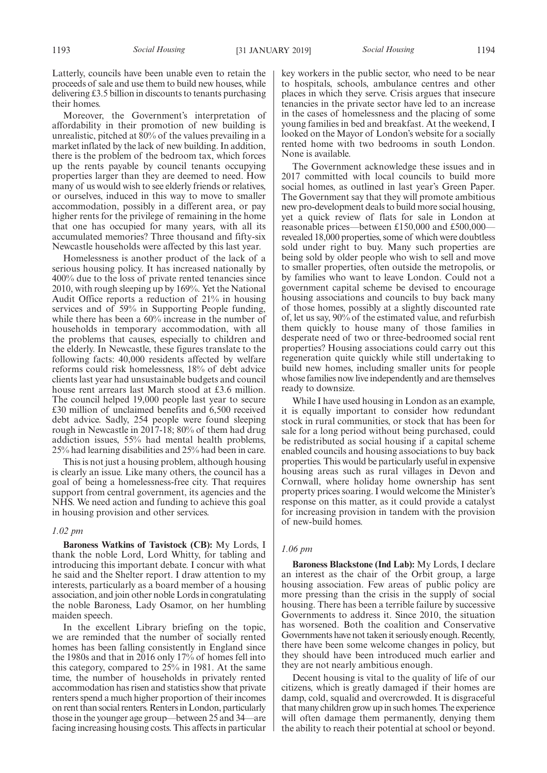Latterly, councils have been unable even to retain the proceeds of sale and use them to build new houses, while delivering £3.5 billion in discounts to tenants purchasing their homes.

Moreover, the Government's interpretation of affordability in their promotion of new building is unrealistic, pitched at 80% of the values prevailing in a market inflated by the lack of new building. In addition, there is the problem of the bedroom tax, which forces up the rents payable by council tenants occupying properties larger than they are deemed to need. How many of us would wish to see elderly friends or relatives, or ourselves, induced in this way to move to smaller accommodation, possibly in a different area, or pay higher rents for the privilege of remaining in the home that one has occupied for many years, with all its accumulated memories? Three thousand and fifty-six Newcastle households were affected by this last year.

Homelessness is another product of the lack of a serious housing policy. It has increased nationally by 400% due to the loss of private rented tenancies since 2010, with rough sleeping up by 169%. Yet the National Audit Office reports a reduction of 21% in housing services and of 59% in Supporting People funding, while there has been a 60% increase in the number of households in temporary accommodation, with all the problems that causes, especially to children and the elderly. In Newcastle, these figures translate to the following facts: 40,000 residents affected by welfare reforms could risk homelessness, 18% of debt advice clients last year had unsustainable budgets and council house rent arrears last March stood at £3.6 million. The council helped 19,000 people last year to secure £30 million of unclaimed benefits and 6,500 received debt advice. Sadly, 254 people were found sleeping rough in Newcastle in 2017-18; 80% of them had drug addiction issues, 55% had mental health problems, 25% had learning disabilities and 25% had been in care.

This is not just a housing problem, although housing is clearly an issue. Like many others, the council has a goal of being a homelessness-free city. That requires support from central government, its agencies and the NHS. We need action and funding to achieve this goal in housing provision and other services.

#### *1.02 pm*

**Baroness Watkins of Tavistock (CB):** My Lords, I thank the noble Lord, Lord Whitty, for tabling and introducing this important debate. I concur with what he said and the Shelter report. I draw attention to my interests, particularly as a board member of a housing association, and join other noble Lords in congratulating the noble Baroness, Lady Osamor, on her humbling maiden speech.

In the excellent Library briefing on the topic, we are reminded that the number of socially rented homes has been falling consistently in England since the 1980s and that in 2016 only 17% of homes fell into this category, compared to 25% in 1981. At the same time, the number of households in privately rented accommodation has risen and statistics show that private renters spend a much higher proportion of their incomes on rent than social renters. Renters in London, particularly those in the younger age group—between 25 and 34—are facing increasing housing costs. This affects in particular key workers in the public sector, who need to be near to hospitals, schools, ambulance centres and other places in which they serve. Crisis argues that insecure tenancies in the private sector have led to an increase in the cases of homelessness and the placing of some young families in bed and breakfast. At the weekend, I looked on the Mayor of London's website for a socially rented home with two bedrooms in south London. None is available.

The Government acknowledge these issues and in 2017 committed with local councils to build more social homes, as outlined in last year's Green Paper. The Government say that they will promote ambitious new pro-development deals to build more social housing, yet a quick review of flats for sale in London at reasonable prices—between £150,000 and £500,000 revealed 18,000 properties, some of which were doubtless sold under right to buy. Many such properties are being sold by older people who wish to sell and move to smaller properties, often outside the metropolis, or by families who want to leave London. Could not a government capital scheme be devised to encourage housing associations and councils to buy back many of those homes, possibly at a slightly discounted rate of, let us say, 90% of the estimated value, and refurbish them quickly to house many of those families in desperate need of two or three-bedroomed social rent properties? Housing associations could carry out this regeneration quite quickly while still undertaking to build new homes, including smaller units for people whose families now live independently and are themselves ready to downsize.

While I have used housing in London as an example, it is equally important to consider how redundant stock in rural communities, or stock that has been for sale for a long period without being purchased, could be redistributed as social housing if a capital scheme enabled councils and housing associations to buy back properties. This would be particularly useful in expensive housing areas such as rural villages in Devon and Cornwall, where holiday home ownership has sent property prices soaring. I would welcome the Minister's response on this matter, as it could provide a catalyst for increasing provision in tandem with the provision of new-build homes.

# *1.06 pm*

**Baroness Blackstone (Ind Lab):** My Lords, I declare an interest as the chair of the Orbit group, a large housing association. Few areas of public policy are more pressing than the crisis in the supply of social housing. There has been a terrible failure by successive Governments to address it. Since 2010, the situation has worsened. Both the coalition and Conservative Governments have not taken it seriously enough. Recently, there have been some welcome changes in policy, but they should have been introduced much earlier and they are not nearly ambitious enough.

Decent housing is vital to the quality of life of our citizens, which is greatly damaged if their homes are damp, cold, squalid and overcrowded. It is disgraceful that many children grow up in such homes. The experience will often damage them permanently, denying them the ability to reach their potential at school or beyond.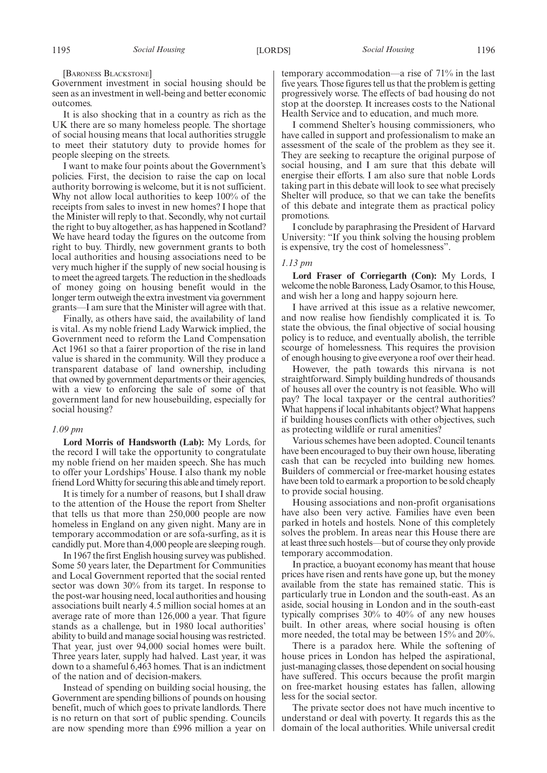[BARONESS BLACKSTONE]

Government investment in social housing should be seen as an investment in well-being and better economic outcomes.

It is also shocking that in a country as rich as the UK there are so many homeless people. The shortage of social housing means that local authorities struggle to meet their statutory duty to provide homes for people sleeping on the streets.

I want to make four points about the Government's policies. First, the decision to raise the cap on local authority borrowing is welcome, but it is not sufficient. Why not allow local authorities to keep 100% of the receipts from sales to invest in new homes? I hope that the Minister will reply to that. Secondly, why not curtail the right to buy altogether, as has happened in Scotland? We have heard today the figures on the outcome from right to buy. Thirdly, new government grants to both local authorities and housing associations need to be very much higher if the supply of new social housing is to meet the agreed targets. The reduction in the shedloads of money going on housing benefit would in the longer term outweigh the extra investment via government grants—I am sure that the Minister will agree with that.

Finally, as others have said, the availability of land is vital. As my noble friend Lady Warwick implied, the Government need to reform the Land Compensation Act 1961 so that a fairer proportion of the rise in land value is shared in the community. Will they produce a transparent database of land ownership, including that owned by government departments or their agencies, with a view to enforcing the sale of some of that government land for new housebuilding, especially for social housing?

#### *1.09 pm*

**Lord Morris of Handsworth (Lab):** My Lords, for the record I will take the opportunity to congratulate my noble friend on her maiden speech. She has much to offer your Lordships' House. I also thank my noble friend Lord Whitty for securing this able and timely report.

It is timely for a number of reasons, but I shall draw to the attention of the House the report from Shelter that tells us that more than 250,000 people are now homeless in England on any given night. Many are in temporary accommodation or are sofa-surfing, as it is candidly put. More than 4,000 people are sleeping rough.

In 1967 the first English housing survey was published. Some 50 years later, the Department for Communities and Local Government reported that the social rented sector was down 30% from its target. In response to the post-war housing need, local authorities and housing associations built nearly 4.5 million social homes at an average rate of more than 126,000 a year. That figure stands as a challenge, but in 1980 local authorities' ability to build and manage social housing was restricted. That year, just over 94,000 social homes were built. Three years later, supply had halved. Last year, it was down to a shameful 6,463 homes. That is an indictment of the nation and of decision-makers.

Instead of spending on building social housing, the Government are spending billions of pounds on housing benefit, much of which goes to private landlords. There is no return on that sort of public spending. Councils are now spending more than £996 million a year on

temporary accommodation—a rise of 71% in the last five years. Those figures tell us that the problem is getting progressively worse. The effects of bad housing do not stop at the doorstep. It increases costs to the National Health Service and to education, and much more.

I commend Shelter's housing commissioners, who have called in support and professionalism to make an assessment of the scale of the problem as they see it. They are seeking to recapture the original purpose of social housing, and I am sure that this debate will energise their efforts. I am also sure that noble Lords taking part in this debate will look to see what precisely Shelter will produce, so that we can take the benefits of this debate and integrate them as practical policy promotions.

I conclude by paraphrasing the President of Harvard University: "If you think solving the housing problem is expensive, try the cost of homelessness".

#### *1.13 pm*

**Lord Fraser of Corriegarth (Con):** My Lords, I welcome the noble Baroness, Lady Osamor, to this House, and wish her a long and happy sojourn here.

I have arrived at this issue as a relative newcomer, and now realise how fiendishly complicated it is. To state the obvious, the final objective of social housing policy is to reduce, and eventually abolish, the terrible scourge of homelessness. This requires the provision of enough housing to give everyone a roof over their head.

However, the path towards this nirvana is not straightforward. Simply building hundreds of thousands of houses all over the country is not feasible. Who will pay? The local taxpayer or the central authorities? What happens if local inhabitants object? What happens if building houses conflicts with other objectives, such as protecting wildlife or rural amenities?

Various schemes have been adopted. Council tenants have been encouraged to buy their own house, liberating cash that can be recycled into building new homes. Builders of commercial or free-market housing estates have been told to earmark a proportion to be sold cheaply to provide social housing.

Housing associations and non-profit organisations have also been very active. Families have even been parked in hotels and hostels. None of this completely solves the problem. In areas near this House there are at least three such hostels—but of course they only provide temporary accommodation.

In practice, a buoyant economy has meant that house prices have risen and rents have gone up, but the money available from the state has remained static. This is particularly true in London and the south-east. As an aside, social housing in London and in the south-east typically comprises 30% to 40% of any new houses built. In other areas, where social housing is often more needed, the total may be between 15% and 20%.

There is a paradox here. While the softening of house prices in London has helped the aspirational, just-managing classes, those dependent on social housing have suffered. This occurs because the profit margin on free-market housing estates has fallen, allowing less for the social sector.

The private sector does not have much incentive to understand or deal with poverty. It regards this as the domain of the local authorities. While universal credit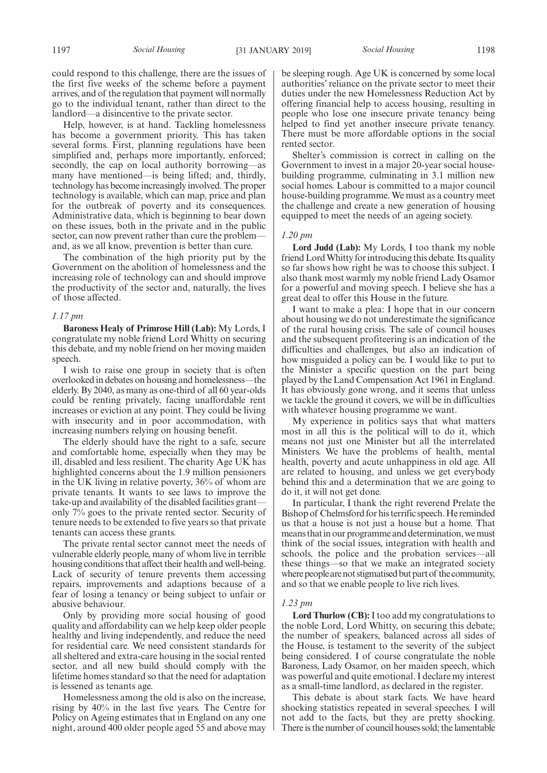could respond to this challenge, there are the issues of the first five weeks of the scheme before a payment arrives, and of the regulation that payment will normally go to the individual tenant, rather than direct to the landlord—a disincentive to the private sector.

Help, however, is at hand. Tackling homelessness has become a government priority. This has taken several forms. First, planning regulations have been simplified and, perhaps more importantly, enforced; secondly, the cap on local authority borrowing—as many have mentioned—is being lifted; and, thirdly, technology has become increasingly involved. The proper technology is available, which can map, price and plan for the outbreak of poverty and its consequences. Administrative data, which is beginning to bear down on these issues, both in the private and in the public sector, can now prevent rather than cure the problem and, as we all know, prevention is better than cure.

The combination of the high priority put by the Government on the abolition of homelessness and the increasing role of technology can and should improve the productivity of the sector and, naturally, the lives of those affected.

## *1.17 pm*

**Baroness Healy of Primrose Hill (Lab):** My Lords, I congratulate my noble friend Lord Whitty on securing this debate, and my noble friend on her moving maiden speech.

I wish to raise one group in society that is often overlooked in debates on housing and homelessness—the elderly. By 2040, as many as one-third of all 60 year-olds could be renting privately, facing unaffordable rent increases or eviction at any point. They could be living with insecurity and in poor accommodation, with increasing numbers relying on housing benefit.

The elderly should have the right to a safe, secure and comfortable home, especially when they may be ill, disabled and less resilient. The charity Age UK has highlighted concerns about the 1.9 million pensioners in the UK living in relative poverty, 36% of whom are private tenants. It wants to see laws to improve the take-up and availability of the disabled facilities grant only  $7\frac{1}{2}$  goes to the private rented sector. Security of tenure needs to be extended to five years so that private tenants can access these grants.

The private rental sector cannot meet the needs of vulnerable elderly people, many of whom live in terrible housing conditions that affect their health and well-being. Lack of security of tenure prevents them accessing repairs, improvements and adaptions because of a fear of losing a tenancy or being subject to unfair or abusive behaviour.

Only by providing more social housing of good quality and affordability can we help keep older people healthy and living independently, and reduce the need for residential care. We need consistent standards for all sheltered and extra-care housing in the social rented sector, and all new build should comply with the lifetime homes standard so that the need for adaptation is lessened as tenants age.

Homelessness among the old is also on the increase, rising by 40% in the last five years. The Centre for Policy on Ageing estimates that in England on any one night, around 400 older people aged 55 and above may be sleeping rough. Age UK is concerned by some local authorities' reliance on the private sector to meet their duties under the new Homelessness Reduction Act by offering financial help to access housing, resulting in people who lose one insecure private tenancy being helped to find yet another insecure private tenancy. There must be more affordable options in the social rented sector.

Shelter's commission is correct in calling on the Government to invest in a major 20-year social housebuilding programme, culminating in 3.1 million new social homes. Labour is committed to a major council house-building programme. We must as a country meet the challenge and create a new generation of housing equipped to meet the needs of an ageing society.

# *1.20 pm*

**Lord Judd (Lab):** My Lords, I too thank my noble friend Lord Whitty for introducing this debate. Its quality so far shows how right he was to choose this subject. I also thank most warmly my noble friend Lady Osamor for a powerful and moving speech. I believe she has a great deal to offer this House in the future.

I want to make a plea: I hope that in our concern about housing we do not underestimate the significance of the rural housing crisis. The sale of council houses and the subsequent profiteering is an indication of the difficulties and challenges, but also an indication of how misguided a policy can be. I would like to put to the Minister a specific question on the part being played by the Land Compensation Act 1961 in England. It has obviously gone wrong, and it seems that unless we tackle the ground it covers, we will be in difficulties with whatever housing programme we want.

My experience in politics says that what matters most in all this is the political will to do it, which means not just one Minister but all the interrelated Ministers. We have the problems of health, mental health, poverty and acute unhappiness in old age. All are related to housing, and unless we get everybody behind this and a determination that we are going to do it, it will not get done.

In particular, I thank the right reverend Prelate the Bishop of Chelmsford for his terrific speech. He reminded us that a house is not just a house but a home. That means that in our programme and determination, we must think of the social issues, integration with health and schools, the police and the probation services—all these things—so that we make an integrated society where people are not stigmatised but part of the community, and so that we enable people to live rich lives.

#### *1.23 pm*

**Lord Thurlow (CB):**I too add my congratulations to the noble Lord, Lord Whitty, on securing this debate; the number of speakers, balanced across all sides of the House, is testament to the severity of the subject being considered. I of course congratulate the noble Baroness, Lady Osamor, on her maiden speech, which was powerful and quite emotional. I declare my interest as a small-time landlord, as declared in the register.

This debate is about stark facts. We have heard shocking statistics repeated in several speeches. I will not add to the facts, but they are pretty shocking. There is the number of council houses sold; the lamentable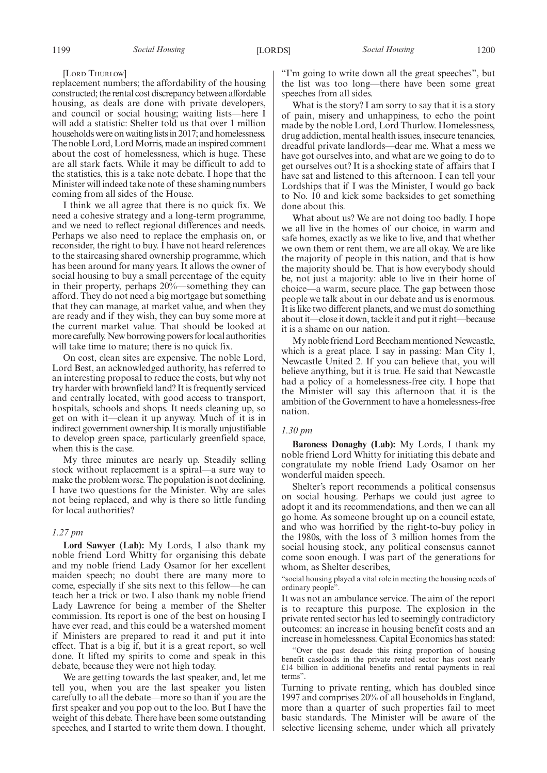[LORD THURLOW]

replacement numbers; the affordability of the housing constructed; the rental cost discrepancy between affordable housing, as deals are done with private developers, and council or social housing; waiting lists—here I will add a statistic: Shelter told us that over 1 million households were on waiting lists in 2017; and homelessness. The noble Lord, Lord Morris, made an inspired comment about the cost of homelessness, which is huge. These are all stark facts. While it may be difficult to add to the statistics, this is a take note debate. I hope that the Minister will indeed take note of these shaming numbers coming from all sides of the House.

I think we all agree that there is no quick fix. We need a cohesive strategy and a long-term programme, and we need to reflect regional differences and needs. Perhaps we also need to replace the emphasis on, or reconsider, the right to buy. I have not heard references to the staircasing shared ownership programme, which has been around for many years. It allows the owner of social housing to buy a small percentage of the equity in their property, perhaps 20%—something they can afford. They do not need a big mortgage but something that they can manage, at market value, and when they are ready and if they wish, they can buy some more at the current market value. That should be looked at more carefully. New borrowing powers for local authorities will take time to mature; there is no quick fix.

On cost, clean sites are expensive. The noble Lord, Lord Best, an acknowledged authority, has referred to an interesting proposal to reduce the costs, but why not try harder with brownfield land? It is frequently serviced and centrally located, with good access to transport, hospitals, schools and shops. It needs cleaning up, so get on with it—clean it up anyway. Much of it is in indirect government ownership. It is morally unjustifiable to develop green space, particularly greenfield space, when this is the case.

My three minutes are nearly up. Steadily selling stock without replacement is a spiral—a sure way to make the problem worse. The population is not declining. I have two questions for the Minister. Why are sales not being replaced, and why is there so little funding for local authorities?

## *1.27 pm*

**Lord Sawyer (Lab):** My Lords, I also thank my noble friend Lord Whitty for organising this debate and my noble friend Lady Osamor for her excellent maiden speech; no doubt there are many more to come, especially if she sits next to this fellow—he can teach her a trick or two. I also thank my noble friend Lady Lawrence for being a member of the Shelter commission. Its report is one of the best on housing I have ever read, and this could be a watershed moment if Ministers are prepared to read it and put it into effect. That is a big if, but it is a great report, so well done. It lifted my spirits to come and speak in this debate, because they were not high today.

We are getting towards the last speaker, and, let me tell you, when you are the last speaker you listen carefully to all the debate—more so than if you are the first speaker and you pop out to the loo. But I have the weight of this debate. There have been some outstanding speeches, and I started to write them down. I thought, "I'm going to write down all the great speeches", but the list was too long—there have been some great speeches from all sides.

What is the story? I am sorry to say that it is a story of pain, misery and unhappiness, to echo the point made by the noble Lord, Lord Thurlow. Homelessness, drug addiction, mental health issues, insecure tenancies, dreadful private landlords—dear me. What a mess we have got ourselves into, and what are we going to do to get ourselves out? It is a shocking state of affairs that I have sat and listened to this afternoon. I can tell your Lordships that if I was the Minister, I would go back to No. 10 and kick some backsides to get something done about this.

What about us? We are not doing too badly. I hope we all live in the homes of our choice, in warm and safe homes, exactly as we like to live, and that whether we own them or rent them, we are all okay. We are like the majority of people in this nation, and that is how the majority should be. That is how everybody should be, not just a majority: able to live in their home of choice—a warm, secure place. The gap between those people we talk about in our debate and us is enormous. It is like two different planets, and we must do something about it—close it down, tackle it and put it right—because it is a shame on our nation.

My noble friend Lord Beecham mentioned Newcastle, which is a great place. I say in passing: Man City 1, Newcastle United 2. If you can believe that, you will believe anything, but it is true. He said that Newcastle had a policy of a homelessness-free city. I hope that the Minister will say this afternoon that it is the ambition of the Government to have a homelessness-free nation.

# *1.30 pm*

**Baroness Donaghy (Lab):** My Lords, I thank my noble friend Lord Whitty for initiating this debate and congratulate my noble friend Lady Osamor on her wonderful maiden speech.

Shelter's report recommends a political consensus on social housing. Perhaps we could just agree to adopt it and its recommendations, and then we can all go home. As someone brought up on a council estate, and who was horrified by the right-to-buy policy in the 1980s, with the loss of 3 million homes from the social housing stock, any political consensus cannot come soon enough. I was part of the generations for whom, as Shelter describes,

"social housing played a vital role in meeting the housing needs of ordinary people".

It was not an ambulance service. The aim of the report is to recapture this purpose. The explosion in the private rented sector has led to seemingly contradictory outcomes: an increase in housing benefit costs and an increase in homelessness. Capital Economics has stated:

"Over the past decade this rising proportion of housing benefit caseloads in the private rented sector has cost nearly £14 billion in additional benefits and rental payments in real terms".

Turning to private renting, which has doubled since 1997 and comprises 20% of all households in England, more than a quarter of such properties fail to meet basic standards. The Minister will be aware of the selective licensing scheme, under which all privately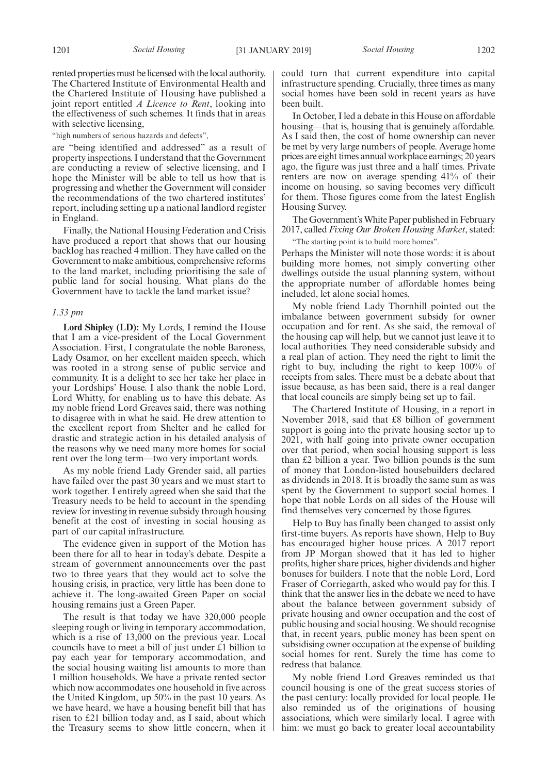rented properties must be licensed with the local authority. The Chartered Institute of Environmental Health and the Chartered Institute of Housing have published a joint report entitled *A Licence to Rent*, looking into the effectiveness of such schemes. It finds that in areas with selective licensing,

"high numbers of serious hazards and defects",

are "being identified and addressed" as a result of property inspections. I understand that the Government are conducting a review of selective licensing, and I hope the Minister will be able to tell us how that is progressing and whether the Government will consider the recommendations of the two chartered institutes' report, including setting up a national landlord register in England.

Finally, the National Housing Federation and Crisis have produced a report that shows that our housing backlog has reached 4 million. They have called on the Government to make ambitious, comprehensive reforms to the land market, including prioritising the sale of public land for social housing. What plans do the Government have to tackle the land market issue?

## *1.33 pm*

**Lord Shipley (LD):** My Lords, I remind the House that I am a vice-president of the Local Government Association. First, I congratulate the noble Baroness, Lady Osamor, on her excellent maiden speech, which was rooted in a strong sense of public service and community. It is a delight to see her take her place in your Lordships' House. I also thank the noble Lord, Lord Whitty, for enabling us to have this debate. As my noble friend Lord Greaves said, there was nothing to disagree with in what he said. He drew attention to the excellent report from Shelter and he called for drastic and strategic action in his detailed analysis of the reasons why we need many more homes for social rent over the long term—two very important words.

As my noble friend Lady Grender said, all parties have failed over the past 30 years and we must start to work together. I entirely agreed when she said that the Treasury needs to be held to account in the spending review for investing in revenue subsidy through housing benefit at the cost of investing in social housing as part of our capital infrastructure.

The evidence given in support of the Motion has been there for all to hear in today's debate. Despite a stream of government announcements over the past two to three years that they would act to solve the housing crisis, in practice, very little has been done to achieve it. The long-awaited Green Paper on social housing remains just a Green Paper.

The result is that today we have 320,000 people sleeping rough or living in temporary accommodation, which is a rise of 13,000 on the previous year. Local councils have to meet a bill of just under £1 billion to pay each year for temporary accommodation, and the social housing waiting list amounts to more than 1 million households. We have a private rented sector which now accommodates one household in five across the United Kingdom, up 50% in the past 10 years. As we have heard, we have a housing benefit bill that has risen to £21 billion today and, as I said, about which the Treasury seems to show little concern, when it could turn that current expenditure into capital infrastructure spending. Crucially, three times as many social homes have been sold in recent years as have been built.

In October, I led a debate in this House on affordable housing—that is, housing that is genuinely affordable. As I said then, the cost of home ownership can never be met by very large numbers of people. Average home prices are eight times annual workplace earnings; 20 years ago, the figure was just three and a half times. Private renters are now on average spending 41% of their income on housing, so saving becomes very difficult for them. Those figures come from the latest English Housing Survey.

The Government's White Paper published in February 2017, called *Fixing Our Broken Housing Market*, stated:

"The starting point is to build more homes".

Perhaps the Minister will note those words: it is about building more homes, not simply converting other dwellings outside the usual planning system, without the appropriate number of affordable homes being included, let alone social homes.

My noble friend Lady Thornhill pointed out the imbalance between government subsidy for owner occupation and for rent. As she said, the removal of the housing cap will help, but we cannot just leave it to local authorities. They need considerable subsidy and a real plan of action. They need the right to limit the right to buy, including the right to keep 100% of receipts from sales. There must be a debate about that issue because, as has been said, there is a real danger that local councils are simply being set up to fail.

The Chartered Institute of Housing, in a report in November 2018, said that £8 billion of government support is going into the private housing sector up to 2021, with half going into private owner occupation over that period, when social housing support is less than £2 billion a year. Two billion pounds is the sum of money that London-listed housebuilders declared as dividends in 2018. It is broadly the same sum as was spent by the Government to support social homes. I hope that noble Lords on all sides of the House will find themselves very concerned by those figures.

Help to Buy has finally been changed to assist only first-time buyers. As reports have shown, Help to Buy has encouraged higher house prices. A 2017 report from JP Morgan showed that it has led to higher profits, higher share prices, higher dividends and higher bonuses for builders. I note that the noble Lord, Lord Fraser of Corriegarth, asked who would pay for this. I think that the answer lies in the debate we need to have about the balance between government subsidy of private housing and owner occupation and the cost of public housing and social housing. We should recognise that, in recent years, public money has been spent on subsidising owner occupation at the expense of building social homes for rent. Surely the time has come to redress that balance.

My noble friend Lord Greaves reminded us that council housing is one of the great success stories of the past century: locally provided for local people. He also reminded us of the originations of housing associations, which were similarly local. I agree with him: we must go back to greater local accountability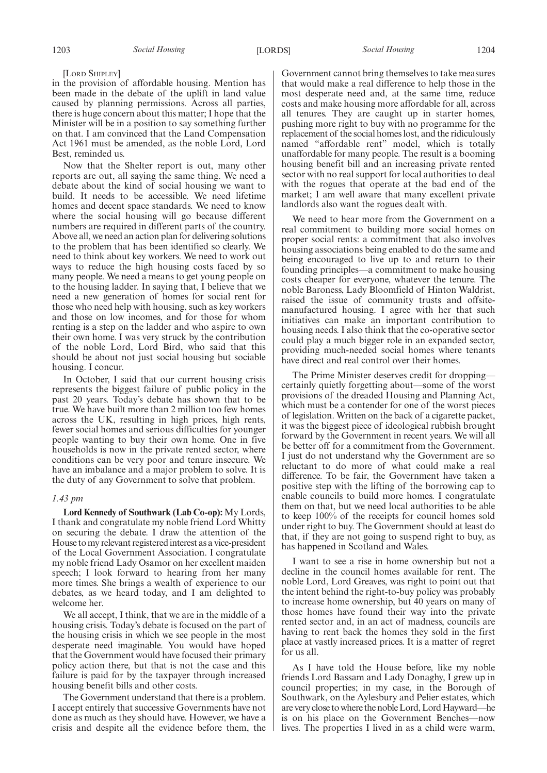#### [LORD SHIPLEY]

in the provision of affordable housing. Mention has been made in the debate of the uplift in land value caused by planning permissions. Across all parties, there is huge concern about this matter; I hope that the Minister will be in a position to say something further on that. I am convinced that the Land Compensation Act 1961 must be amended, as the noble Lord, Lord Best, reminded us.

Now that the Shelter report is out, many other reports are out, all saying the same thing. We need a debate about the kind of social housing we want to build. It needs to be accessible. We need lifetime homes and decent space standards. We need to know where the social housing will go because different numbers are required in different parts of the country. Above all, we need an action plan for delivering solutions to the problem that has been identified so clearly. We need to think about key workers. We need to work out ways to reduce the high housing costs faced by so many people. We need a means to get young people on to the housing ladder. In saying that, I believe that we need a new generation of homes for social rent for those who need help with housing, such as key workers and those on low incomes, and for those for whom renting is a step on the ladder and who aspire to own their own home. I was very struck by the contribution of the noble Lord, Lord Bird, who said that this should be about not just social housing but sociable housing. I concur.

In October, I said that our current housing crisis represents the biggest failure of public policy in the past 20 years. Today's debate has shown that to be true. We have built more than 2 million too few homes across the UK, resulting in high prices, high rents, fewer social homes and serious difficulties for younger people wanting to buy their own home. One in five households is now in the private rented sector, where conditions can be very poor and tenure insecure. We have an imbalance and a major problem to solve. It is the duty of any Government to solve that problem.

# *1.43 pm*

**Lord Kennedy of Southwark (Lab Co-op):** My Lords, I thank and congratulate my noble friend Lord Whitty on securing the debate. I draw the attention of the House to my relevant registered interest as a vice-president of the Local Government Association. I congratulate my noble friend Lady Osamor on her excellent maiden speech; I look forward to hearing from her many more times. She brings a wealth of experience to our debates, as we heard today, and I am delighted to welcome her.

We all accept, I think, that we are in the middle of a housing crisis. Today's debate is focused on the part of the housing crisis in which we see people in the most desperate need imaginable. You would have hoped that the Government would have focused their primary policy action there, but that is not the case and this failure is paid for by the taxpayer through increased housing benefit bills and other costs.

The Government understand that there is a problem. I accept entirely that successive Governments have not done as much as they should have. However, we have a crisis and despite all the evidence before them, the Government cannot bring themselves to take measures that would make a real difference to help those in the most desperate need and, at the same time, reduce costs and make housing more affordable for all, across all tenures. They are caught up in starter homes, pushing more right to buy with no programme for the replacement of the social homes lost, and the ridiculously named "affordable rent" model, which is totally unaffordable for many people. The result is a booming housing benefit bill and an increasing private rented sector with no real support for local authorities to deal with the rogues that operate at the bad end of the market; I am well aware that many excellent private landlords also want the rogues dealt with.

We need to hear more from the Government on a real commitment to building more social homes on proper social rents: a commitment that also involves housing associations being enabled to do the same and being encouraged to live up to and return to their founding principles—a commitment to make housing costs cheaper for everyone, whatever the tenure. The noble Baroness, Lady Bloomfield of Hinton Waldrist, raised the issue of community trusts and offsitemanufactured housing. I agree with her that such initiatives can make an important contribution to housing needs. I also think that the co-operative sector could play a much bigger role in an expanded sector, providing much-needed social homes where tenants have direct and real control over their homes.

The Prime Minister deserves credit for dropping certainly quietly forgetting about—some of the worst provisions of the dreaded Housing and Planning Act, which must be a contender for one of the worst pieces of legislation. Written on the back of a cigarette packet, it was the biggest piece of ideological rubbish brought forward by the Government in recent years. We will all be better off for a commitment from the Government. I just do not understand why the Government are so reluctant to do more of what could make a real difference. To be fair, the Government have taken a positive step with the lifting of the borrowing cap to enable councils to build more homes. I congratulate them on that, but we need local authorities to be able to keep 100% of the receipts for council homes sold under right to buy. The Government should at least do that, if they are not going to suspend right to buy, as has happened in Scotland and Wales.

I want to see a rise in home ownership but not a decline in the council homes available for rent. The noble Lord, Lord Greaves, was right to point out that the intent behind the right-to-buy policy was probably to increase home ownership, but 40 years on many of those homes have found their way into the private rented sector and, in an act of madness, councils are having to rent back the homes they sold in the first place at vastly increased prices. It is a matter of regret for us all.

As I have told the House before, like my noble friends Lord Bassam and Lady Donaghy, I grew up in council properties; in my case, in the Borough of Southwark, on the Aylesbury and Pelier estates, which are very close to where the noble Lord, Lord Hayward—he is on his place on the Government Benches—now lives. The properties I lived in as a child were warm,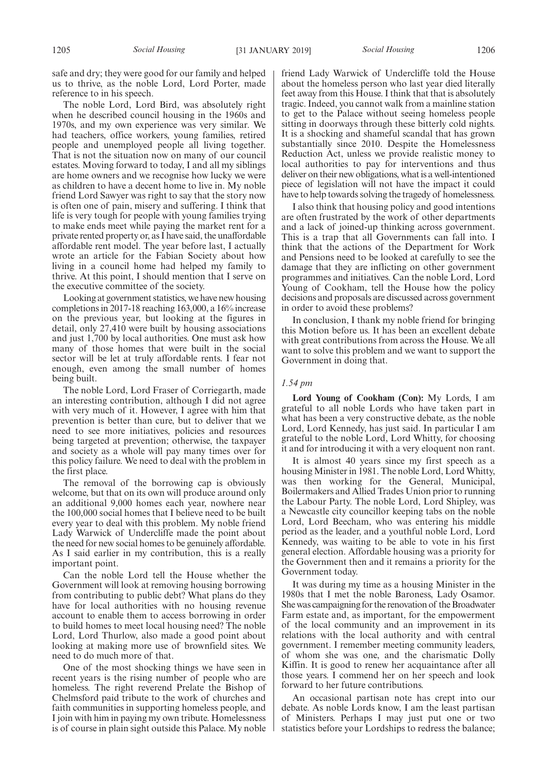safe and dry; they were good for our family and helped us to thrive, as the noble Lord, Lord Porter, made reference to in his speech.

The noble Lord, Lord Bird, was absolutely right when he described council housing in the 1960s and 1970s, and my own experience was very similar. We had teachers, office workers, young families, retired people and unemployed people all living together. That is not the situation now on many of our council estates. Moving forward to today, I and all my siblings are home owners and we recognise how lucky we were as children to have a decent home to live in. My noble friend Lord Sawyer was right to say that the story now is often one of pain, misery and suffering. I think that life is very tough for people with young families trying to make ends meet while paying the market rent for a private rented property or, as I have said, the unaffordable affordable rent model. The year before last, I actually wrote an article for the Fabian Society about how living in a council home had helped my family to thrive. At this point, I should mention that I serve on the executive committee of the society.

Looking at government statistics, we have new housing completions in 2017-18 reaching 163,000, a 16% increase on the previous year, but looking at the figures in detail, only 27,410 were built by housing associations and just 1,700 by local authorities. One must ask how many of those homes that were built in the social sector will be let at truly affordable rents. I fear not enough, even among the small number of homes being built.

The noble Lord, Lord Fraser of Corriegarth, made an interesting contribution, although I did not agree with very much of it. However, I agree with him that prevention is better than cure, but to deliver that we need to see more initiatives, policies and resources being targeted at prevention; otherwise, the taxpayer and society as a whole will pay many times over for this policy failure. We need to deal with the problem in the first place.

The removal of the borrowing cap is obviously welcome, but that on its own will produce around only an additional 9,000 homes each year, nowhere near the 100,000 social homes that I believe need to be built every year to deal with this problem. My noble friend Lady Warwick of Undercliffe made the point about the need for new social homes to be genuinely affordable. As I said earlier in my contribution, this is a really important point.

Can the noble Lord tell the House whether the Government will look at removing housing borrowing from contributing to public debt? What plans do they have for local authorities with no housing revenue account to enable them to access borrowing in order to build homes to meet local housing need? The noble Lord, Lord Thurlow, also made a good point about looking at making more use of brownfield sites. We need to do much more of that.

One of the most shocking things we have seen in recent years is the rising number of people who are homeless. The right reverend Prelate the Bishop of Chelmsford paid tribute to the work of churches and faith communities in supporting homeless people, and I join with him in paying my own tribute. Homelessness is of course in plain sight outside this Palace. My noble friend Lady Warwick of Undercliffe told the House about the homeless person who last year died literally feet away from this House. I think that that is absolutely tragic. Indeed, you cannot walk from a mainline station to get to the Palace without seeing homeless people sitting in doorways through these bitterly cold nights. It is a shocking and shameful scandal that has grown substantially since 2010. Despite the Homelessness Reduction Act, unless we provide realistic money to local authorities to pay for interventions and thus deliver on their new obligations, what is a well-intentioned piece of legislation will not have the impact it could have to help towards solving the tragedy of homelessness.

I also think that housing policy and good intentions are often frustrated by the work of other departments and a lack of joined-up thinking across government. This is a trap that all Governments can fall into. I think that the actions of the Department for Work and Pensions need to be looked at carefully to see the damage that they are inflicting on other government programmes and initiatives. Can the noble Lord, Lord Young of Cookham, tell the House how the policy decisions and proposals are discussed across government in order to avoid these problems?

In conclusion, I thank my noble friend for bringing this Motion before us. It has been an excellent debate with great contributions from across the House. We all want to solve this problem and we want to support the Government in doing that.

## *1.54 pm*

**Lord Young of Cookham (Con):** My Lords, I am grateful to all noble Lords who have taken part in what has been a very constructive debate, as the noble Lord, Lord Kennedy, has just said. In particular I am grateful to the noble Lord, Lord Whitty, for choosing it and for introducing it with a very eloquent non rant.

It is almost 40 years since my first speech as a housing Minister in 1981. The noble Lord, Lord Whitty, was then working for the General, Municipal, Boilermakers and Allied Trades Union prior to running the Labour Party. The noble Lord, Lord Shipley, was a Newcastle city councillor keeping tabs on the noble Lord, Lord Beecham, who was entering his middle period as the leader, and a youthful noble Lord, Lord Kennedy, was waiting to be able to vote in his first general election. Affordable housing was a priority for the Government then and it remains a priority for the Government today.

It was during my time as a housing Minister in the 1980s that I met the noble Baroness, Lady Osamor. She was campaigning for the renovation of the Broadwater Farm estate and, as important, for the empowerment of the local community and an improvement in its relations with the local authority and with central government. I remember meeting community leaders, of whom she was one, and the charismatic Dolly Kiffin. It is good to renew her acquaintance after all those years. I commend her on her speech and look forward to her future contributions.

An occasional partisan note has crept into our debate. As noble Lords know, I am the least partisan of Ministers. Perhaps I may just put one or two statistics before your Lordships to redress the balance;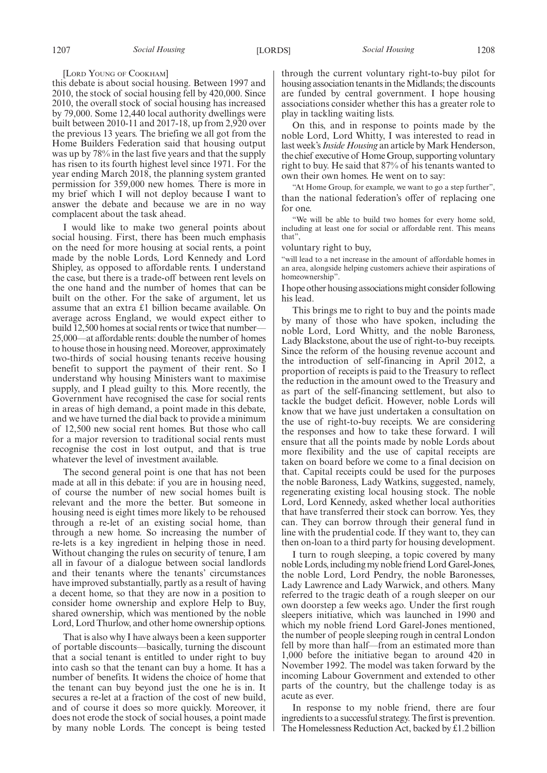#### [LORD YOUNG OF COOKHAM]

this debate is about social housing. Between 1997 and 2010, the stock of social housing fell by 420,000. Since 2010, the overall stock of social housing has increased by 79,000. Some 12,440 local authority dwellings were built between 2010-11 and 2017-18, up from 2,920 over the previous 13 years. The briefing we all got from the Home Builders Federation said that housing output was up by 78% in the last five years and that the supply has risen to its fourth highest level since 1971. For the year ending March 2018, the planning system granted permission for 359,000 new homes. There is more in my brief which I will not deploy because I want to answer the debate and because we are in no way complacent about the task ahead.

I would like to make two general points about social housing. First, there has been much emphasis on the need for more housing at social rents, a point made by the noble Lords, Lord Kennedy and Lord Shipley, as opposed to affordable rents. I understand the case, but there is a trade-off between rent levels on the one hand and the number of homes that can be built on the other. For the sake of argument, let us assume that an extra £1 billion became available. On average across England, we would expect either to build 12,500 homes at social rents or twice that number— 25,000—at affordable rents: double the number of homes to house those in housing need. Moreover, approximately two-thirds of social housing tenants receive housing benefit to support the payment of their rent. So I understand why housing Ministers want to maximise supply, and I plead guilty to this. More recently, the Government have recognised the case for social rents in areas of high demand, a point made in this debate, and we have turned the dial back to provide a minimum of 12,500 new social rent homes. But those who call for a major reversion to traditional social rents must recognise the cost in lost output, and that is true whatever the level of investment available.

The second general point is one that has not been made at all in this debate: if you are in housing need, of course the number of new social homes built is relevant and the more the better. But someone in housing need is eight times more likely to be rehoused through a re-let of an existing social home, than through a new home. So increasing the number of re-lets is a key ingredient in helping those in need. Without changing the rules on security of tenure, I am all in favour of a dialogue between social landlords and their tenants where the tenants' circumstances have improved substantially, partly as a result of having a decent home, so that they are now in a position to consider home ownership and explore Help to Buy, shared ownership, which was mentioned by the noble Lord, Lord Thurlow, and other home ownership options.

That is also why I have always been a keen supporter of portable discounts—basically, turning the discount that a social tenant is entitled to under right to buy into cash so that the tenant can buy a home. It has a number of benefits. It widens the choice of home that the tenant can buy beyond just the one he is in. It secures a re-let at a fraction of the cost of new build, and of course it does so more quickly. Moreover, it does not erode the stock of social houses, a point made by many noble Lords. The concept is being tested through the current voluntary right-to-buy pilot for housing association tenants in the Midlands; the discounts are funded by central government. I hope housing associations consider whether this has a greater role to play in tackling waiting lists.

On this, and in response to points made by the noble Lord, Lord Whitty, I was interested to read in last week's*Inside Housing* an article by Mark Henderson, the chief executive of Home Group, supporting voluntary right to buy. He said that 87% of his tenants wanted to own their own homes. He went on to say:

"At Home Group, for example, we want to go a step further", than the national federation's offer of replacing one for one.

"We will be able to build two homes for every home sold, including at least one for social or affordable rent. This means that",

voluntary right to buy,

"will lead to a net increase in the amount of affordable homes in an area, alongside helping customers achieve their aspirations of homeownership".

I hope other housing associations might consider following his lead.

This brings me to right to buy and the points made by many of those who have spoken, including the noble Lord, Lord Whitty, and the noble Baroness, Lady Blackstone, about the use of right-to-buy receipts. Since the reform of the housing revenue account and the introduction of self-financing in April 2012, a proportion of receipts is paid to the Treasury to reflect the reduction in the amount owed to the Treasury and as part of the self-financing settlement, but also to tackle the budget deficit. However, noble Lords will know that we have just undertaken a consultation on the use of right-to-buy receipts. We are considering the responses and how to take these forward. I will ensure that all the points made by noble Lords about more flexibility and the use of capital receipts are taken on board before we come to a final decision on that. Capital receipts could be used for the purposes the noble Baroness, Lady Watkins, suggested, namely, regenerating existing local housing stock. The noble Lord, Lord Kennedy, asked whether local authorities that have transferred their stock can borrow. Yes, they can. They can borrow through their general fund in line with the prudential code. If they want to, they can then on-loan to a third party for housing development.

I turn to rough sleeping, a topic covered by many noble Lords, including my noble friend Lord Garel-Jones, the noble Lord, Lord Pendry, the noble Baronesses, Lady Lawrence and Lady Warwick, and others. Many referred to the tragic death of a rough sleeper on our own doorstep a few weeks ago. Under the first rough sleepers initiative, which was launched in 1990 and which my noble friend Lord Garel-Jones mentioned, the number of people sleeping rough in central London fell by more than half—from an estimated more than 1,000 before the initiative began to around 420 in November 1992. The model was taken forward by the incoming Labour Government and extended to other parts of the country, but the challenge today is as acute as ever.

In response to my noble friend, there are four ingredients to a successful strategy. The first is prevention. The Homelessness Reduction Act, backed by £1.2 billion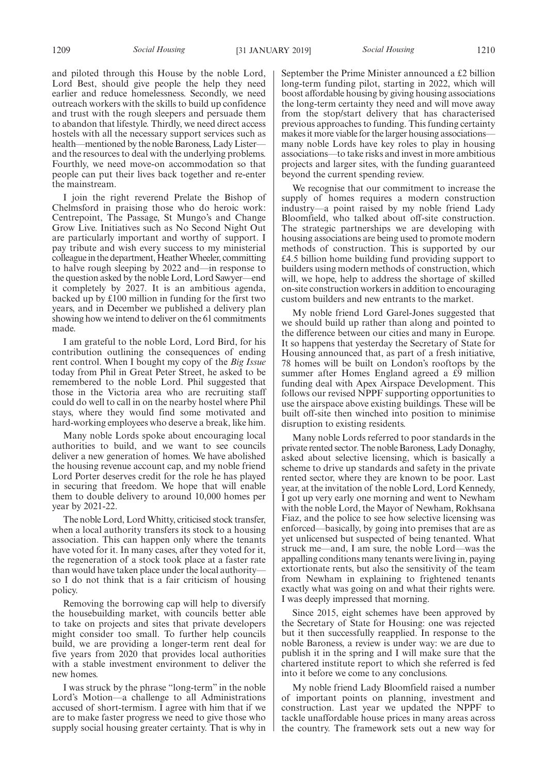and piloted through this House by the noble Lord, Lord Best, should give people the help they need earlier and reduce homelessness. Secondly, we need outreach workers with the skills to build up confidence and trust with the rough sleepers and persuade them to abandon that lifestyle. Thirdly, we need direct access hostels with all the necessary support services such as health—mentioned by the noble Baroness, Lady Lister and the resources to deal with the underlying problems. Fourthly, we need move-on accommodation so that people can put their lives back together and re-enter the mainstream.

I join the right reverend Prelate the Bishop of Chelmsford in praising those who do heroic work: Centrepoint, The Passage, St Mungo's and Change Grow Live. Initiatives such as No Second Night Out are particularly important and worthy of support. I pay tribute and wish every success to my ministerial colleague in the department, Heather Wheeler, committing to halve rough sleeping by 2022 and—in response to the question asked by the noble Lord, Lord Sawyer—end it completely by 2027. It is an ambitious agenda, backed up by £100 million in funding for the first two years, and in December we published a delivery plan showing how we intend to deliver on the 61 commitments made.

I am grateful to the noble Lord, Lord Bird, for his contribution outlining the consequences of ending rent control. When I bought my copy of the *Big Issue* today from Phil in Great Peter Street, he asked to be remembered to the noble Lord. Phil suggested that those in the Victoria area who are recruiting staff could do well to call in on the nearby hostel where Phil stays, where they would find some motivated and hard-working employees who deserve a break, like him.

Many noble Lords spoke about encouraging local authorities to build, and we want to see councils deliver a new generation of homes. We have abolished the housing revenue account cap, and my noble friend Lord Porter deserves credit for the role he has played in securing that freedom. We hope that will enable them to double delivery to around 10,000 homes per year by 2021-22.

The noble Lord, Lord Whitty, criticised stock transfer, when a local authority transfers its stock to a housing association. This can happen only where the tenants have voted for it. In many cases, after they voted for it, the regeneration of a stock took place at a faster rate than would have taken place under the local authority so I do not think that is a fair criticism of housing policy.

Removing the borrowing cap will help to diversify the housebuilding market, with councils better able to take on projects and sites that private developers might consider too small. To further help councils build, we are providing a longer-term rent deal for five years from 2020 that provides local authorities with a stable investment environment to deliver the new homes.

I was struck by the phrase "long-term" in the noble Lord's Motion—a challenge to all Administrations accused of short-termism. I agree with him that if we are to make faster progress we need to give those who supply social housing greater certainty. That is why in September the Prime Minister announced a £2 billion long-term funding pilot, starting in 2022, which will boost affordable housing by giving housing associations the long-term certainty they need and will move away from the stop/start delivery that has characterised previous approaches to funding. This funding certainty makes it more viable for the larger housing associations many noble Lords have key roles to play in housing associations—to take risks and invest in more ambitious projects and larger sites, with the funding guaranteed beyond the current spending review.

We recognise that our commitment to increase the supply of homes requires a modern construction industry—a point raised by my noble friend Lady Bloomfield, who talked about off-site construction. The strategic partnerships we are developing with housing associations are being used to promote modern methods of construction. This is supported by our £4.5 billion home building fund providing support to builders using modern methods of construction, which will, we hope, help to address the shortage of skilled on-site construction workers in addition to encouraging custom builders and new entrants to the market.

My noble friend Lord Garel-Jones suggested that we should build up rather than along and pointed to the difference between our cities and many in Europe. It so happens that yesterday the Secretary of State for Housing announced that, as part of a fresh initiative, 78 homes will be built on London's rooftops by the summer after Homes England agreed a £9 million funding deal with Apex Airspace Development. This follows our revised NPPF supporting opportunities to use the airspace above existing buildings. These will be built off-site then winched into position to minimise disruption to existing residents.

Many noble Lords referred to poor standards in the private rented sector. The noble Baroness, Lady Donaghy, asked about selective licensing, which is basically a scheme to drive up standards and safety in the private rented sector, where they are known to be poor. Last year, at the invitation of the noble Lord, Lord Kennedy, I got up very early one morning and went to Newham with the noble Lord, the Mayor of Newham, Rokhsana Fiaz, and the police to see how selective licensing was enforced—basically, by going into premises that are as yet unlicensed but suspected of being tenanted. What struck me—and, I am sure, the noble Lord—was the appalling conditions many tenants were living in, paying extortionate rents, but also the sensitivity of the team from Newham in explaining to frightened tenants exactly what was going on and what their rights were. I was deeply impressed that morning.

Since 2015, eight schemes have been approved by the Secretary of State for Housing: one was rejected but it then successfully reapplied. In response to the noble Baroness, a review is under way: we are due to publish it in the spring and I will make sure that the chartered institute report to which she referred is fed into it before we come to any conclusions.

My noble friend Lady Bloomfield raised a number of important points on planning, investment and construction. Last year we updated the NPPF to tackle unaffordable house prices in many areas across the country. The framework sets out a new way for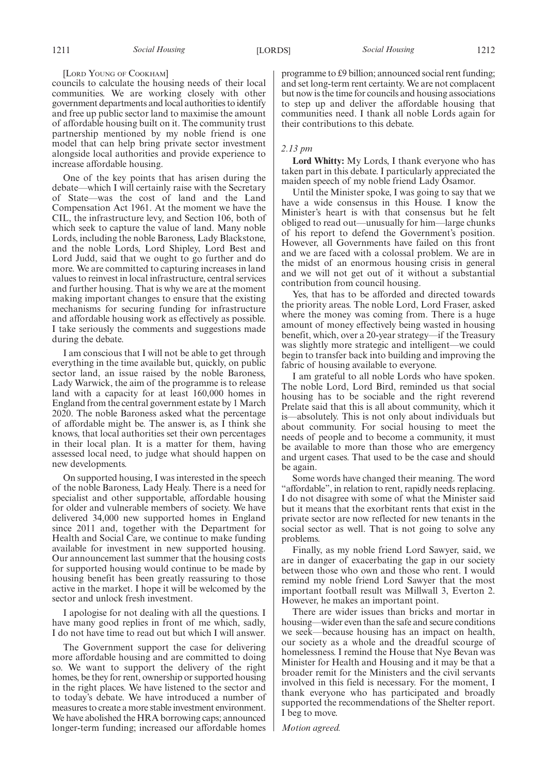#### [LORD YOUNG OF COOKHAM]

councils to calculate the housing needs of their local communities. We are working closely with other government departments and local authorities to identify and free up public sector land to maximise the amount of affordable housing built on it. The community trust partnership mentioned by my noble friend is one model that can help bring private sector investment alongside local authorities and provide experience to increase affordable housing.

One of the key points that has arisen during the debate—which I will certainly raise with the Secretary of State—was the cost of land and the Land Compensation Act 1961. At the moment we have the CIL, the infrastructure levy, and Section 106, both of which seek to capture the value of land. Many noble Lords, including the noble Baroness, Lady Blackstone, and the noble Lords, Lord Shipley, Lord Best and Lord Judd, said that we ought to go further and do more. We are committed to capturing increases in land values to reinvest in local infrastructure, central services and further housing. That is why we are at the moment making important changes to ensure that the existing mechanisms for securing funding for infrastructure and affordable housing work as effectively as possible. I take seriously the comments and suggestions made during the debate.

I am conscious that I will not be able to get through everything in the time available but, quickly, on public sector land, an issue raised by the noble Baroness, Lady Warwick, the aim of the programme is to release land with a capacity for at least 160,000 homes in England from the central government estate by 1 March 2020. The noble Baroness asked what the percentage of affordable might be. The answer is, as I think she knows, that local authorities set their own percentages in their local plan. It is a matter for them, having assessed local need, to judge what should happen on new developments.

On supported housing, I was interested in the speech of the noble Baroness, Lady Healy. There is a need for specialist and other supportable, affordable housing for older and vulnerable members of society. We have delivered 34,000 new supported homes in England since 2011 and, together with the Department for Health and Social Care, we continue to make funding available for investment in new supported housing. Our announcement last summer that the housing costs for supported housing would continue to be made by housing benefit has been greatly reassuring to those active in the market. I hope it will be welcomed by the sector and unlock fresh investment.

I apologise for not dealing with all the questions. I have many good replies in front of me which, sadly, I do not have time to read out but which I will answer.

The Government support the case for delivering more affordable housing and are committed to doing so. We want to support the delivery of the right homes, be they for rent, ownership or supported housing in the right places. We have listened to the sector and to today's debate. We have introduced a number of measures to create a more stable investment environment. We have abolished the HRA borrowing caps; announced longer-term funding; increased our affordable homes programme to £9 billion; announced social rent funding; and set long-term rent certainty. We are not complacent but now is the time for councils and housing associations to step up and deliver the affordable housing that communities need. I thank all noble Lords again for their contributions to this debate.

# *2.13 pm*

**Lord Whitty:** My Lords, I thank everyone who has taken part in this debate. I particularly appreciated the maiden speech of my noble friend Lady Osamor.

Until the Minister spoke, I was going to say that we have a wide consensus in this House. I know the Minister's heart is with that consensus but he felt obliged to read out—unusually for him—large chunks of his report to defend the Government's position. However, all Governments have failed on this front and we are faced with a colossal problem. We are in the midst of an enormous housing crisis in general and we will not get out of it without a substantial contribution from council housing.

Yes, that has to be afforded and directed towards the priority areas. The noble Lord, Lord Fraser, asked where the money was coming from. There is a huge amount of money effectively being wasted in housing benefit, which, over a 20-year strategy—if the Treasury was slightly more strategic and intelligent—we could begin to transfer back into building and improving the fabric of housing available to everyone.

I am grateful to all noble Lords who have spoken. The noble Lord, Lord Bird, reminded us that social housing has to be sociable and the right reverend Prelate said that this is all about community, which it is—absolutely. This is not only about individuals but about community. For social housing to meet the needs of people and to become a community, it must be available to more than those who are emergency and urgent cases. That used to be the case and should be again.

Some words have changed their meaning. The word "affordable", in relation to rent, rapidly needs replacing. I do not disagree with some of what the Minister said but it means that the exorbitant rents that exist in the private sector are now reflected for new tenants in the social sector as well. That is not going to solve any problems.

Finally, as my noble friend Lord Sawyer, said, we are in danger of exacerbating the gap in our society between those who own and those who rent. I would remind my noble friend Lord Sawyer that the most important football result was Millwall 3, Everton 2. However, he makes an important point.

There are wider issues than bricks and mortar in housing—wider even than the safe and secure conditions we seek—because housing has an impact on health, our society as a whole and the dreadful scourge of homelessness. I remind the House that Nye Bevan was Minister for Health and Housing and it may be that a broader remit for the Ministers and the civil servants involved in this field is necessary. For the moment, I thank everyone who has participated and broadly supported the recommendations of the Shelter report. I beg to move.

*Motion agreed.*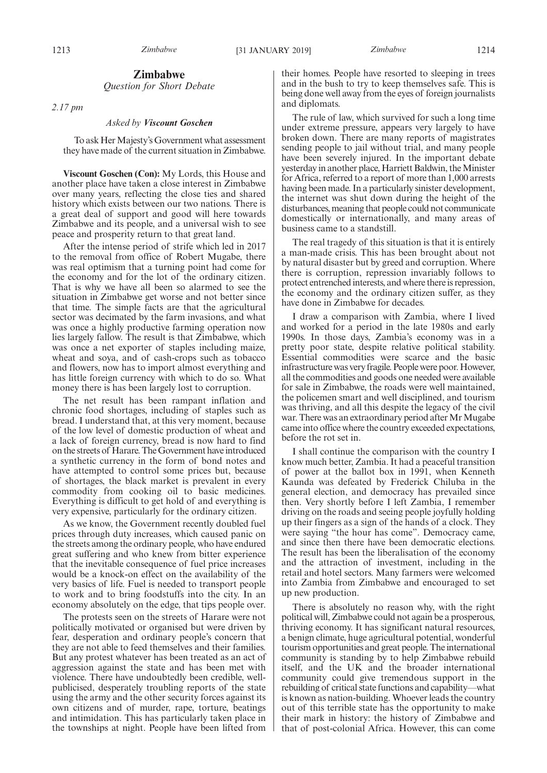# **Zimbabwe**

*Question for Short Debate*

*2.17 pm*

#### *Asked by Viscount Goschen*

To ask Her Majesty's Government what assessment they have made of the current situation in Zimbabwe.

**Viscount Goschen (Con):** My Lords, this House and another place have taken a close interest in Zimbabwe over many years, reflecting the close ties and shared history which exists between our two nations. There is a great deal of support and good will here towards Zimbabwe and its people, and a universal wish to see peace and prosperity return to that great land.

After the intense period of strife which led in 2017 to the removal from office of Robert Mugabe, there was real optimism that a turning point had come for the economy and for the lot of the ordinary citizen. That is why we have all been so alarmed to see the situation in Zimbabwe get worse and not better since that time. The simple facts are that the agricultural sector was decimated by the farm invasions, and what was once a highly productive farming operation now lies largely fallow. The result is that Zimbabwe, which was once a net exporter of staples including maize, wheat and soya, and of cash-crops such as tobacco and flowers, now has to import almost everything and has little foreign currency with which to do so. What money there is has been largely lost to corruption.

The net result has been rampant inflation and chronic food shortages, including of staples such as bread. I understand that, at this very moment, because of the low level of domestic production of wheat and a lack of foreign currency, bread is now hard to find on the streets of Harare. The Government have introduced a synthetic currency in the form of bond notes and have attempted to control some prices but, because of shortages, the black market is prevalent in every commodity from cooking oil to basic medicines. Everything is difficult to get hold of and everything is very expensive, particularly for the ordinary citizen.

As we know, the Government recently doubled fuel prices through duty increases, which caused panic on the streets among the ordinary people, who have endured great suffering and who knew from bitter experience that the inevitable consequence of fuel price increases would be a knock-on effect on the availability of the very basics of life. Fuel is needed to transport people to work and to bring foodstuffs into the city. In an economy absolutely on the edge, that tips people over.

The protests seen on the streets of Harare were not politically motivated or organised but were driven by fear, desperation and ordinary people's concern that they are not able to feed themselves and their families. But any protest whatever has been treated as an act of aggression against the state and has been met with violence. There have undoubtedly been credible, wellpublicised, desperately troubling reports of the state using the army and the other security forces against its own citizens and of murder, rape, torture, beatings and intimidation. This has particularly taken place in the townships at night. People have been lifted from their homes. People have resorted to sleeping in trees and in the bush to try to keep themselves safe. This is being done well away from the eyes of foreign journalists and diplomats.

The rule of law, which survived for such a long time under extreme pressure, appears very largely to have broken down. There are many reports of magistrates sending people to jail without trial, and many people have been severely injured. In the important debate yesterday in another place, Harriett Baldwin, the Minister for Africa, referred to a report of more than 1,000 arrests having been made. In a particularly sinister development, the internet was shut down during the height of the disturbances, meaning that people could not communicate domestically or internationally, and many areas of business came to a standstill.

The real tragedy of this situation is that it is entirely a man-made crisis. This has been brought about not by natural disaster but by greed and corruption. Where there is corruption, repression invariably follows to protect entrenched interests, and where there is repression, the economy and the ordinary citizen suffer, as they have done in Zimbabwe for decades.

I draw a comparison with Zambia, where I lived and worked for a period in the late 1980s and early 1990s. In those days, Zambia's economy was in a pretty poor state, despite relative political stability. Essential commodities were scarce and the basic infrastructure was very fragile. People were poor. However, all the commodities and goods one needed were available for sale in Zimbabwe, the roads were well maintained, the policemen smart and well disciplined, and tourism was thriving, and all this despite the legacy of the civil war. There was an extraordinary period after Mr Mugabe came into office where the country exceeded expectations, before the rot set in.

I shall continue the comparison with the country I know much better, Zambia. It had a peaceful transition of power at the ballot box in 1991, when Kenneth Kaunda was defeated by Frederick Chiluba in the general election, and democracy has prevailed since then. Very shortly before I left Zambia, I remember driving on the roads and seeing people joyfully holding up their fingers as a sign of the hands of a clock. They were saying "the hour has come". Democracy came, and since then there have been democratic elections. The result has been the liberalisation of the economy and the attraction of investment, including in the retail and hotel sectors. Many farmers were welcomed into Zambia from Zimbabwe and encouraged to set up new production.

There is absolutely no reason why, with the right political will, Zimbabwe could not again be a prosperous, thriving economy. It has significant natural resources, a benign climate, huge agricultural potential, wonderful tourism opportunities and great people. The international community is standing by to help Zimbabwe rebuild itself, and the UK and the broader international community could give tremendous support in the rebuilding of critical state functions and capability—what is known as nation-building. Whoever leads the country out of this terrible state has the opportunity to make their mark in history: the history of Zimbabwe and that of post-colonial Africa. However, this can come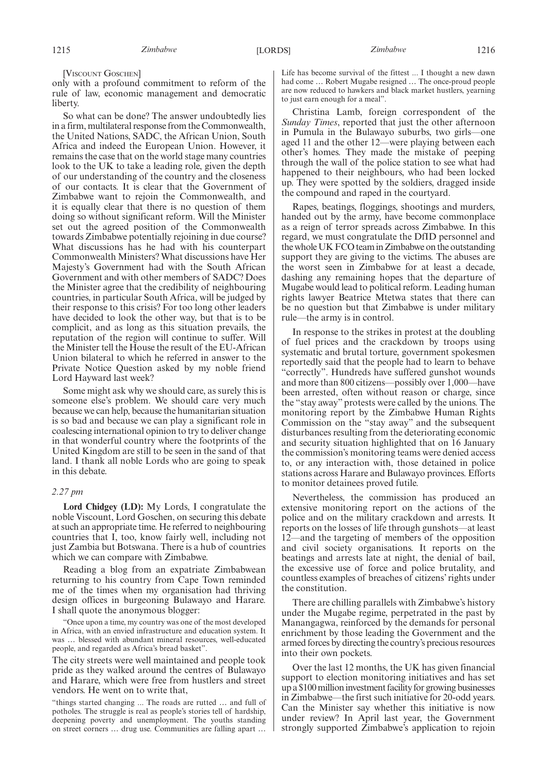[VISCOUNT GOSCHEN]

only with a profound commitment to reform of the rule of law, economic management and democratic liberty.

So what can be done? The answer undoubtedly lies in a firm, multilateral response from the Commonwealth, the United Nations, SADC, the African Union, South Africa and indeed the European Union. However, it remains the case that on the world stage many countries look to the UK to take a leading role, given the depth of our understanding of the country and the closeness of our contacts. It is clear that the Government of Zimbabwe want to rejoin the Commonwealth, and it is equally clear that there is no question of them doing so without significant reform. Will the Minister set out the agreed position of the Commonwealth towards Zimbabwe potentially rejoining in due course? What discussions has he had with his counterpart Commonwealth Ministers? What discussions have Her Majesty's Government had with the South African Government and with other members of SADC? Does the Minister agree that the credibility of neighbouring countries, in particular South Africa, will be judged by their response to this crisis? For too long other leaders have decided to look the other way, but that is to be complicit, and as long as this situation prevails, the reputation of the region will continue to suffer. Will the Minister tell the House the result of the EU-African Union bilateral to which he referred in answer to the Private Notice Question asked by my noble friend Lord Hayward last week?

Some might ask why we should care, as surely this is someone else's problem. We should care very much because we can help, because the humanitarian situation is so bad and because we can play a significant role in coalescing international opinion to try to deliver change in that wonderful country where the footprints of the United Kingdom are still to be seen in the sand of that land. I thank all noble Lords who are going to speak in this debate.

# *2.27 pm*

**Lord Chidgey (LD):** My Lords, I congratulate the noble Viscount, Lord Goschen, on securing this debate at such an appropriate time. He referred to neighbouring countries that I, too, know fairly well, including not just Zambia but Botswana. There is a hub of countries which we can compare with Zimbabwe.

Reading a blog from an expatriate Zimbabwean returning to his country from Cape Town reminded me of the times when my organisation had thriving design offices in burgeoning Bulawayo and Harare. I shall quote the anonymous blogger:

"Once upon a time, my country was one of the most developed in Africa, with an envied infrastructure and education system. It was … blessed with abundant mineral resources, well-educated people, and regarded as Africa's bread basket".

The city streets were well maintained and people took pride as they walked around the centres of Bulawayo and Harare, which were free from hustlers and street vendors. He went on to write that,

"things started changing ... The roads are rutted … and full of potholes. The struggle is real as people's stories tell of hardship, deepening poverty and unemployment. The youths standing on street corners … drug use. Communities are falling apart …

Life has become survival of the fittest ... I thought a new dawn had come … Robert Mugabe resigned … The once-proud people are now reduced to hawkers and black market hustlers, yearning to just earn enough for a meal".

Christina Lamb, foreign correspondent of the *Sunday Times*, reported that just the other afternoon in Pumula in the Bulawayo suburbs, two girls—one aged 11 and the other 12—were playing between each other's homes. They made the mistake of peeping through the wall of the police station to see what had happened to their neighbours, who had been locked up. They were spotted by the soldiers, dragged inside the compound and raped in the courtyard.

Rapes, beatings, floggings, shootings and murders, handed out by the army, have become commonplace as a reign of terror spreads across Zimbabwe. In this regard, we must congratulate the DfID personnel and the whole UK FCO team in Zimbabwe on the outstanding support they are giving to the victims. The abuses are the worst seen in Zimbabwe for at least a decade, dashing any remaining hopes that the departure of Mugabe would lead to political reform. Leading human rights lawyer Beatrice Mtetwa states that there can be no question but that Zimbabwe is under military rule—the army is in control.

In response to the strikes in protest at the doubling of fuel prices and the crackdown by troops using systematic and brutal torture, government spokesmen reportedly said that the people had to learn to behave "correctly". Hundreds have suffered gunshot wounds and more than 800 citizens—possibly over 1,000—have been arrested, often without reason or charge, since the "stay away" protests were called by the unions. The monitoring report by the Zimbabwe Human Rights Commission on the "stay away" and the subsequent disturbances resulting from the deteriorating economic and security situation highlighted that on 16 January the commission's monitoring teams were denied access to, or any interaction with, those detained in police stations across Harare and Bulawayo provinces. Efforts to monitor detainees proved futile.

Nevertheless, the commission has produced an extensive monitoring report on the actions of the police and on the military crackdown and arrests. It reports on the losses of life through gunshots—at least 12—and the targeting of members of the opposition and civil society organisations. It reports on the beatings and arrests late at night, the denial of bail, the excessive use of force and police brutality, and countless examples of breaches of citizens' rights under the constitution.

There are chilling parallels with Zimbabwe's history under the Mugabe regime, perpetrated in the past by Manangagwa, reinforced by the demands for personal enrichment by those leading the Government and the armed forces by directing the country's precious resources into their own pockets.

Over the last 12 months, the UK has given financial support to election monitoring initiatives and has set up a \$100 million investment facility for growing businesses in Zimbabwe—the first such initiative for 20-odd years. Can the Minister say whether this initiative is now under review? In April last year, the Government strongly supported Zimbabwe's application to rejoin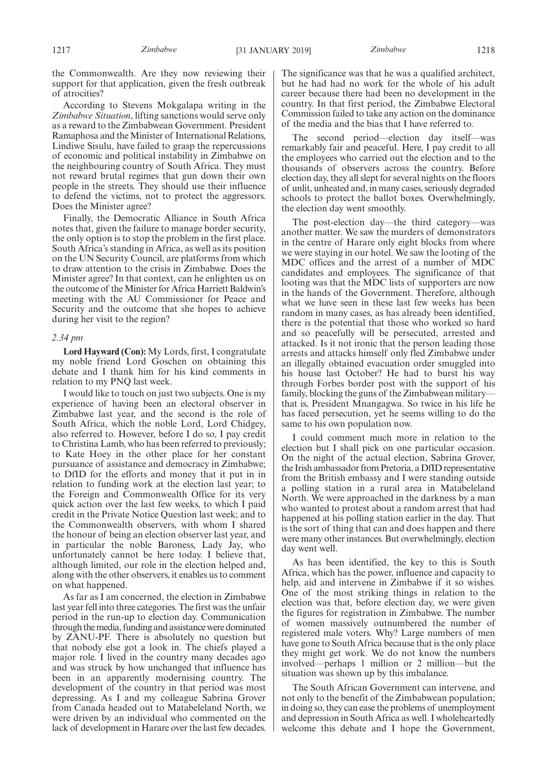the Commonwealth. Are they now reviewing their support for that application, given the fresh outbreak of atrocities?

According to Stevens Mokgalapa writing in the *Zimbabwe Situation*, lifting sanctions would serve only as a reward to the Zimbabwean Government. President Ramaphosa and the Minister of International Relations, Lindiwe Sisulu, have failed to grasp the repercussions of economic and political instability in Zimbabwe on the neighbouring country of South Africa. They must not reward brutal regimes that gun down their own people in the streets. They should use their influence to defend the victims, not to protect the aggressors. Does the Minister agree?

Finally, the Democratic Alliance in South Africa notes that, given the failure to manage border security, the only option is to stop the problem in the first place. South Africa's standing in Africa, as well as its position on the UN Security Council, are platforms from which to draw attention to the crisis in Zimbabwe. Does the Minister agree? In that context, can he enlighten us on the outcome of the Minister for Africa Harriett Baldwin's meeting with the AU Commissioner for Peace and Security and the outcome that she hopes to achieve during her visit to the region?

# *2.34 pm*

**Lord Hayward (Con):** My Lords, first, I congratulate my noble friend Lord Goschen on obtaining this debate and I thank him for his kind comments in relation to my PNQ last week.

I would like to touch on just two subjects. One is my experience of having been an electoral observer in Zimbabwe last year, and the second is the role of South Africa, which the noble Lord, Lord Chidgey, also referred to. However, before I do so, I pay credit to Christina Lamb, who has been referred to previously; to Kate Hoey in the other place for her constant pursuance of assistance and democracy in Zimbabwe; to DfID for the efforts and money that it put in in relation to funding work at the election last year; to the Foreign and Commonwealth Office for its very quick action over the last few weeks, to which I paid credit in the Private Notice Question last week; and to the Commonwealth observers, with whom I shared the honour of being an election observer last year, and in particular the noble Baroness, Lady Jay, who unfortunately cannot be here today. I believe that, although limited, our role in the election helped and, along with the other observers, it enables us to comment on what happened.

As far as I am concerned, the election in Zimbabwe last year fell into three categories. The first was the unfair period in the run-up to election day. Communication through the media, funding and assistance were dominated by ZANU-PF. There is absolutely no question but that nobody else got a look in. The chiefs played a major role. I lived in the country many decades ago and was struck by how unchanged that influence has been in an apparently modernising country. The development of the country in that period was most depressing. As I and my colleague Sabrina Grover from Canada headed out to Matabeleland North, we were driven by an individual who commented on the lack of development in Harare over the last few decades.

The significance was that he was a qualified architect, but he had had no work for the whole of his adult career because there had been no development in the country. In that first period, the Zimbabwe Electoral Commission failed to take any action on the dominance of the media and the bias that I have referred to.

The second period—election day itself—was remarkably fair and peaceful. Here, I pay credit to all the employees who carried out the election and to the thousands of observers across the country. Before election day, they all slept for several nights on the floors of unlit, unheated and, in many cases, seriously degraded schools to protect the ballot boxes. Overwhelmingly, the election day went smoothly.

The post-election day—the third category—was another matter. We saw the murders of demonstrators in the centre of Harare only eight blocks from where we were staying in our hotel. We saw the looting of the MDC offices and the arrest of a number of MDC candidates and employees. The significance of that looting was that the MDC lists of supporters are now in the hands of the Government. Therefore, although what we have seen in these last few weeks has been random in many cases, as has already been identified, there is the potential that those who worked so hard and so peacefully will be persecuted, arrested and attacked. Is it not ironic that the person leading those arrests and attacks himself only fled Zimbabwe under an illegally obtained evacuation order smuggled into his house last October? He had to burst his way through Forbes border post with the support of his family, blocking the guns of the Zimbabwean military that is, President Mnangagwa. So twice in his life he has faced persecution, yet he seems willing to do the same to his own population now.

I could comment much more in relation to the election but I shall pick on one particular occasion. On the night of the actual election, Sabrina Grover, the Irish ambassador from Pretoria, a DfID representative from the British embassy and I were standing outside a polling station in a rural area in Matabeleland North. We were approached in the darkness by a man who wanted to protest about a random arrest that had happened at his polling station earlier in the day. That is the sort of thing that can and does happen and there were many other instances. But overwhelmingly, election day went well.

As has been identified, the key to this is South Africa, which has the power, influence and capacity to help, aid and intervene in Zimbabwe if it so wishes. One of the most striking things in relation to the election was that, before election day, we were given the figures for registration in Zimbabwe. The number of women massively outnumbered the number of registered male voters. Why? Large numbers of men have gone to South Africa because that is the only place they might get work. We do not know the numbers involved—perhaps 1 million or 2 million—but the situation was shown up by this imbalance.

The South African Government can intervene, and not only to the benefit of the Zimbabwean population; in doing so, they can ease the problems of unemployment and depression in South Africa as well. I wholeheartedly welcome this debate and I hope the Government,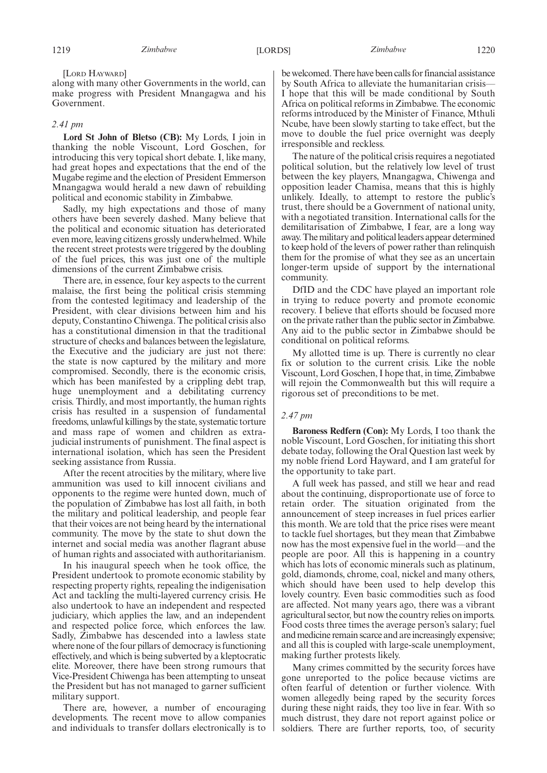[LORD HAYWARD]

along with many other Governments in the world, can make progress with President Mnangagwa and his Government.

# *2.41 pm*

**Lord St John of Bletso (CB):** My Lords, I join in thanking the noble Viscount, Lord Goschen, for introducing this very topical short debate. I, like many, had great hopes and expectations that the end of the Mugabe regime and the election of President Emmerson Mnangagwa would herald a new dawn of rebuilding political and economic stability in Zimbabwe.

Sadly, my high expectations and those of many others have been severely dashed. Many believe that the political and economic situation has deteriorated even more, leaving citizens grossly underwhelmed. While the recent street protests were triggered by the doubling of the fuel prices, this was just one of the multiple dimensions of the current Zimbabwe crisis.

There are, in essence, four key aspects to the current malaise, the first being the political crisis stemming from the contested legitimacy and leadership of the President, with clear divisions between him and his deputy, Constantino Chiwenga. The political crisis also has a constitutional dimension in that the traditional structure of checks and balances between the legislature, the Executive and the judiciary are just not there: the state is now captured by the military and more compromised. Secondly, there is the economic crisis, which has been manifested by a crippling debt trap, huge unemployment and a debilitating currency crisis. Thirdly, and most importantly, the human rights crisis has resulted in a suspension of fundamental freedoms, unlawful killings by the state, systematic torture and mass rape of women and children as extrajudicial instruments of punishment. The final aspect is international isolation, which has seen the President seeking assistance from Russia.

After the recent atrocities by the military, where live ammunition was used to kill innocent civilians and opponents to the regime were hunted down, much of the population of Zimbabwe has lost all faith, in both the military and political leadership, and people fear that their voices are not being heard by the international community. The move by the state to shut down the internet and social media was another flagrant abuse of human rights and associated with authoritarianism.

In his inaugural speech when he took office, the President undertook to promote economic stability by respecting property rights, repealing the indigenisation Act and tackling the multi-layered currency crisis. He also undertook to have an independent and respected judiciary, which applies the law, and an independent and respected police force, which enforces the law. Sadly, Zimbabwe has descended into a lawless state where none of the four pillars of democracy is functioning effectively, and which is being subverted by a kleptocratic elite. Moreover, there have been strong rumours that Vice-President Chiwenga has been attempting to unseat the President but has not managed to garner sufficient military support.

There are, however, a number of encouraging developments. The recent move to allow companies and individuals to transfer dollars electronically is to be welcomed. There have been calls for financial assistance by South Africa to alleviate the humanitarian crisis— I hope that this will be made conditional by South Africa on political reforms in Zimbabwe. The economic reforms introduced by the Minister of Finance, Mthuli Ncube, have been slowly starting to take effect, but the move to double the fuel price overnight was deeply irresponsible and reckless.

The nature of the political crisis requires a negotiated political solution, but the relatively low level of trust between the key players, Mnangagwa, Chiwenga and opposition leader Chamisa, means that this is highly unlikely. Ideally, to attempt to restore the public's trust, there should be a Government of national unity, with a negotiated transition. International calls for the demilitarisation of Zimbabwe, I fear, are a long way away. The military and political leaders appear determined to keep hold of the levers of power rather than relinquish them for the promise of what they see as an uncertain longer-term upside of support by the international community.

DfID and the CDC have played an important role in trying to reduce poverty and promote economic recovery. I believe that efforts should be focused more on the private rather than the public sector in Zimbabwe. Any aid to the public sector in Zimbabwe should be conditional on political reforms.

My allotted time is up. There is currently no clear fix or solution to the current crisis. Like the noble Viscount, Lord Goschen, I hope that, in time, Zimbabwe will rejoin the Commonwealth but this will require a rigorous set of preconditions to be met.

## *2.47 pm*

**Baroness Redfern (Con):** My Lords, I too thank the noble Viscount, Lord Goschen, for initiating this short debate today, following the Oral Question last week by my noble friend Lord Hayward, and I am grateful for the opportunity to take part.

A full week has passed, and still we hear and read about the continuing, disproportionate use of force to retain order. The situation originated from the announcement of steep increases in fuel prices earlier this month. We are told that the price rises were meant to tackle fuel shortages, but they mean that Zimbabwe now has the most expensive fuel in the world—and the people are poor. All this is happening in a country which has lots of economic minerals such as platinum, gold, diamonds, chrome, coal, nickel and many others, which should have been used to help develop this lovely country. Even basic commodities such as food are affected. Not many years ago, there was a vibrant agricultural sector, but now the country relies on imports. Food costs three times the average person's salary; fuel and medicine remain scarce and are increasingly expensive; and all this is coupled with large-scale unemployment, making further protests likely.

Many crimes committed by the security forces have gone unreported to the police because victims are often fearful of detention or further violence. With women allegedly being raped by the security forces during these night raids, they too live in fear. With so much distrust, they dare not report against police or soldiers. There are further reports, too, of security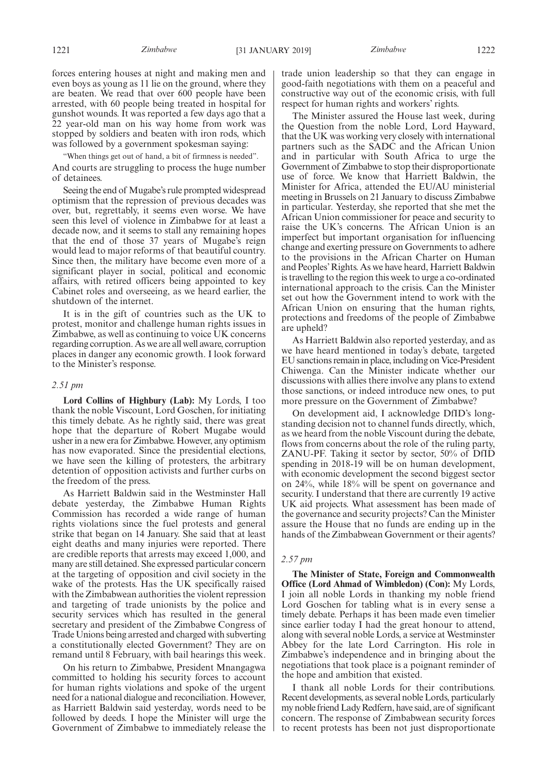"When things get out of hand, a bit of firmness is needed".

And courts are struggling to process the huge number of detainees.

Seeing the end of Mugabe's rule prompted widespread optimism that the repression of previous decades was over, but, regrettably, it seems even worse. We have seen this level of violence in Zimbabwe for at least a decade now, and it seems to stall any remaining hopes that the end of those 37 years of Mugabe's reign would lead to major reforms of that beautiful country. Since then, the military have become even more of a significant player in social, political and economic affairs, with retired officers being appointed to key Cabinet roles and overseeing, as we heard earlier, the shutdown of the internet.

It is in the gift of countries such as the UK to protest, monitor and challenge human rights issues in Zimbabwe, as well as continuing to voice UK concerns regarding corruption. As we are all well aware, corruption places in danger any economic growth. I look forward to the Minister's response.

# *2.51 pm*

**Lord Collins of Highbury (Lab):** My Lords, I too thank the noble Viscount, Lord Goschen, for initiating this timely debate. As he rightly said, there was great hope that the departure of Robert Mugabe would usher in a new era for Zimbabwe. However, any optimism has now evaporated. Since the presidential elections, we have seen the killing of protesters, the arbitrary detention of opposition activists and further curbs on the freedom of the press.

As Harriett Baldwin said in the Westminster Hall debate yesterday, the Zimbabwe Human Rights Commission has recorded a wide range of human rights violations since the fuel protests and general strike that began on 14 January. She said that at least eight deaths and many injuries were reported. There are credible reports that arrests may exceed 1,000, and many are still detained. She expressed particular concern at the targeting of opposition and civil society in the wake of the protests. Has the UK specifically raised with the Zimbabwean authorities the violent repression and targeting of trade unionists by the police and security services which has resulted in the general secretary and president of the Zimbabwe Congress of Trade Unions being arrested and charged with subverting a constitutionally elected Government? They are on remand until 8 February, with bail hearings this week.

On his return to Zimbabwe, President Mnangagwa committed to holding his security forces to account for human rights violations and spoke of the urgent need for a national dialogue and reconciliation. However, as Harriett Baldwin said yesterday, words need to be followed by deeds. I hope the Minister will urge the Government of Zimbabwe to immediately release the

trade union leadership so that they can engage in good-faith negotiations with them on a peaceful and constructive way out of the economic crisis, with full respect for human rights and workers' rights.

The Minister assured the House last week, during the Question from the noble Lord, Lord Hayward, that the UK was working very closely with international partners such as the SADC and the African Union and in particular with South Africa to urge the Government of Zimbabwe to stop their disproportionate use of force. We know that Harriett Baldwin, the Minister for Africa, attended the EU/AU ministerial meeting in Brussels on 21 January to discuss Zimbabwe in particular. Yesterday, she reported that she met the African Union commissioner for peace and security to raise the UK's concerns. The African Union is an imperfect but important organisation for influencing change and exerting pressure on Governments to adhere to the provisions in the African Charter on Human and Peoples' Rights. As we have heard, Harriett Baldwin is travelling to the region this week to urge a co-ordinated international approach to the crisis. Can the Minister set out how the Government intend to work with the African Union on ensuring that the human rights, protections and freedoms of the people of Zimbabwe are upheld?

As Harriett Baldwin also reported yesterday, and as we have heard mentioned in today's debate, targeted EU sanctions remain in place, including on Vice-President Chiwenga. Can the Minister indicate whether our discussions with allies there involve any plans to extend those sanctions, or indeed introduce new ones, to put more pressure on the Government of Zimbabwe?

On development aid, I acknowledge DfID's longstanding decision not to channel funds directly, which, as we heard from the noble Viscount during the debate, flows from concerns about the role of the ruling party, ZANU-PF. Taking it sector by sector, 50% of DfID spending in 2018-19 will be on human development, with economic development the second biggest sector on 24%, while 18% will be spent on governance and security. I understand that there are currently 19 active UK aid projects. What assessment has been made of the governance and security projects? Can the Minister assure the House that no funds are ending up in the hands of the Zimbabwean Government or their agents?

# *2.57 pm*

**The Minister of State, Foreign and Commonwealth Office (Lord Ahmad of Wimbledon) (Con):** My Lords, I join all noble Lords in thanking my noble friend Lord Goschen for tabling what is in every sense a timely debate. Perhaps it has been made even timelier since earlier today I had the great honour to attend, along with several noble Lords, a service at Westminster Abbey for the late Lord Carrington. His role in Zimbabwe's independence and in bringing about the negotiations that took place is a poignant reminder of the hope and ambition that existed.

I thank all noble Lords for their contributions. Recent developments, as several noble Lords, particularly my noble friend Lady Redfern, have said, are of significant concern. The response of Zimbabwean security forces to recent protests has been not just disproportionate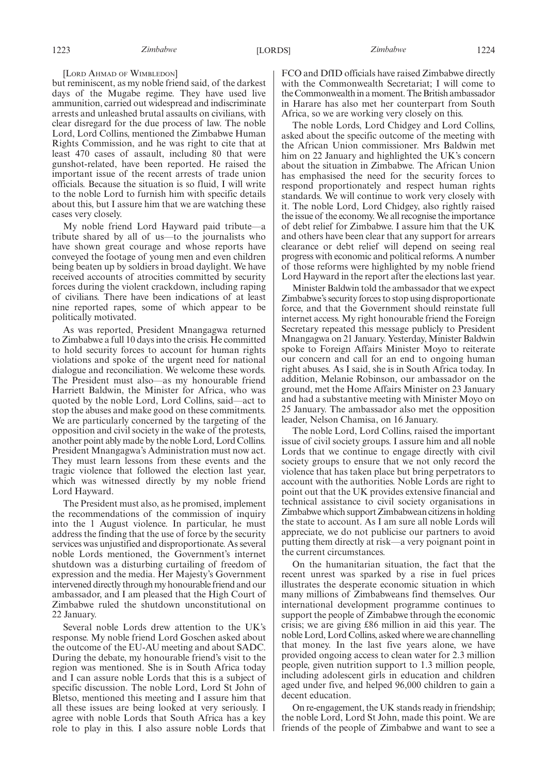[LORD AHMAD OF WIMBLEDON]

but reminiscent, as my noble friend said, of the darkest days of the Mugabe regime. They have used live ammunition, carried out widespread and indiscriminate arrests and unleashed brutal assaults on civilians, with clear disregard for the due process of law. The noble Lord, Lord Collins, mentioned the Zimbabwe Human Rights Commission, and he was right to cite that at least 470 cases of assault, including 80 that were gunshot-related, have been reported. He raised the important issue of the recent arrests of trade union officials. Because the situation is so fluid, I will write to the noble Lord to furnish him with specific details about this, but I assure him that we are watching these cases very closely.

My noble friend Lord Hayward paid tribute—a tribute shared by all of us—to the journalists who have shown great courage and whose reports have conveyed the footage of young men and even children being beaten up by soldiers in broad daylight. We have received accounts of atrocities committed by security forces during the violent crackdown, including raping of civilians. There have been indications of at least nine reported rapes, some of which appear to be politically motivated.

As was reported, President Mnangagwa returned to Zimbabwe a full 10 days into the crisis. He committed to hold security forces to account for human rights violations and spoke of the urgent need for national dialogue and reconciliation. We welcome these words. The President must also—as my honourable friend Harriett Baldwin, the Minister for Africa, who was quoted by the noble Lord, Lord Collins, said—act to stop the abuses and make good on these commitments. We are particularly concerned by the targeting of the opposition and civil society in the wake of the protests, another point ably made by the noble Lord, Lord Collins. President Mnangagwa's Administration must now act. They must learn lessons from these events and the tragic violence that followed the election last year, which was witnessed directly by my noble friend Lord Hayward.

The President must also, as he promised, implement the recommendations of the commission of inquiry into the 1 August violence. In particular, he must address the finding that the use of force by the security services was unjustified and disproportionate. As several noble Lords mentioned, the Government's internet shutdown was a disturbing curtailing of freedom of expression and the media. Her Majesty's Government intervened directly through my honourable friend and our ambassador, and I am pleased that the High Court of Zimbabwe ruled the shutdown unconstitutional on 22 January.

Several noble Lords drew attention to the UK's response. My noble friend Lord Goschen asked about the outcome of the EU-AU meeting and about SADC. During the debate, my honourable friend's visit to the region was mentioned. She is in South Africa today and I can assure noble Lords that this is a subject of specific discussion. The noble Lord, Lord St John of Bletso, mentioned this meeting and I assure him that all these issues are being looked at very seriously. I agree with noble Lords that South Africa has a key role to play in this. I also assure noble Lords that FCO and DfID officials have raised Zimbabwe directly with the Commonwealth Secretariat; I will come to the Commonwealth in a moment. The British ambassador in Harare has also met her counterpart from South Africa, so we are working very closely on this.

The noble Lords, Lord Chidgey and Lord Collins, asked about the specific outcome of the meeting with the African Union commissioner. Mrs Baldwin met him on 22 January and highlighted the UK's concern about the situation in Zimbabwe. The African Union has emphasised the need for the security forces to respond proportionately and respect human rights standards. We will continue to work very closely with it. The noble Lord, Lord Chidgey, also rightly raised the issue of the economy. We all recognise the importance of debt relief for Zimbabwe. I assure him that the UK and others have been clear that any support for arrears clearance or debt relief will depend on seeing real progress with economic and political reforms. A number of those reforms were highlighted by my noble friend Lord Hayward in the report after the elections last year.

Minister Baldwin told the ambassador that we expect Zimbabwe's security forces to stop using disproportionate force, and that the Government should reinstate full internet access. My right honourable friend the Foreign Secretary repeated this message publicly to President Mnangagwa on 21 January. Yesterday, Minister Baldwin spoke to Foreign Affairs Minister Moyo to reiterate our concern and call for an end to ongoing human right abuses. As I said, she is in South Africa today. In addition, Melanie Robinson, our ambassador on the ground, met the Home Affairs Minister on 23 January and had a substantive meeting with Minister Moyo on 25 January. The ambassador also met the opposition leader, Nelson Chamisa, on 16 January.

The noble Lord, Lord Collins, raised the important issue of civil society groups. I assure him and all noble Lords that we continue to engage directly with civil society groups to ensure that we not only record the violence that has taken place but bring perpetrators to account with the authorities. Noble Lords are right to point out that the UK provides extensive financial and technical assistance to civil society organisations in Zimbabwe which support Zimbabwean citizens in holding the state to account. As I am sure all noble Lords will appreciate, we do not publicise our partners to avoid putting them directly at risk—a very poignant point in the current circumstances.

On the humanitarian situation, the fact that the recent unrest was sparked by a rise in fuel prices illustrates the desperate economic situation in which many millions of Zimbabweans find themselves. Our international development programme continues to support the people of Zimbabwe through the economic crisis; we are giving £86 million in aid this year. The noble Lord, Lord Collins, asked where we are channelling that money. In the last five years alone, we have provided ongoing access to clean water for 2.3 million people, given nutrition support to 1.3 million people, including adolescent girls in education and children aged under five, and helped 96,000 children to gain a decent education.

On re-engagement, the UK stands ready in friendship; the noble Lord, Lord St John, made this point. We are friends of the people of Zimbabwe and want to see a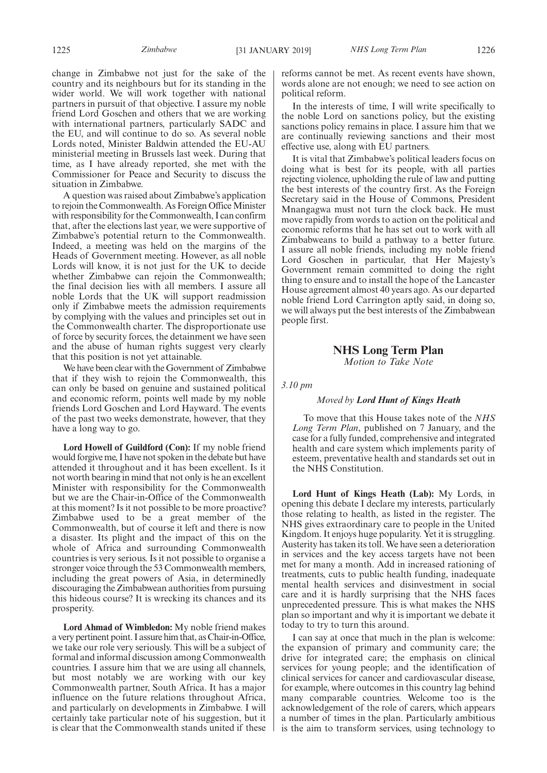change in Zimbabwe not just for the sake of the country and its neighbours but for its standing in the wider world. We will work together with national partners in pursuit of that objective. I assure my noble friend Lord Goschen and others that we are working with international partners, particularly SADC and the EU, and will continue to do so. As several noble Lords noted, Minister Baldwin attended the EU-AU ministerial meeting in Brussels last week. During that time, as I have already reported, she met with the Commissioner for Peace and Security to discuss the situation in Zimbabwe.

A question was raised about Zimbabwe's application to rejoin the Commonwealth. As Foreign Office Minister with responsibility for the Commonwealth, I can confirm that, after the elections last year, we were supportive of Zimbabwe's potential return to the Commonwealth. Indeed, a meeting was held on the margins of the Heads of Government meeting. However, as all noble Lords will know, it is not just for the UK to decide whether Zimbabwe can rejoin the Commonwealth; the final decision lies with all members. I assure all noble Lords that the UK will support readmission only if Zimbabwe meets the admission requirements by complying with the values and principles set out in the Commonwealth charter. The disproportionate use of force by security forces, the detainment we have seen and the abuse of human rights suggest very clearly that this position is not yet attainable.

We have been clear with the Government of Zimbabwe that if they wish to rejoin the Commonwealth, this can only be based on genuine and sustained political and economic reform, points well made by my noble friends Lord Goschen and Lord Hayward. The events of the past two weeks demonstrate, however, that they have a long way to go.

**Lord Howell of Guildford (Con):** If my noble friend would forgive me, I have not spoken in the debate but have attended it throughout and it has been excellent. Is it not worth bearing in mind that not only is he an excellent Minister with responsibility for the Commonwealth but we are the Chair-in-Office of the Commonwealth at this moment? Is it not possible to be more proactive? Zimbabwe used to be a great member of the Commonwealth, but of course it left and there is now a disaster. Its plight and the impact of this on the whole of Africa and surrounding Commonwealth countries is very serious. Is it not possible to organise a stronger voice through the 53 Commonwealth members, including the great powers of Asia, in determinedly discouraging the Zimbabwean authorities from pursuing this hideous course? It is wrecking its chances and its prosperity.

**Lord Ahmad of Wimbledon:** My noble friend makes a very pertinent point. I assure him that, as Chair-in-Office, we take our role very seriously. This will be a subject of formal and informal discussion among Commonwealth countries. I assure him that we are using all channels, but most notably we are working with our key Commonwealth partner, South Africa. It has a major influence on the future relations throughout Africa, and particularly on developments in Zimbabwe. I will certainly take particular note of his suggestion, but it is clear that the Commonwealth stands united if these

reforms cannot be met. As recent events have shown, words alone are not enough; we need to see action on political reform.

In the interests of time, I will write specifically to the noble Lord on sanctions policy, but the existing sanctions policy remains in place. I assure him that we are continually reviewing sanctions and their most effective use, along with EU partners.

It is vital that Zimbabwe's political leaders focus on doing what is best for its people, with all parties rejecting violence, upholding the rule of law and putting the best interests of the country first. As the Foreign Secretary said in the House of Commons, President Mnangagwa must not turn the clock back. He must move rapidly from words to action on the political and economic reforms that he has set out to work with all Zimbabweans to build a pathway to a better future. I assure all noble friends, including my noble friend Lord Goschen in particular, that Her Majesty's Government remain committed to doing the right thing to ensure and to install the hope of the Lancaster House agreement almost 40 years ago. As our departed noble friend Lord Carrington aptly said, in doing so, we will always put the best interests of the Zimbabwean people first.

# **NHS Long Term Plan**

*Motion to Take Note*

*3.10 pm*

# *Moved by Lord Hunt of Kings Heath*

To move that this House takes note of the *NHS Long Term Plan*, published on 7 January, and the case for a fully funded, comprehensive and integrated health and care system which implements parity of esteem, preventative health and standards set out in the NHS Constitution.

**Lord Hunt of Kings Heath (Lab):** My Lords, in opening this debate I declare my interests, particularly those relating to health, as listed in the register. The NHS gives extraordinary care to people in the United Kingdom. It enjoys huge popularity. Yet it is struggling. Austerity has taken its toll. We have seen a deterioration in services and the key access targets have not been met for many a month. Add in increased rationing of treatments, cuts to public health funding, inadequate mental health services and disinvestment in social care and it is hardly surprising that the NHS faces unprecedented pressure. This is what makes the NHS plan so important and why it is important we debate it today to try to turn this around.

I can say at once that much in the plan is welcome: the expansion of primary and community care; the drive for integrated care; the emphasis on clinical services for young people; and the identification of clinical services for cancer and cardiovascular disease, for example, where outcomes in this country lag behind many comparable countries. Welcome too is the acknowledgement of the role of carers, which appears a number of times in the plan. Particularly ambitious is the aim to transform services, using technology to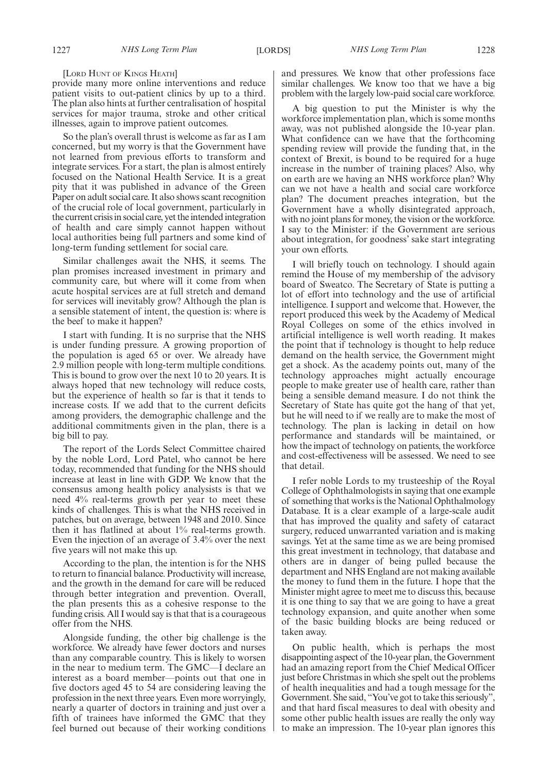#### [LORD HUNT OF KINGS HEATH]

provide many more online interventions and reduce patient visits to out-patient clinics by up to a third. The plan also hints at further centralisation of hospital services for major trauma, stroke and other critical illnesses, again to improve patient outcomes.

So the plan's overall thrust is welcome as far as I am concerned, but my worry is that the Government have not learned from previous efforts to transform and integrate services. For a start, the plan is almost entirely focused on the National Health Service. It is a great pity that it was published in advance of the Green Paper on adult social care. It also shows scant recognition of the crucial role of local government, particularly in the current crisis in social care, yet the intended integration of health and care simply cannot happen without local authorities being full partners and some kind of long-term funding settlement for social care.

Similar challenges await the NHS, it seems. The plan promises increased investment in primary and community care, but where will it come from when acute hospital services are at full stretch and demand for services will inevitably grow? Although the plan is a sensible statement of intent, the question is: where is the beef to make it happen?

I start with funding. It is no surprise that the NHS is under funding pressure. A growing proportion of the population is aged 65 or over. We already have 2.9 million people with long-term multiple conditions. This is bound to grow over the next 10 to 20 years. It is always hoped that new technology will reduce costs, but the experience of health so far is that it tends to increase costs. If we add that to the current deficits among providers, the demographic challenge and the additional commitments given in the plan, there is a big bill to pay.

The report of the Lords Select Committee chaired by the noble Lord, Lord Patel, who cannot be here today, recommended that funding for the NHS should increase at least in line with GDP. We know that the consensus among health policy analysists is that we need 4% real-terms growth per year to meet these kinds of challenges. This is what the NHS received in patches, but on average, between 1948 and 2010. Since then it has flatlined at about 1% real-terms growth. Even the injection of an average of 3.4% over the next five years will not make this up.

According to the plan, the intention is for the NHS to return to financial balance. Productivity will increase, and the growth in the demand for care will be reduced through better integration and prevention. Overall, the plan presents this as a cohesive response to the funding crisis. All I would say is that that is a courageous offer from the NHS.

Alongside funding, the other big challenge is the workforce. We already have fewer doctors and nurses than any comparable country. This is likely to worsen in the near to medium term. The GMC—I declare an interest as a board member—points out that one in five doctors aged 45 to 54 are considering leaving the profession in the next three years. Even more worryingly, nearly a quarter of doctors in training and just over a fifth of trainees have informed the GMC that they feel burned out because of their working conditions and pressures. We know that other professions face similar challenges. We know too that we have a big problem with the largely low-paid social care workforce.

A big question to put the Minister is why the workforce implementation plan, which is some months away, was not published alongside the 10-year plan. What confidence can we have that the forthcoming spending review will provide the funding that, in the context of Brexit, is bound to be required for a huge increase in the number of training places? Also, why on earth are we having an NHS workforce plan? Why can we not have a health and social care workforce plan? The document preaches integration, but the Government have a wholly disintegrated approach, with no joint plans for money, the vision or the workforce. I say to the Minister: if the Government are serious about integration, for goodness' sake start integrating your own efforts.

I will briefly touch on technology. I should again remind the House of my membership of the advisory board of Sweatco. The Secretary of State is putting a lot of effort into technology and the use of artificial intelligence. I support and welcome that. However, the report produced this week by the Academy of Medical Royal Colleges on some of the ethics involved in artificial intelligence is well worth reading. It makes the point that if technology is thought to help reduce demand on the health service, the Government might get a shock. As the academy points out, many of the technology approaches might actually encourage people to make greater use of health care, rather than being a sensible demand measure. I do not think the Secretary of State has quite got the hang of that yet, but he will need to if we really are to make the most of technology. The plan is lacking in detail on how performance and standards will be maintained, or how the impact of technology on patients, the workforce and cost-effectiveness will be assessed. We need to see that detail.

I refer noble Lords to my trusteeship of the Royal College of Ophthalmologists in saying that one example of something that works is the National Ophthalmology Database. It is a clear example of a large-scale audit that has improved the quality and safety of cataract surgery, reduced unwarranted variation and is making savings. Yet at the same time as we are being promised this great investment in technology, that database and others are in danger of being pulled because the department and NHS England are not making available the money to fund them in the future. I hope that the Minister might agree to meet me to discuss this, because it is one thing to say that we are going to have a great technology expansion, and quite another when some of the basic building blocks are being reduced or taken away.

On public health, which is perhaps the most disappointing aspect of the 10-year plan, the Government had an amazing report from the Chief Medical Officer just before Christmas in which she spelt out the problems of health inequalities and had a tough message for the Government. She said, "You've got to take this seriously", and that hard fiscal measures to deal with obesity and some other public health issues are really the only way to make an impression. The 10-year plan ignores this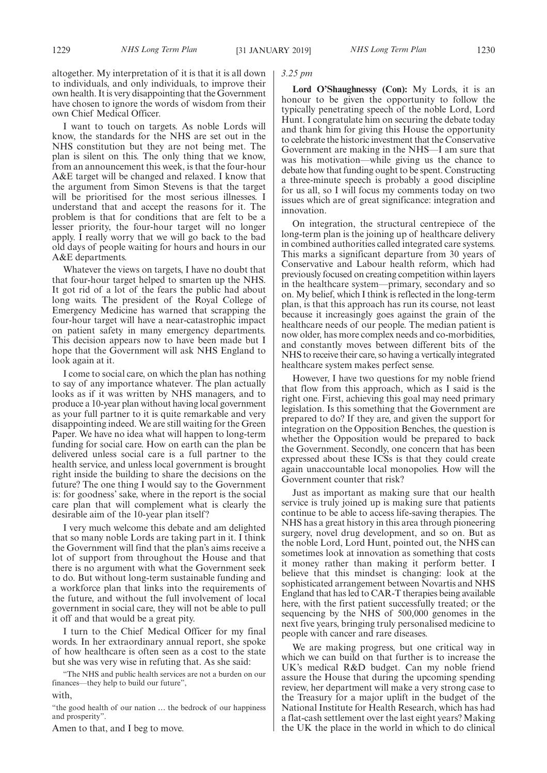altogether. My interpretation of it is that it is all down to individuals, and only individuals, to improve their own health. It is very disappointing that the Government have chosen to ignore the words of wisdom from their own Chief Medical Officer.

I want to touch on targets. As noble Lords will know, the standards for the NHS are set out in the NHS constitution but they are not being met. The plan is silent on this. The only thing that we know, from an announcement this week, is that the four-hour A&E target will be changed and relaxed. I know that the argument from Simon Stevens is that the target will be prioritised for the most serious illnesses. I understand that and accept the reasons for it. The problem is that for conditions that are felt to be a lesser priority, the four-hour target will no longer apply. I really worry that we will go back to the bad old days of people waiting for hours and hours in our A&E departments.

Whatever the views on targets, I have no doubt that that four-hour target helped to smarten up the NHS. It got rid of a lot of the fears the public had about long waits. The president of the Royal College of Emergency Medicine has warned that scrapping the four-hour target will have a near-catastrophic impact on patient safety in many emergency departments. This decision appears now to have been made but I hope that the Government will ask NHS England to look again at it.

I come to social care, on which the plan has nothing to say of any importance whatever. The plan actually looks as if it was written by NHS managers, and to produce a 10-year plan without having local government as your full partner to it is quite remarkable and very disappointing indeed. We are still waiting for the Green Paper. We have no idea what will happen to long-term funding for social care. How on earth can the plan be delivered unless social care is a full partner to the health service, and unless local government is brought right inside the building to share the decisions on the future? The one thing I would say to the Government is: for goodness' sake, where in the report is the social care plan that will complement what is clearly the desirable aim of the 10-year plan itself?

I very much welcome this debate and am delighted that so many noble Lords are taking part in it. I think the Government will find that the plan's aims receive a lot of support from throughout the House and that there is no argument with what the Government seek to do. But without long-term sustainable funding and a workforce plan that links into the requirements of the future, and without the full involvement of local government in social care, they will not be able to pull it off and that would be a great pity.

I turn to the Chief Medical Officer for my final words. In her extraordinary annual report, she spoke of how healthcare is often seen as a cost to the state but she was very wise in refuting that. As she said:

"The NHS and public health services are not a burden on our finances—they help to build our future",

with,

"the good health of our nation … the bedrock of our happiness and prosperity".

Amen to that, and I beg to move.

# *3.25 pm*

**Lord O'Shaughnessy (Con):** My Lords, it is an honour to be given the opportunity to follow the typically penetrating speech of the noble Lord, Lord Hunt. I congratulate him on securing the debate today and thank him for giving this House the opportunity to celebrate the historic investment that the Conservative Government are making in the NHS—I am sure that was his motivation—while giving us the chance to debate how that funding ought to be spent. Constructing a three-minute speech is probably a good discipline for us all, so I will focus my comments today on two issues which are of great significance: integration and innovation.

On integration, the structural centrepiece of the long-term plan is the joining up of healthcare delivery in combined authorities called integrated care systems. This marks a significant departure from 30 years of Conservative and Labour health reform, which had previously focused on creating competition within layers in the healthcare system—primary, secondary and so on. My belief, which I think is reflected in the long-term plan, is that this approach has run its course, not least because it increasingly goes against the grain of the healthcare needs of our people. The median patient is now older, has more complex needs and co-morbidities, and constantly moves between different bits of the NHS to receive their care, so having a vertically integrated healthcare system makes perfect sense.

However, I have two questions for my noble friend that flow from this approach, which as I said is the right one. First, achieving this goal may need primary legislation. Is this something that the Government are prepared to do? If they are, and given the support for integration on the Opposition Benches, the question is whether the Opposition would be prepared to back the Government. Secondly, one concern that has been expressed about these ICSs is that they could create again unaccountable local monopolies. How will the Government counter that risk?

Just as important as making sure that our health service is truly joined up is making sure that patients continue to be able to access life-saving therapies. The NHS has a great history in this area through pioneering surgery, novel drug development, and so on. But as the noble Lord, Lord Hunt, pointed out, the NHS can sometimes look at innovation as something that costs it money rather than making it perform better. I believe that this mindset is changing: look at the sophisticated arrangement between Novartis and NHS England that has led to CAR-T therapies being available here, with the first patient successfully treated; or the sequencing by the NHS of 500,000 genomes in the next five years, bringing truly personalised medicine to people with cancer and rare diseases.

We are making progress, but one critical way in which we can build on that further is to increase the UK's medical R&D budget. Can my noble friend assure the House that during the upcoming spending review, her department will make a very strong case to the Treasury for a major uplift in the budget of the National Institute for Health Research, which has had a flat-cash settlement over the last eight years? Making the UK the place in the world in which to do clinical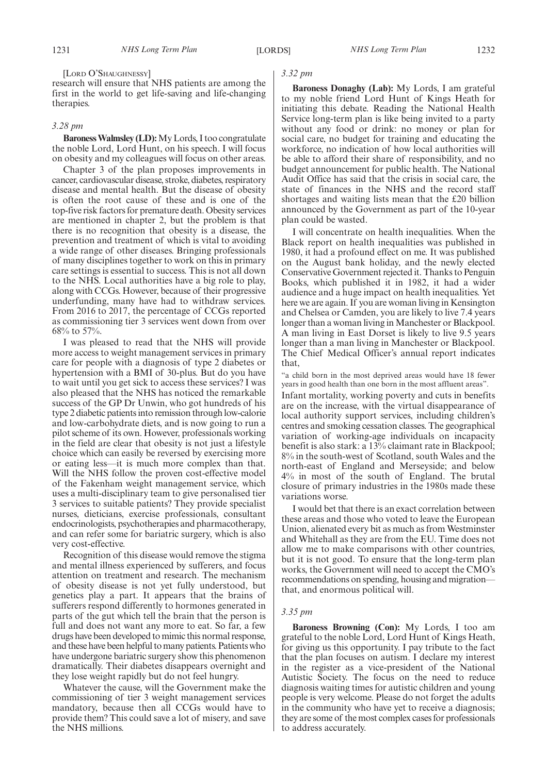[LORD O'SHAUGHNESSY]

research will ensure that NHS patients are among the first in the world to get life-saving and life-changing therapies.

# *3.28 pm*

**Baroness Walmsley (LD):**My Lords, I too congratulate the noble Lord, Lord Hunt, on his speech. I will focus on obesity and my colleagues will focus on other areas.

Chapter 3 of the plan proposes improvements in cancer, cardiovascular disease, stroke, diabetes, respiratory disease and mental health. But the disease of obesity is often the root cause of these and is one of the top-five risk factors for premature death. Obesity services are mentioned in chapter 2, but the problem is that there is no recognition that obesity is a disease, the prevention and treatment of which is vital to avoiding a wide range of other diseases. Bringing professionals of many disciplines together to work on this in primary care settings is essential to success. This is not all down to the NHS. Local authorities have a big role to play, along with CCGs. However, because of their progressive underfunding, many have had to withdraw services. From 2016 to 2017, the percentage of CCGs reported as commissioning tier 3 services went down from over 68% to 57%.

I was pleased to read that the NHS will provide more access to weight management services in primary care for people with a diagnosis of type 2 diabetes or hypertension with a BMI of 30-plus. But do you have to wait until you get sick to access these services? I was also pleased that the NHS has noticed the remarkable success of the GP Dr Unwin, who got hundreds of his type 2 diabetic patients into remission through low-calorie and low-carbohydrate diets, and is now going to run a pilot scheme of its own. However, professionals working in the field are clear that obesity is not just a lifestyle choice which can easily be reversed by exercising more or eating less—it is much more complex than that. Will the NHS follow the proven cost-effective model of the Fakenham weight management service, which uses a multi-disciplinary team to give personalised tier 3 services to suitable patients? They provide specialist nurses, dieticians, exercise professionals, consultant endocrinologists, psychotherapies and pharmacotherapy, and can refer some for bariatric surgery, which is also very cost-effective.

Recognition of this disease would remove the stigma and mental illness experienced by sufferers, and focus attention on treatment and research. The mechanism of obesity disease is not yet fully understood, but genetics play a part. It appears that the brains of sufferers respond differently to hormones generated in parts of the gut which tell the brain that the person is full and does not want any more to eat. So far, a few drugs have been developed to mimic this normal response, and these have been helpful to many patients. Patients who have undergone bariatric surgery show this phenomenon dramatically. Their diabetes disappears overnight and they lose weight rapidly but do not feel hungry.

Whatever the cause, will the Government make the commissioning of tier 3 weight management services mandatory, because then all CCGs would have to provide them? This could save a lot of misery, and save the NHS millions.

# *3.32 pm*

**Baroness Donaghy (Lab):** My Lords, I am grateful to my noble friend Lord Hunt of Kings Heath for initiating this debate. Reading the National Health Service long-term plan is like being invited to a party without any food or drink: no money or plan for social care, no budget for training and educating the workforce, no indication of how local authorities will be able to afford their share of responsibility, and no budget announcement for public health. The National Audit Office has said that the crisis in social care, the state of finances in the NHS and the record staff shortages and waiting lists mean that the £20 billion announced by the Government as part of the 10-year plan could be wasted.

I will concentrate on health inequalities. When the Black report on health inequalities was published in 1980, it had a profound effect on me. It was published on the August bank holiday, and the newly elected Conservative Government rejected it. Thanks to Penguin Books, which published it in 1982, it had a wider audience and a huge impact on health inequalities. Yet here we are again. If you are woman living in Kensington and Chelsea or Camden, you are likely to live 7.4 years longer than a woman living in Manchester or Blackpool. A man living in East Dorset is likely to live 9.5 years longer than a man living in Manchester or Blackpool. The Chief Medical Officer's annual report indicates that,

"a child born in the most deprived areas would have 18 fewer years in good health than one born in the most affluent areas". Infant mortality, working poverty and cuts in benefits are on the increase, with the virtual disappearance of local authority support services, including children's centres and smoking cessation classes. The geographical variation of working-age individuals on incapacity benefit is also stark: a 13% claimant rate in Blackpool; 8% in the south-west of Scotland, south Wales and the north-east of England and Merseyside; and below 4% in most of the south of England. The brutal closure of primary industries in the 1980s made these variations worse.

I would bet that there is an exact correlation between these areas and those who voted to leave the European Union, alienated every bit as much as from Westminster and Whitehall as they are from the EU. Time does not allow me to make comparisons with other countries, but it is not good. To ensure that the long-term plan works, the Government will need to accept the CMO's recommendations on spending, housing and migration that, and enormous political will.

#### *3.35 pm*

**Baroness Browning (Con):** My Lords, I too am grateful to the noble Lord, Lord Hunt of Kings Heath, for giving us this opportunity. I pay tribute to the fact that the plan focuses on autism. I declare my interest in the register as a vice-president of the National Autistic Society. The focus on the need to reduce diagnosis waiting times for autistic children and young people is very welcome. Please do not forget the adults in the community who have yet to receive a diagnosis; they are some of the most complex cases for professionals to address accurately.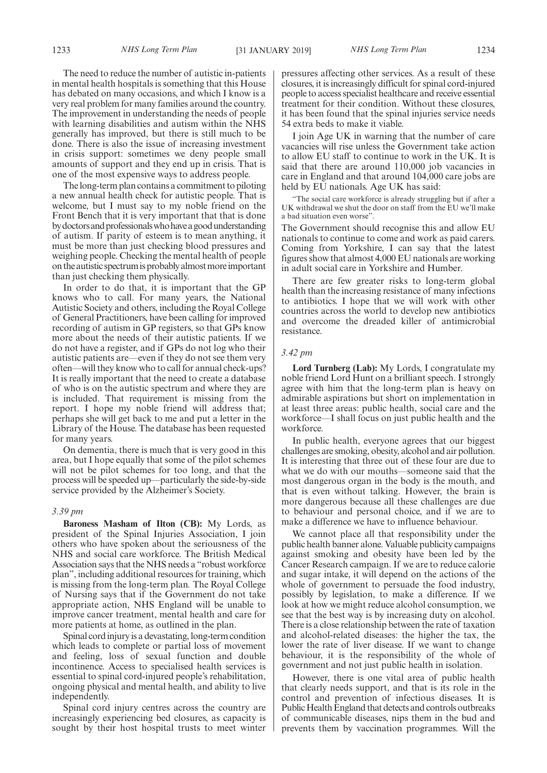The need to reduce the number of autistic in-patients in mental health hospitals is something that this House has debated on many occasions, and which I know is a very real problem for many families around the country. The improvement in understanding the needs of people with learning disabilities and autism within the NHS generally has improved, but there is still much to be done. There is also the issue of increasing investment in crisis support: sometimes we deny people small amounts of support and they end up in crisis. That is one of the most expensive ways to address people.

The long-term plan contains a commitment to piloting a new annual health check for autistic people. That is welcome, but I must say to my noble friend on the Front Bench that it is very important that that is done by doctors and professionals who have a good understanding of autism. If parity of esteem is to mean anything, it must be more than just checking blood pressures and weighing people. Checking the mental health of people ontheautisticspectrumisprobablyalmostmoreimportant than just checking them physically.

In order to do that, it is important that the GP knows who to call. For many years, the National Autistic Society and others, including the Royal College of General Practitioners, have been calling for improved recording of autism in GP registers, so that GPs know more about the needs of their autistic patients. If we do not have a register, and if GPs do not log who their autistic patients are—even if they do not see them very often—will they know who to call for annual check-ups? It is really important that the need to create a database of who is on the autistic spectrum and where they are is included. That requirement is missing from the report. I hope my noble friend will address that; perhaps she will get back to me and put a letter in the Library of the House. The database has been requested for many years.

On dementia, there is much that is very good in this area, but I hope equally that some of the pilot schemes will not be pilot schemes for too long, and that the process will be speeded up—particularly the side-by-side service provided by the Alzheimer's Society.

#### *3.39 pm*

**Baroness Masham of Ilton (CB):** My Lords, as president of the Spinal Injuries Association, I join others who have spoken about the seriousness of the NHS and social care workforce. The British Medical Association says that the NHS needs a "robust workforce plan", including additional resources for training, which is missing from the long-term plan*.* The Royal College of Nursing says that if the Government do not take appropriate action, NHS England will be unable to improve cancer treatment, mental health and care for more patients at home, as outlined in the plan.

Spinal cord injury is a devastating, long-term condition which leads to complete or partial loss of movement and feeling, loss of sexual function and double incontinence. Access to specialised health services is essential to spinal cord-injured people's rehabilitation, ongoing physical and mental health, and ability to live independently.

Spinal cord injury centres across the country are increasingly experiencing bed closures, as capacity is sought by their host hospital trusts to meet winter pressures affecting other services. As a result of these closures, it is increasingly difficult for spinal cord-injured people to access specialist healthcare and receive essential treatment for their condition. Without these closures, it has been found that the spinal injuries service needs 54 extra beds to make it viable.

I join Age UK in warning that the number of care vacancies will rise unless the Government take action to allow EU staff to continue to work in the UK. It is said that there are around 110,000 job vacancies in care in England and that around 104,000 care jobs are held by EU nationals. Age UK has said:

"The social care workforce is already struggling but if after a UK withdrawal we shut the door on staff from the EU we'll make a bad situation even worse".

The Government should recognise this and allow EU nationals to continue to come and work as paid carers. Coming from Yorkshire, I can say that the latest figures show that almost 4,000 EU nationals are working in adult social care in Yorkshire and Humber.

There are few greater risks to long-term global health than the increasing resistance of many infections to antibiotics. I hope that we will work with other countries across the world to develop new antibiotics and overcome the dreaded killer of antimicrobial resistance.

#### *3.42 pm*

**Lord Turnberg (Lab):** My Lords, I congratulate my noble friend Lord Hunt on a brilliant speech. I strongly agree with him that the long-term plan is heavy on admirable aspirations but short on implementation in at least three areas: public health, social care and the workforce—I shall focus on just public health and the workforce.

In public health, everyone agrees that our biggest challenges are smoking, obesity, alcohol and air pollution. It is interesting that three out of these four are due to what we do with our mouths—someone said that the most dangerous organ in the body is the mouth, and that is even without talking. However, the brain is more dangerous because all these challenges are due to behaviour and personal choice, and if we are to make a difference we have to influence behaviour.

We cannot place all that responsibility under the public health banner alone. Valuable publicity campaigns against smoking and obesity have been led by the Cancer Research campaign. If we are to reduce calorie and sugar intake, it will depend on the actions of the whole of government to persuade the food industry, possibly by legislation, to make a difference. If we look at how we might reduce alcohol consumption, we see that the best way is by increasing duty on alcohol. There is a close relationship between the rate of taxation and alcohol-related diseases: the higher the tax, the lower the rate of liver disease. If we want to change behaviour, it is the responsibility of the whole of government and not just public health in isolation.

However, there is one vital area of public health that clearly needs support, and that is its role in the control and prevention of infectious diseases. It is Public Health England that detects and controls outbreaks of communicable diseases, nips them in the bud and prevents them by vaccination programmes. Will the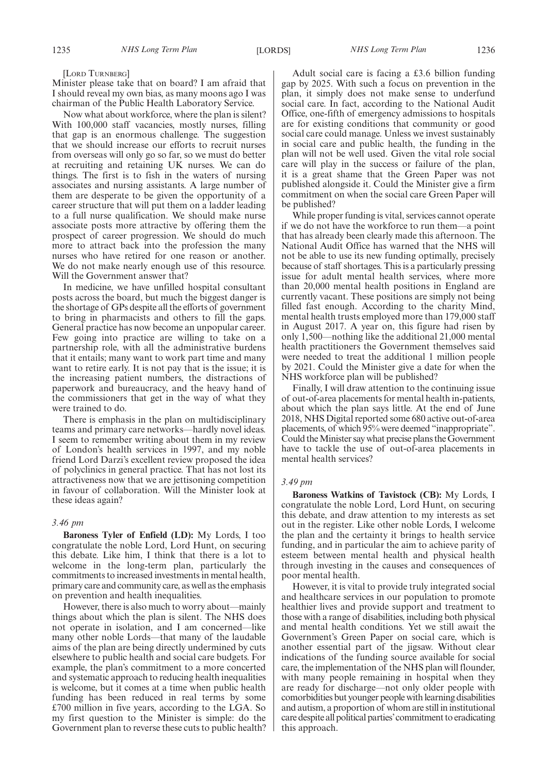[LORD TURNBERG]

Minister please take that on board? I am afraid that I should reveal my own bias, as many moons ago I was chairman of the Public Health Laboratory Service.

Now what about workforce, where the plan is silent? With 100,000 staff vacancies, mostly nurses, filling that gap is an enormous challenge. The suggestion that we should increase our efforts to recruit nurses from overseas will only go so far, so we must do better at recruiting and retaining UK nurses. We can do things. The first is to fish in the waters of nursing associates and nursing assistants. A large number of them are desperate to be given the opportunity of a career structure that will put them on a ladder leading to a full nurse qualification. We should make nurse associate posts more attractive by offering them the prospect of career progression. We should do much more to attract back into the profession the many nurses who have retired for one reason or another. We do not make nearly enough use of this resource. Will the Government answer that?

In medicine, we have unfilled hospital consultant posts across the board, but much the biggest danger is the shortage of GPs despite all the efforts of government to bring in pharmacists and others to fill the gaps. General practice has now become an unpopular career. Few going into practice are willing to take on a partnership role, with all the administrative burdens that it entails; many want to work part time and many want to retire early. It is not pay that is the issue; it is the increasing patient numbers, the distractions of paperwork and bureaucracy, and the heavy hand of the commissioners that get in the way of what they were trained to do.

There is emphasis in the plan on multidisciplinary teams and primary care networks—hardly novel ideas. I seem to remember writing about them in my review of London's health services in 1997, and my noble friend Lord Darzi's excellent review proposed the idea of polyclinics in general practice. That has not lost its attractiveness now that we are jettisoning competition in favour of collaboration. Will the Minister look at these ideas again?

# *3.46 pm*

**Baroness Tyler of Enfield (LD):** My Lords, I too congratulate the noble Lord, Lord Hunt, on securing this debate. Like him, I think that there is a lot to welcome in the long-term plan, particularly the commitments to increased investments in mental health, primary care and community care, as well as the emphasis on prevention and health inequalities.

However, there is also much to worry about—mainly things about which the plan is silent. The NHS does not operate in isolation, and I am concerned—like many other noble Lords—that many of the laudable aims of the plan are being directly undermined by cuts elsewhere to public health and social care budgets. For example, the plan's commitment to a more concerted and systematic approach to reducing health inequalities is welcome, but it comes at a time when public health funding has been reduced in real terms by some £700 million in five years, according to the LGA. So my first question to the Minister is simple: do the Government plan to reverse these cuts to public health?

Adult social care is facing a £3.6 billion funding gap by 2025. With such a focus on prevention in the plan, it simply does not make sense to underfund social care. In fact, according to the National Audit Office, one-fifth of emergency admissions to hospitals are for existing conditions that community or good social care could manage. Unless we invest sustainably in social care and public health, the funding in the plan will not be well used. Given the vital role social care will play in the success or failure of the plan, it is a great shame that the Green Paper was not published alongside it. Could the Minister give a firm commitment on when the social care Green Paper will be published?

While proper funding is vital, services cannot operate if we do not have the workforce to run them—a point that has already been clearly made this afternoon. The National Audit Office has warned that the NHS will not be able to use its new funding optimally, precisely because of staff shortages. This is a particularly pressing issue for adult mental health services, where more than 20,000 mental health positions in England are currently vacant. These positions are simply not being filled fast enough. According to the charity Mind, mental health trusts employed more than 179,000 staff in August 2017. A year on, this figure had risen by only 1,500—nothing like the additional 21,000 mental health practitioners the Government themselves said were needed to treat the additional 1 million people by 2021. Could the Minister give a date for when the NHS workforce plan will be published?

Finally, I will draw attention to the continuing issue of out-of-area placements for mental health in-patients, about which the plan says little. At the end of June 2018, NHS Digital reported some 680 active out-of-area placements, of which 95% were deemed "inappropriate". Could the Minister say what precise plans the Government have to tackle the use of out-of-area placements in mental health services?

#### *3.49 pm*

**Baroness Watkins of Tavistock (CB):** My Lords, I congratulate the noble Lord, Lord Hunt, on securing this debate, and draw attention to my interests as set out in the register. Like other noble Lords, I welcome the plan and the certainty it brings to health service funding, and in particular the aim to achieve parity of esteem between mental health and physical health through investing in the causes and consequences of poor mental health.

However, it is vital to provide truly integrated social and healthcare services in our population to promote healthier lives and provide support and treatment to those with a range of disabilities, including both physical and mental health conditions. Yet we still await the Government's Green Paper on social care, which is another essential part of the jigsaw. Without clear indications of the funding source available for social care, the implementation of the NHS plan will flounder, with many people remaining in hospital when they are ready for discharge—not only older people with comorbidities but younger people with learning disabilities and autism, a proportion of whom are still in institutional care despite all political parties'commitment to eradicating this approach.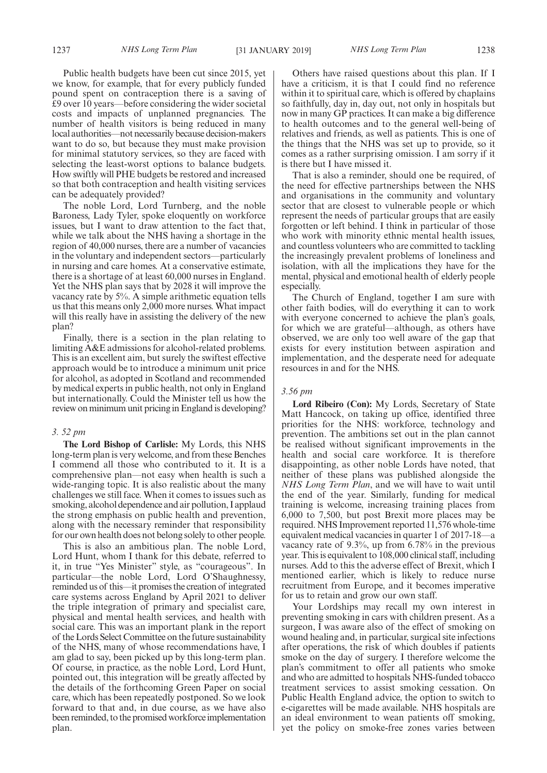Public health budgets have been cut since 2015, yet

we know, for example, that for every publicly funded pound spent on contraception there is a saving of £9 over 10 years—before considering the wider societal costs and impacts of unplanned pregnancies. The number of health visitors is being reduced in many local authorities—not necessarily because decision-makers want to do so, but because they must make provision for minimal statutory services, so they are faced with selecting the least-worst options to balance budgets. How swiftly will PHE budgets be restored and increased so that both contraception and health visiting services can be adequately provided?

The noble Lord, Lord Turnberg, and the noble Baroness, Lady Tyler, spoke eloquently on workforce issues, but I want to draw attention to the fact that, while we talk about the NHS having a shortage in the region of 40,000 nurses, there are a number of vacancies in the voluntary and independent sectors—particularly in nursing and care homes. At a conservative estimate, there is a shortage of at least 60,000 nurses in England. Yet the NHS plan says that by 2028 it will improve the vacancy rate by 5%. A simple arithmetic equation tells us that this means only 2,000 more nurses. What impact will this really have in assisting the delivery of the new plan?

Finally, there is a section in the plan relating to limiting A&E admissions for alcohol-related problems. This is an excellent aim, but surely the swiftest effective approach would be to introduce a minimum unit price for alcohol, as adopted in Scotland and recommended by medical experts in public health, not only in England but internationally. Could the Minister tell us how the review on minimum unit pricing in England is developing?

#### *3. 52 pm*

**The Lord Bishop of Carlisle:** My Lords, this NHS long-term plan is very welcome, and from these Benches I commend all those who contributed to it. It is a comprehensive plan—not easy when health is such a wide-ranging topic. It is also realistic about the many challenges we still face. When it comes to issues such as smoking, alcohol dependence and air pollution, I applaud the strong emphasis on public health and prevention, along with the necessary reminder that responsibility for our own health does not belong solely to other people.

This is also an ambitious plan. The noble Lord, Lord Hunt, whom I thank for this debate, referred to it, in true "Yes Minister" style, as "courageous". In particular—the noble Lord, Lord O'Shaughnessy, reminded us of this—it promises the creation of integrated care systems across England by April 2021 to deliver the triple integration of primary and specialist care, physical and mental health services, and health with social care. This was an important plank in the report of the Lords Select Committee on the future sustainability of the NHS, many of whose recommendations have, I am glad to say, been picked up by this long-term plan. Of course, in practice, as the noble Lord, Lord Hunt, pointed out, this integration will be greatly affected by the details of the forthcoming Green Paper on social care, which has been repeatedly postponed. So we look forward to that and, in due course, as we have also been reminded, to the promised workforce implementation plan.

Others have raised questions about this plan. If I have a criticism, it is that I could find no reference within it to spiritual care, which is offered by chaplains so faithfully, day in, day out, not only in hospitals but now in many GP practices. It can make a big difference to health outcomes and to the general well-being of relatives and friends, as well as patients. This is one of the things that the NHS was set up to provide, so it comes as a rather surprising omission. I am sorry if it is there but I have missed it.

That is also a reminder, should one be required, of the need for effective partnerships between the NHS and organisations in the community and voluntary sector that are closest to vulnerable people or which represent the needs of particular groups that are easily forgotten or left behind. I think in particular of those who work with minority ethnic mental health issues, and countless volunteers who are committed to tackling the increasingly prevalent problems of loneliness and isolation, with all the implications they have for the mental, physical and emotional health of elderly people especially.

The Church of England, together I am sure with other faith bodies, will do everything it can to work with everyone concerned to achieve the plan's goals, for which we are grateful—although, as others have observed, we are only too well aware of the gap that exists for every institution between aspiration and implementation, and the desperate need for adequate resources in and for the NHS.

# *3.56 pm*

**Lord Ribeiro (Con):** My Lords, Secretary of State Matt Hancock, on taking up office, identified three priorities for the NHS: workforce, technology and prevention. The ambitions set out in the plan cannot be realised without significant improvements in the health and social care workforce. It is therefore disappointing, as other noble Lords have noted, that neither of these plans was published alongside the *NHS Long Term Plan*, and we will have to wait until the end of the year. Similarly, funding for medical training is welcome, increasing training places from 6,000 to 7,500, but post Brexit more places may be required. NHS Improvement reported 11,576 whole-time equivalent medical vacancies in quarter 1 of 2017-18—a vacancy rate of 9.3%, up from 6.78% in the previous year. This is equivalent to 108,000 clinical staff, including nurses. Add to this the adverse effect of Brexit, which I mentioned earlier, which is likely to reduce nurse recruitment from Europe, and it becomes imperative for us to retain and grow our own staff.

Your Lordships may recall my own interest in preventing smoking in cars with children present. As a surgeon, I was aware also of the effect of smoking on wound healing and, in particular, surgical site infections after operations, the risk of which doubles if patients smoke on the day of surgery. I therefore welcome the plan's commitment to offer all patients who smoke and who are admitted to hospitals NHS-funded tobacco treatment services to assist smoking cessation. On Public Health England advice, the option to switch to e-cigarettes will be made available. NHS hospitals are an ideal environment to wean patients off smoking, yet the policy on smoke-free zones varies between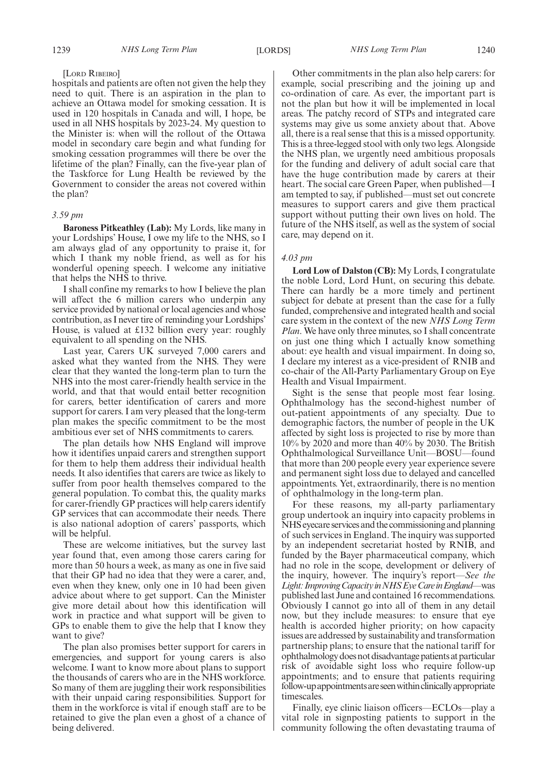# [LORD RIBEIRO]

hospitals and patients are often not given the help they need to quit. There is an aspiration in the plan to achieve an Ottawa model for smoking cessation. It is used in 120 hospitals in Canada and will, I hope, be used in all NHS hospitals by 2023-24. My question to the Minister is: when will the rollout of the Ottawa model in secondary care begin and what funding for smoking cessation programmes will there be over the lifetime of the plan? Finally, can the five-year plan of the Taskforce for Lung Health be reviewed by the Government to consider the areas not covered within the plan?

# *3.59 pm*

**Baroness Pitkeathley (Lab):** My Lords, like many in your Lordships' House, I owe my life to the NHS, so I am always glad of any opportunity to praise it, for which I thank my noble friend, as well as for his wonderful opening speech. I welcome any initiative that helps the NHS to thrive.

I shall confine my remarks to how I believe the plan will affect the 6 million carers who underpin any service provided by national or local agencies and whose contribution, as I never tire of reminding your Lordships' House, is valued at £132 billion every year: roughly equivalent to all spending on the NHS.

Last year, Carers UK surveyed 7,000 carers and asked what they wanted from the NHS. They were clear that they wanted the long-term plan to turn the NHS into the most carer-friendly health service in the world, and that that would entail better recognition for carers, better identification of carers and more support for carers. I am very pleased that the long-term plan makes the specific commitment to be the most ambitious ever set of NHS commitments to carers.

The plan details how NHS England will improve how it identifies unpaid carers and strengthen support for them to help them address their individual health needs. It also identifies that carers are twice as likely to suffer from poor health themselves compared to the general population. To combat this, the quality marks for carer-friendly GP practices will help carers identify GP services that can accommodate their needs. There is also national adoption of carers' passports, which will be helpful.

These are welcome initiatives, but the survey last year found that, even among those carers caring for more than 50 hours a week, as many as one in five said that their GP had no idea that they were a carer, and, even when they knew, only one in 10 had been given advice about where to get support. Can the Minister give more detail about how this identification will work in practice and what support will be given to GPs to enable them to give the help that I know they want to give?

The plan also promises better support for carers in emergencies, and support for young carers is also welcome. I want to know more about plans to support the thousands of carers who are in the NHS workforce. So many of them are juggling their work responsibilities with their unpaid caring responsibilities. Support for them in the workforce is vital if enough staff are to be retained to give the plan even a ghost of a chance of being delivered.

Other commitments in the plan also help carers: for example, social prescribing and the joining up and co-ordination of care. As ever, the important part is not the plan but how it will be implemented in local areas. The patchy record of STPs and integrated care systems may give us some anxiety about that. Above all, there is a real sense that this is a missed opportunity. This is a three-legged stool with only two legs. Alongside the NHS plan, we urgently need ambitious proposals for the funding and delivery of adult social care that have the huge contribution made by carers at their heart. The social care Green Paper, when published—I am tempted to say, if published—must set out concrete measures to support carers and give them practical support without putting their own lives on hold. The future of the NHS itself, as well as the system of social care, may depend on it.

# *4.03 pm*

**Lord Low of Dalston (CB):** My Lords, I congratulate the noble Lord, Lord Hunt, on securing this debate. There can hardly be a more timely and pertinent subject for debate at present than the case for a fully funded, comprehensive and integrated health and social care system in the context of the new *NHS Long Term Plan*. We have only three minutes, so I shall concentrate on just one thing which I actually know something about: eye health and visual impairment. In doing so, I declare my interest as a vice-president of RNIB and co-chair of the All-Party Parliamentary Group on Eye Health and Visual Impairment.

Sight is the sense that people most fear losing. Ophthalmology has the second-highest number of out-patient appointments of any specialty. Due to demographic factors, the number of people in the UK affected by sight loss is projected to rise by more than 10% by 2020 and more than 40% by 2030. The British Ophthalmological Surveillance Unit—BOSU—found that more than 200 people every year experience severe and permanent sight loss due to delayed and cancelled appointments. Yet, extraordinarily, there is no mention of ophthalmology in the long-term plan.

For these reasons, my all-party parliamentary group undertook an inquiry into capacity problems in NHS eyecare services and the commissioning and planning of such services in England. The inquiry was supported by an independent secretariat hosted by RNIB, and funded by the Bayer pharmaceutical company, which had no role in the scope, development or delivery of the inquiry, however. The inquiry's report—*See the* Light: Improving Capacity in NHS Eye Care in England—was published last June and contained 16 recommendations. Obviously I cannot go into all of them in any detail now, but they include measures: to ensure that eye health is accorded higher priority; on how capacity issues are addressed by sustainability and transformation partnership plans; to ensure that the national tariff for ophthalmology does not disadvantage patients at particular risk of avoidable sight loss who require follow-up appointments; and to ensure that patients requiring follow-up appointments are seen within clinically appropriate timescales.

Finally, eye clinic liaison officers—ECLOs—play a vital role in signposting patients to support in the community following the often devastating trauma of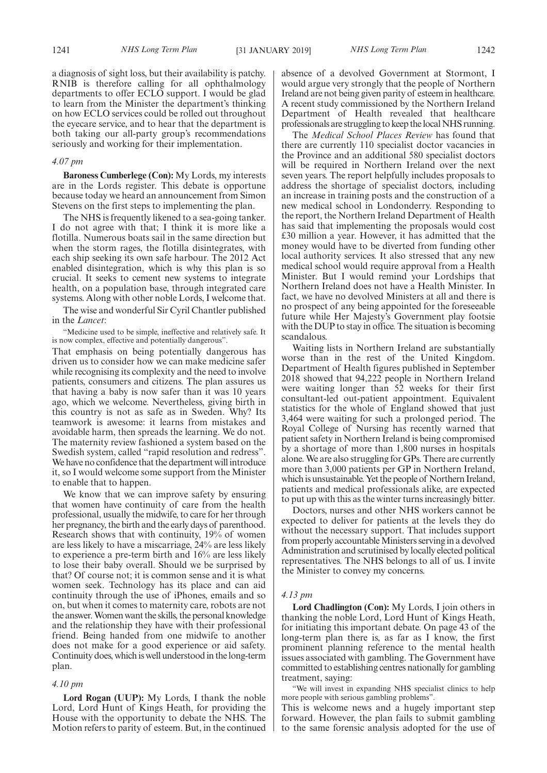a diagnosis of sight loss, but their availability is patchy. RNIB is therefore calling for all ophthalmology departments to offer ECLO support. I would be glad to learn from the Minister the department's thinking on how ECLO services could be rolled out throughout the eyecare service, and to hear that the department is both taking our all-party group's recommendations seriously and working for their implementation.

#### *4.07 pm*

**Baroness Cumberlege (Con):** My Lords, my interests are in the Lords register. This debate is opportune because today we heard an announcement from Simon Stevens on the first steps to implementing the plan.

The NHS is frequently likened to a sea-going tanker. I do not agree with that; I think it is more like a flotilla. Numerous boats sail in the same direction but when the storm rages, the flotilla disintegrates, with each ship seeking its own safe harbour. The 2012 Act enabled disintegration, which is why this plan is so crucial. It seeks to cement new systems to integrate health, on a population base, through integrated care systems. Along with other noble Lords, I welcome that.

The wise and wonderful Sir Cyril Chantler published in the *Lancet*:

"Medicine used to be simple, ineffective and relatively safe. It is now complex, effective and potentially dangerous".

That emphasis on being potentially dangerous has driven us to consider how we can make medicine safer while recognising its complexity and the need to involve patients, consumers and citizens. The plan assures us that having a baby is now safer than it was 10 years ago, which we welcome. Nevertheless, giving birth in this country is not as safe as in Sweden. Why? Its teamwork is awesome: it learns from mistakes and avoidable harm, then spreads the learning. We do not. The maternity review fashioned a system based on the Swedish system, called "rapid resolution and redress". We have no confidence that the department will introduce it, so I would welcome some support from the Minister to enable that to happen.

We know that we can improve safety by ensuring that women have continuity of care from the health professional, usually the midwife, to care for her through her pregnancy, the birth and the early days of parenthood. Research shows that with continuity, 19% of women are less likely to have a miscarriage, 24% are less likely to experience a pre-term birth and 16% are less likely to lose their baby overall. Should we be surprised by that? Of course not; it is common sense and it is what women seek. Technology has its place and can aid continuity through the use of iPhones, emails and so on, but when it comes to maternity care, robots are not the answer. Women want the skills, the personal knowledge and the relationship they have with their professional friend. Being handed from one midwife to another does not make for a good experience or aid safety. Continuity does, which is well understood in the long-term plan.

#### *4.10 pm*

**Lord Rogan (UUP):** My Lords, I thank the noble Lord, Lord Hunt of Kings Heath, for providing the House with the opportunity to debate the NHS. The Motion refers to parity of esteem. But, in the continued absence of a devolved Government at Stormont, I would argue very strongly that the people of Northern Ireland are not being given parity of esteem in healthcare. A recent study commissioned by the Northern Ireland Department of Health revealed that healthcare professionals are struggling to keep the local NHS running.

The *Medical School Places Review* has found that there are currently 110 specialist doctor vacancies in the Province and an additional 580 specialist doctors will be required in Northern Ireland over the next seven years. The report helpfully includes proposals to address the shortage of specialist doctors, including an increase in training posts and the construction of a new medical school in Londonderry. Responding to the report, the Northern Ireland Department of Health has said that implementing the proposals would cost £30 million a year. However, it has admitted that the money would have to be diverted from funding other local authority services. It also stressed that any new medical school would require approval from a Health Minister. But I would remind your Lordships that Northern Ireland does not have a Health Minister. In fact, we have no devolved Ministers at all and there is no prospect of any being appointed for the foreseeable future while Her Majesty's Government play footsie with the DUP to stay in office. The situation is becoming scandalous.

Waiting lists in Northern Ireland are substantially worse than in the rest of the United Kingdom. Department of Health figures published in September 2018 showed that 94,222 people in Northern Ireland were waiting longer than 52 weeks for their first consultant-led out-patient appointment. Equivalent statistics for the whole of England showed that just 3,464 were waiting for such a prolonged period. The Royal College of Nursing has recently warned that patient safety in Northern Ireland is being compromised by a shortage of more than 1,800 nurses in hospitals alone. We are also struggling for GPs. There are currently more than 3,000 patients per GP in Northern Ireland, which is unsustainable. Yet the people of Northern Ireland, patients and medical professionals alike, are expected to put up with this as the winter turns increasingly bitter.

Doctors, nurses and other NHS workers cannot be expected to deliver for patients at the levels they do without the necessary support. That includes support from properly accountable Ministers serving in a devolved Administration and scrutinised by locally elected political representatives. The NHS belongs to all of us. I invite the Minister to convey my concerns.

#### *4.13 pm*

**Lord Chadlington (Con):** My Lords, I join others in thanking the noble Lord, Lord Hunt of Kings Heath, for initiating this important debate. On page 43 of the long-term plan there is, as far as I know, the first prominent planning reference to the mental health issues associated with gambling. The Government have committed to establishing centres nationally for gambling treatment, saying:

"We will invest in expanding NHS specialist clinics to help more people with serious gambling problems".

This is welcome news and a hugely important step forward. However, the plan fails to submit gambling to the same forensic analysis adopted for the use of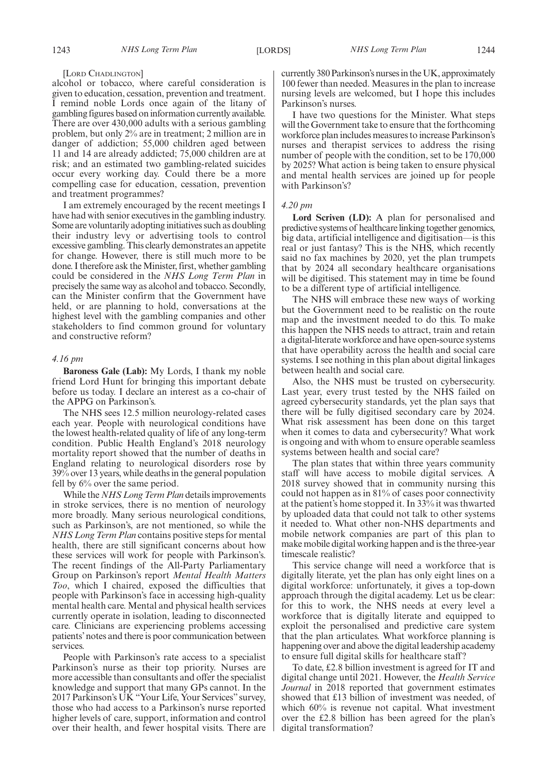[LORD CHADLINGTON]

alcohol or tobacco, where careful consideration is given to education, cessation, prevention and treatment. I remind noble Lords once again of the litany of gambling figures based on information currently available. There are over 430,000 adults with a serious gambling problem, but only 2% are in treatment; 2 million are in danger of addiction; 55,000 children aged between 11 and 14 are already addicted; 75,000 children are at risk; and an estimated two gambling-related suicides occur every working day. Could there be a more compelling case for education, cessation, prevention and treatment programmes?

I am extremely encouraged by the recent meetings I have had with senior executives in the gambling industry. Some are voluntarily adopting initiatives such as doubling their industry levy or advertising tools to control excessive gambling. This clearly demonstrates an appetite for change. However, there is still much more to be done. I therefore ask the Minister, first, whether gambling could be considered in the *NHS Long Term Plan* in precisely the same way as alcohol and tobacco. Secondly, can the Minister confirm that the Government have held, or are planning to hold, conversations at the highest level with the gambling companies and other stakeholders to find common ground for voluntary and constructive reform?

## *4.16 pm*

**Baroness Gale (Lab):** My Lords, I thank my noble friend Lord Hunt for bringing this important debate before us today. I declare an interest as a co-chair of the APPG on Parkinson's.

The NHS sees 12.5 million neurology-related cases each year. People with neurological conditions have the lowest health-related quality of life of any long-term condition. Public Health England's 2018 neurology mortality report showed that the number of deaths in England relating to neurological disorders rose by 39% over 13 years, while deaths in the general population fell by 6% over the same period.

While the *NHS Long Term Plan* details improvements in stroke services, there is no mention of neurology more broadly. Many serious neurological conditions, such as Parkinson's, are not mentioned, so while the *NHS Long Term Plan* contains positive steps for mental health, there are still significant concerns about how these services will work for people with Parkinson's. The recent findings of the All-Party Parliamentary Group on Parkinson's report *Mental Health Matters Too*, which I chaired, exposed the difficulties that people with Parkinson's face in accessing high-quality mental health care. Mental and physical health services currently operate in isolation, leading to disconnected care. Clinicians are experiencing problems accessing patients'notes and there is poor communication between services.

People with Parkinson's rate access to a specialist Parkinson's nurse as their top priority. Nurses are more accessible than consultants and offer the specialist knowledge and support that many GPs cannot. In the 2017 Parkinson's UK "Your Life, Your Services" survey, those who had access to a Parkinson's nurse reported higher levels of care, support, information and control over their health, and fewer hospital visits. There are currently 380 Parkinson's nurses in the UK, approximately 100 fewer than needed. Measures in the plan to increase nursing levels are welcomed, but I hope this includes Parkinson's nurses.

I have two questions for the Minister. What steps will the Government take to ensure that the forthcoming workforce plan includes measures to increase Parkinson's nurses and therapist services to address the rising number of people with the condition, set to be 170,000 by 2025? What action is being taken to ensure physical and mental health services are joined up for people with Parkinson's?

# *4.20 pm*

**Lord Scriven (LD):** A plan for personalised and predictive systems of healthcare linking together genomics, big data, artificial intelligence and digitisation—is this real or just fantasy? This is the NHS, which recently said no fax machines by 2020, yet the plan trumpets that by 2024 all secondary healthcare organisations will be digitised. This statement may in time be found to be a different type of artificial intelligence.

The NHS will embrace these new ways of working but the Government need to be realistic on the route map and the investment needed to do this. To make this happen the NHS needs to attract, train and retain a digital-literate workforce and have open-source systems that have operability across the health and social care systems. I see nothing in this plan about digital linkages between health and social care.

Also, the NHS must be trusted on cybersecurity. Last year, every trust tested by the NHS failed on agreed cybersecurity standards, yet the plan says that there will be fully digitised secondary care by 2024. What risk assessment has been done on this target when it comes to data and cybersecurity? What work is ongoing and with whom to ensure operable seamless systems between health and social care?

The plan states that within three years community staff will have access to mobile digital services. A 2018 survey showed that in community nursing this could not happen as in 81% of cases poor connectivity at the patient's home stopped it. In 33% it was thwarted by uploaded data that could not talk to other systems it needed to. What other non-NHS departments and mobile network companies are part of this plan to make mobile digital working happen and is the three-year timescale realistic?

This service change will need a workforce that is digitally literate, yet the plan has only eight lines on a digital workforce: unfortunately, it gives a top-down approach through the digital academy. Let us be clear: for this to work, the NHS needs at every level a workforce that is digitally literate and equipped to exploit the personalised and predictive care system that the plan articulates. What workforce planning is happening over and above the digital leadership academy to ensure full digital skills for healthcare staff?

To date, £2.8 billion investment is agreed for IT and digital change until 2021. However, the *Health Service Journal* in 2018 reported that government estimates showed that £13 billion of investment was needed, of which 60% is revenue not capital. What investment over the £2.8 billion has been agreed for the plan's digital transformation?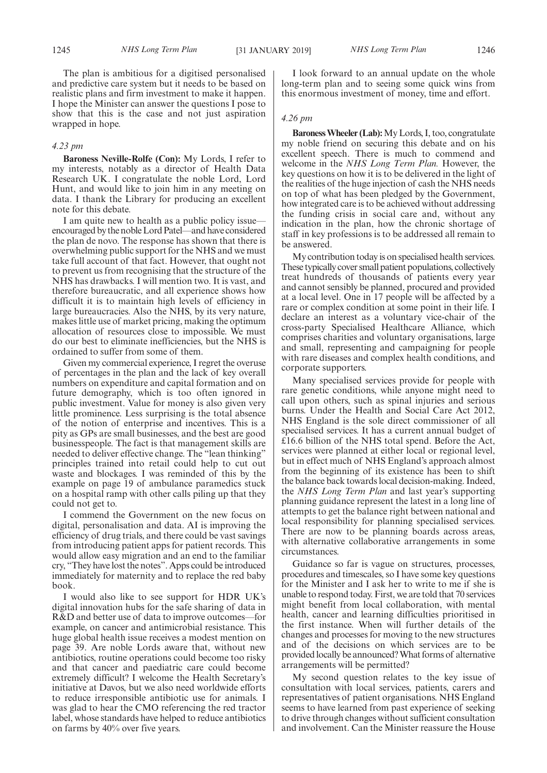The plan is ambitious for a digitised personalised and predictive care system but it needs to be based on realistic plans and firm investment to make it happen. I hope the Minister can answer the questions I pose to show that this is the case and not just aspiration wrapped in hope.

# *4.23 pm*

**Baroness Neville-Rolfe (Con):** My Lords, I refer to my interests, notably as a director of Health Data Research UK. I congratulate the noble Lord, Lord Hunt, and would like to join him in any meeting on data. I thank the Library for producing an excellent note for this debate.

I am quite new to health as a public policy issue encouraged by the noble Lord Patel—and have considered the plan de novo. The response has shown that there is overwhelming public support for the NHS and we must take full account of that fact. However, that ought not to prevent us from recognising that the structure of the NHS has drawbacks. I will mention two. It is vast, and therefore bureaucratic, and all experience shows how difficult it is to maintain high levels of efficiency in large bureaucracies. Also the NHS, by its very nature, makes little use of market pricing, making the optimum allocation of resources close to impossible. We must do our best to eliminate inefficiencies, but the NHS is ordained to suffer from some of them.

Given my commercial experience, I regret the overuse of percentages in the plan and the lack of key overall numbers on expenditure and capital formation and on future demography, which is too often ignored in public investment. Value for money is also given very little prominence. Less surprising is the total absence of the notion of enterprise and incentives. This is a pity as GPs are small businesses, and the best are good businesspeople. The fact is that management skills are needed to deliver effective change. The "lean thinking" principles trained into retail could help to cut out waste and blockages. I was reminded of this by the example on page 19 of ambulance paramedics stuck on a hospital ramp with other calls piling up that they could not get to.

I commend the Government on the new focus on digital, personalisation and data. AI is improving the efficiency of drug trials, and there could be vast savings from introducing patient apps for patient records. This would allow easy migration and an end to the familiar cry, "They have lost the notes". Apps could be introduced immediately for maternity and to replace the red baby book.

I would also like to see support for HDR UK's digital innovation hubs for the safe sharing of data in R&D and better use of data to improve outcomes—for example, on cancer and antimicrobial resistance. This huge global health issue receives a modest mention on page 39. Are noble Lords aware that, without new antibiotics, routine operations could become too risky and that cancer and paediatric care could become extremely difficult? I welcome the Health Secretary's initiative at Davos, but we also need worldwide efforts to reduce irresponsible antibiotic use for animals. I was glad to hear the CMO referencing the red tractor label, whose standards have helped to reduce antibiotics on farms by 40% over five years.

I look forward to an annual update on the whole long-term plan and to seeing some quick wins from this enormous investment of money, time and effort.

## *4.26 pm*

**Baroness Wheeler (Lab):**My Lords, I, too, congratulate my noble friend on securing this debate and on his excellent speech. There is much to commend and welcome in the *NHS Long Term Plan.* However, the key questions on how it is to be delivered in the light of the realities of the huge injection of cash the NHS needs on top of what has been pledged by the Government, how integrated care is to be achieved without addressing the funding crisis in social care and, without any indication in the plan, how the chronic shortage of staff in key professions is to be addressed all remain to be answered.

My contribution today is on specialised health services. These typically cover small patient populations, collectively treat hundreds of thousands of patients every year and cannot sensibly be planned, procured and provided at a local level. One in 17 people will be affected by a rare or complex condition at some point in their life. I declare an interest as a voluntary vice-chair of the cross-party Specialised Healthcare Alliance, which comprises charities and voluntary organisations, large and small, representing and campaigning for people with rare diseases and complex health conditions, and corporate supporters.

Many specialised services provide for people with rare genetic conditions, while anyone might need to call upon others, such as spinal injuries and serious burns. Under the Health and Social Care Act 2012, NHS England is the sole direct commissioner of all specialised services. It has a current annual budget of £16.6 billion of the NHS total spend. Before the Act, services were planned at either local or regional level, but in effect much of NHS England's approach almost from the beginning of its existence has been to shift the balance back towards local decision-making. Indeed, the *NHS Long Term Plan* and last year's supporting planning guidance represent the latest in a long line of attempts to get the balance right between national and local responsibility for planning specialised services. There are now to be planning boards across areas, with alternative collaborative arrangements in some circumstances.

Guidance so far is vague on structures, processes, procedures and timescales, so I have some key questions for the Minister and I ask her to write to me if she is unable to respond today. First, we are told that 70 services might benefit from local collaboration, with mental health, cancer and learning difficulties prioritised in the first instance. When will further details of the changes and processes for moving to the new structures and of the decisions on which services are to be provided locally be announced? What forms of alternative arrangements will be permitted?

My second question relates to the key issue of consultation with local services, patients, carers and representatives of patient organisations. NHS England seems to have learned from past experience of seeking to drive through changes without sufficient consultation and involvement. Can the Minister reassure the House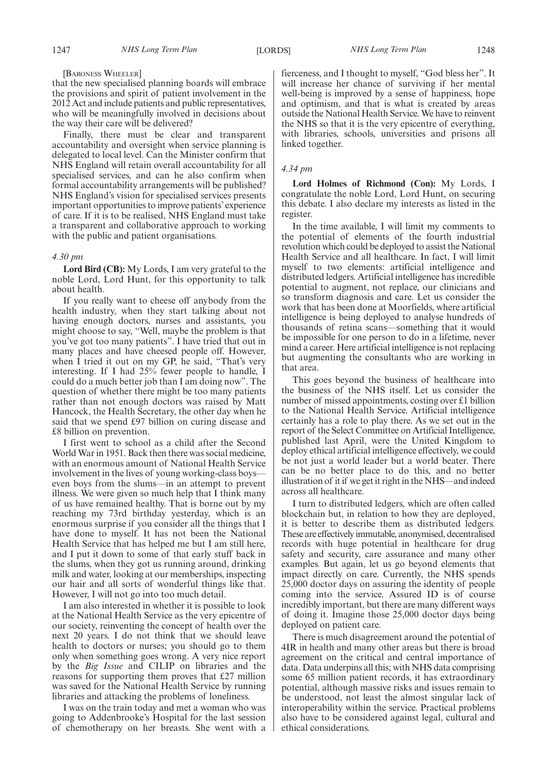#### [BARONESS WHEELER]

that the new specialised planning boards will embrace the provisions and spirit of patient involvement in the 2012 Act and include patients and public representatives, who will be meaningfully involved in decisions about the way their care will be delivered?

Finally, there must be clear and transparent accountability and oversight when service planning is delegated to local level. Can the Minister confirm that NHS England will retain overall accountability for all specialised services, and can he also confirm when formal accountability arrangements will be published? NHS England's vision for specialised services presents important opportunities to improve patients' experience of care. If it is to be realised, NHS England must take a transparent and collaborative approach to working with the public and patient organisations.

# *4.30 pm*

**Lord Bird (CB):** My Lords, I am very grateful to the noble Lord, Lord Hunt, for this opportunity to talk about health.

If you really want to cheese off anybody from the health industry, when they start talking about not having enough doctors, nurses and assistants, you might choose to say, "Well, maybe the problem is that you've got too many patients". I have tried that out in many places and have cheesed people off. However, when I tried it out on my GP, he said, "That's very interesting. If I had 25% fewer people to handle, I could do a much better job than I am doing now". The question of whether there might be too many patients rather than not enough doctors was raised by Matt Hancock, the Health Secretary, the other day when he said that we spend £97 billion on curing disease and £8 billion on prevention.

I first went to school as a child after the Second World War in 1951. Back then there was social medicine, with an enormous amount of National Health Service involvement in the lives of young working-class boys even boys from the slums—in an attempt to prevent illness. We were given so much help that I think many of us have remained healthy. That is borne out by my reaching my 73rd birthday yesterday, which is an enormous surprise if you consider all the things that I have done to myself. It has not been the National Health Service that has helped me but I am still here, and I put it down to some of that early stuff back in the slums, when they got us running around, drinking milk and water, looking at our memberships, inspecting our hair and all sorts of wonderful things like that. However, I will not go into too much detail.

I am also interested in whether it is possible to look at the National Health Service as the very epicentre of our society, reinventing the concept of health over the next 20 years. I do not think that we should leave health to doctors or nurses; you should go to them only when something goes wrong. A very nice report by the *Big Issue* and CILIP on libraries and the reasons for supporting them proves that £27 million was saved for the National Health Service by running libraries and attacking the problems of loneliness.

I was on the train today and met a woman who was going to Addenbrooke's Hospital for the last session of chemotherapy on her breasts. She went with a fierceness, and I thought to myself, "God bless her". It will increase her chance of surviving if her mental well-being is improved by a sense of happiness, hope and optimism, and that is what is created by areas outside the National Health Service. We have to reinvent the NHS so that it is the very epicentre of everything, with libraries, schools, universities and prisons all linked together.

# *4.34 pm*

**Lord Holmes of Richmond (Con):** My Lords, I congratulate the noble Lord, Lord Hunt, on securing this debate. I also declare my interests as listed in the register.

In the time available, I will limit my comments to the potential of elements of the fourth industrial revolution which could be deployed to assist the National Health Service and all healthcare. In fact, I will limit myself to two elements: artificial intelligence and distributed ledgers. Artificial intelligence has incredible potential to augment, not replace, our clinicians and so transform diagnosis and care. Let us consider the work that has been done at Moorfields, where artificial intelligence is being deployed to analyse hundreds of thousands of retina scans—something that it would be impossible for one person to do in a lifetime, never mind a career. Here artificial intelligence is not replacing but augmenting the consultants who are working in that area.

This goes beyond the business of healthcare into the business of the NHS itself. Let us consider the number of missed appointments, costing over £1 billion to the National Health Service. Artificial intelligence certainly has a role to play there. As we set out in the report of the Select Committee on Artificial Intelligence, published last April, were the United Kingdom to deploy ethical artificial intelligence effectively, we could be not just a world leader but a world beater. There can be no better place to do this, and no better illustration of it if we get it right in the NHS—and indeed across all healthcare.

I turn to distributed ledgers, which are often called blockchain but, in relation to how they are deployed, it is better to describe them as distributed ledgers. These are effectively immutable, anonymised, decentralised records with huge potential in healthcare for drug safety and security, care assurance and many other examples. But again, let us go beyond elements that impact directly on care. Currently, the NHS spends 25,000 doctor days on assuring the identity of people coming into the service. Assured ID is of course incredibly important, but there are many different ways of doing it. Imagine those 25,000 doctor days being deployed on patient care.

There is much disagreement around the potential of 4IR in health and many other areas but there is broad agreement on the critical and central importance of data. Data underpins all this; with NHS data comprising some 65 million patient records, it has extraordinary potential, although massive risks and issues remain to be understood, not least the almost singular lack of interoperability within the service. Practical problems also have to be considered against legal, cultural and ethical considerations.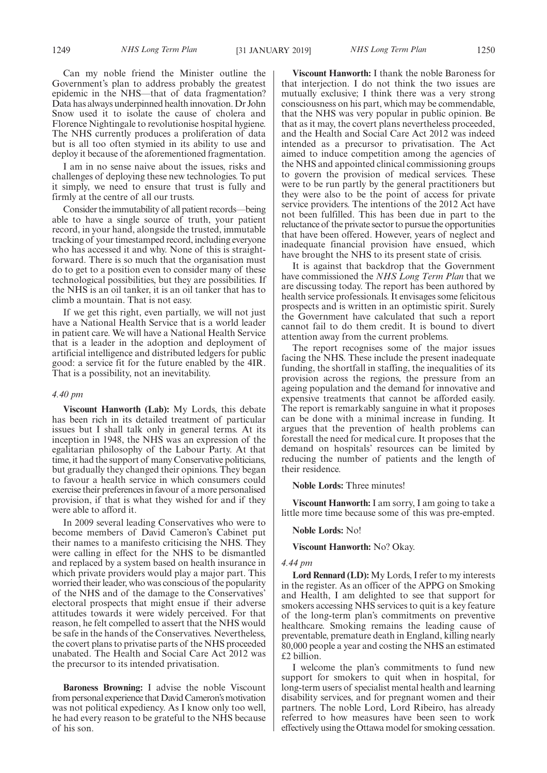Can my noble friend the Minister outline the Government's plan to address probably the greatest epidemic in the NHS—that of data fragmentation? Data has always underpinned health innovation. Dr John Snow used it to isolate the cause of cholera and Florence Nightingale to revolutionise hospital hygiene. The NHS currently produces a proliferation of data but is all too often stymied in its ability to use and deploy it because of the aforementioned fragmentation.

I am in no sense naive about the issues, risks and challenges of deploying these new technologies. To put it simply, we need to ensure that trust is fully and firmly at the centre of all our trusts.

Consider the immutability of all patient records—being able to have a single source of truth, your patient record, in your hand, alongside the trusted, immutable tracking of your timestamped record, including everyone who has accessed it and why. None of this is straightforward. There is so much that the organisation must do to get to a position even to consider many of these technological possibilities, but they are possibilities. If the NHS is an oil tanker, it is an oil tanker that has to climb a mountain. That is not easy.

If we get this right, even partially, we will not just have a National Health Service that is a world leader in patient care. We will have a National Health Service that is a leader in the adoption and deployment of artificial intelligence and distributed ledgers for public good: a service fit for the future enabled by the 4IR. That is a possibility, not an inevitability.

#### *4.40 pm*

**Viscount Hanworth (Lab):** My Lords, this debate has been rich in its detailed treatment of particular issues but I shall talk only in general terms. At its inception in 1948, the NHS was an expression of the egalitarian philosophy of the Labour Party. At that time, it had the support of many Conservative politicians, but gradually they changed their opinions. They began to favour a health service in which consumers could exercise their preferences in favour of a more personalised provision, if that is what they wished for and if they were able to afford it.

In 2009 several leading Conservatives who were to become members of David Cameron's Cabinet put their names to a manifesto criticising the NHS. They were calling in effect for the NHS to be dismantled and replaced by a system based on health insurance in which private providers would play a major part. This worried their leader, who was conscious of the popularity of the NHS and of the damage to the Conservatives' electoral prospects that might ensue if their adverse attitudes towards it were widely perceived. For that reason, he felt compelled to assert that the NHS would be safe in the hands of the Conservatives. Nevertheless, the covert plans to privatise parts of the NHS proceeded unabated. The Health and Social Care Act 2012 was the precursor to its intended privatisation.

**Baroness Browning:** I advise the noble Viscount from personal experience that David Cameron's motivation was not political expediency. As I know only too well, he had every reason to be grateful to the NHS because of his son.

**Viscount Hanworth:** I thank the noble Baroness for that interjection. I do not think the two issues are mutually exclusive; I think there was a very strong consciousness on his part, which may be commendable, that the NHS was very popular in public opinion. Be that as it may, the covert plans nevertheless proceeded, and the Health and Social Care Act 2012 was indeed intended as a precursor to privatisation. The Act aimed to induce competition among the agencies of the NHS and appointed clinical commissioning groups to govern the provision of medical services. These were to be run partly by the general practitioners but they were also to be the point of access for private service providers. The intentions of the 2012 Act have not been fulfilled. This has been due in part to the reluctance of the private sector to pursue the opportunities that have been offered. However, years of neglect and inadequate financial provision have ensued, which have brought the NHS to its present state of crisis.

It is against that backdrop that the Government have commissioned the *NHS Long Term Plan* that we are discussing today. The report has been authored by health service professionals. It envisages some felicitous prospects and is written in an optimistic spirit. Surely the Government have calculated that such a report cannot fail to do them credit. It is bound to divert attention away from the current problems.

The report recognises some of the major issues facing the NHS. These include the present inadequate funding, the shortfall in staffing, the inequalities of its provision across the regions, the pressure from an ageing population and the demand for innovative and expensive treatments that cannot be afforded easily. The report is remarkably sanguine in what it proposes can be done with a minimal increase in funding. It argues that the prevention of health problems can forestall the need for medical cure. It proposes that the demand on hospitals' resources can be limited by reducing the number of patients and the length of their residence.

**Noble Lords:** Three minutes!

**Viscount Hanworth:** I am sorry, I am going to take a little more time because some of this was pre-empted.

#### **Noble Lords:** No!

**Viscount Hanworth:** No? Okay.

#### *4.44 pm*

**Lord Rennard (LD):** My Lords, I refer to my interests in the register. As an officer of the APPG on Smoking and Health, I am delighted to see that support for smokers accessing NHS services to quit is a key feature of the long-term plan's commitments on preventive healthcare. Smoking remains the leading cause of preventable, premature death in England, killing nearly 80,000 people a year and costing the NHS an estimated £2 billion.

I welcome the plan's commitments to fund new support for smokers to quit when in hospital, for long-term users of specialist mental health and learning disability services, and for pregnant women and their partners. The noble Lord, Lord Ribeiro, has already referred to how measures have been seen to work effectively using the Ottawa model for smoking cessation.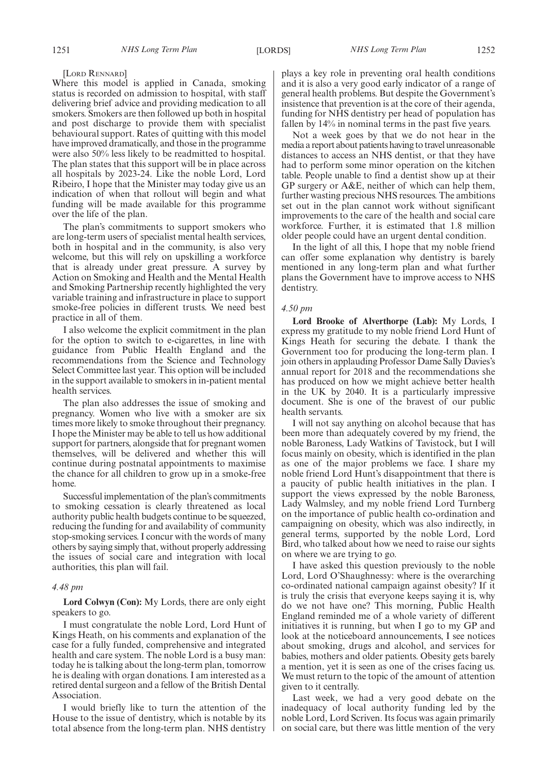#### [LORD RENNARD]

Where this model is applied in Canada, smoking status is recorded on admission to hospital, with staff delivering brief advice and providing medication to all smokers. Smokers are then followed up both in hospital and post discharge to provide them with specialist behavioural support. Rates of quitting with this model have improved dramatically, and those in the programme were also 50% less likely to be readmitted to hospital. The plan states that this support will be in place across all hospitals by 2023-24. Like the noble Lord, Lord Ribeiro, I hope that the Minister may today give us an indication of when that rollout will begin and what funding will be made available for this programme over the life of the plan.

The plan's commitments to support smokers who are long-term users of specialist mental health services, both in hospital and in the community, is also very welcome, but this will rely on upskilling a workforce that is already under great pressure. A survey by Action on Smoking and Health and the Mental Health and Smoking Partnership recently highlighted the very variable training and infrastructure in place to support smoke-free policies in different trusts. We need best practice in all of them.

I also welcome the explicit commitment in the plan for the option to switch to e-cigarettes, in line with guidance from Public Health England and the recommendations from the Science and Technology Select Committee last year. This option will be included in the support available to smokers in in-patient mental health services.

The plan also addresses the issue of smoking and pregnancy. Women who live with a smoker are six times more likely to smoke throughout their pregnancy. I hope the Minister may be able to tell us how additional support for partners, alongside that for pregnant women themselves, will be delivered and whether this will continue during postnatal appointments to maximise the chance for all children to grow up in a smoke-free home.

Successful implementation of the plan's commitments to smoking cessation is clearly threatened as local authority public health budgets continue to be squeezed, reducing the funding for and availability of community stop-smoking services. I concur with the words of many others by saying simply that, without properly addressing the issues of social care and integration with local authorities, this plan will fail.

# *4.48 pm*

**Lord Colwyn (Con):** My Lords, there are only eight speakers to go.

I must congratulate the noble Lord, Lord Hunt of Kings Heath, on his comments and explanation of the case for a fully funded, comprehensive and integrated health and care system. The noble Lord is a busy man: today he is talking about the long-term plan, tomorrow he is dealing with organ donations. I am interested as a retired dental surgeon and a fellow of the British Dental Association.

I would briefly like to turn the attention of the House to the issue of dentistry, which is notable by its total absence from the long-term plan. NHS dentistry plays a key role in preventing oral health conditions and it is also a very good early indicator of a range of general health problems. But despite the Government's insistence that prevention is at the core of their agenda, funding for NHS dentistry per head of population has fallen by 14% in nominal terms in the past five years.

Not a week goes by that we do not hear in the media a report about patients having to travel unreasonable distances to access an NHS dentist, or that they have had to perform some minor operation on the kitchen table. People unable to find a dentist show up at their GP surgery or A&E, neither of which can help them, further wasting precious NHS resources. The ambitions set out in the plan cannot work without significant improvements to the care of the health and social care workforce. Further, it is estimated that 1.8 million older people could have an urgent dental condition.

In the light of all this, I hope that my noble friend can offer some explanation why dentistry is barely mentioned in any long-term plan and what further plans the Government have to improve access to NHS dentistry.

# *4.50 pm*

**Lord Brooke of Alverthorpe (Lab):** My Lords, I express my gratitude to my noble friend Lord Hunt of Kings Heath for securing the debate. I thank the Government too for producing the long-term plan. I join others in applauding Professor Dame Sally Davies's annual report for 2018 and the recommendations she has produced on how we might achieve better health in the UK by 2040. It is a particularly impressive document. She is one of the bravest of our public health servants.

I will not say anything on alcohol because that has been more than adequately covered by my friend, the noble Baroness, Lady Watkins of Tavistock, but I will focus mainly on obesity, which is identified in the plan as one of the major problems we face. I share my noble friend Lord Hunt's disappointment that there is a paucity of public health initiatives in the plan. I support the views expressed by the noble Baroness, Lady Walmsley, and my noble friend Lord Turnberg on the importance of public health co-ordination and campaigning on obesity, which was also indirectly, in general terms, supported by the noble Lord, Lord Bird, who talked about how we need to raise our sights on where we are trying to go.

I have asked this question previously to the noble Lord, Lord O'Shaughnessy: where is the overarching co-ordinated national campaign against obesity? If it is truly the crisis that everyone keeps saying it is, why do we not have one? This morning, Public Health England reminded me of a whole variety of different initiatives it is running, but when I go to my GP and look at the noticeboard announcements, I see notices about smoking, drugs and alcohol, and services for babies, mothers and older patients. Obesity gets barely a mention, yet it is seen as one of the crises facing us. We must return to the topic of the amount of attention given to it centrally.

Last week, we had a very good debate on the inadequacy of local authority funding led by the noble Lord, Lord Scriven. Its focus was again primarily on social care, but there was little mention of the very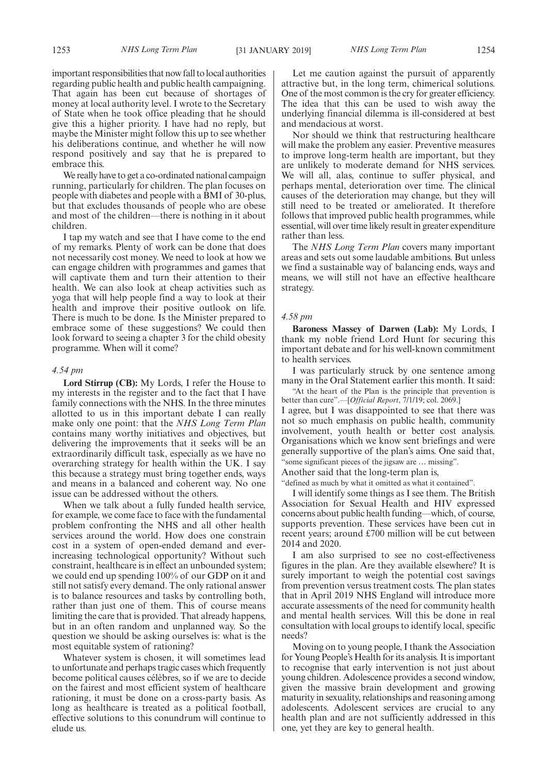important responsibilities that now fall to local authorities regarding public health and public health campaigning. That again has been cut because of shortages of money at local authority level. I wrote to the Secretary of State when he took office pleading that he should give this a higher priority. I have had no reply, but maybe the Minister might follow this up to see whether his deliberations continue, and whether he will now respond positively and say that he is prepared to embrace this.

We really have to get a co-ordinated national campaign running, particularly for children. The plan focuses on people with diabetes and people with a BMI of 30-plus, but that excludes thousands of people who are obese and most of the children—there is nothing in it about children.

I tap my watch and see that I have come to the end of my remarks. Plenty of work can be done that does not necessarily cost money. We need to look at how we can engage children with programmes and games that will captivate them and turn their attention to their health. We can also look at cheap activities such as yoga that will help people find a way to look at their health and improve their positive outlook on life. There is much to be done. Is the Minister prepared to embrace some of these suggestions? We could then look forward to seeing a chapter 3 for the child obesity programme. When will it come?

#### *4.54 pm*

**Lord Stirrup (CB):** My Lords, I refer the House to my interests in the register and to the fact that I have family connections with the NHS. In the three minutes allotted to us in this important debate I can really make only one point: that the *NHS Long Term Plan* contains many worthy initiatives and objectives, but delivering the improvements that it seeks will be an extraordinarily difficult task, especially as we have no overarching strategy for health within the UK. I say this because a strategy must bring together ends, ways and means in a balanced and coherent way. No one issue can be addressed without the others.

When we talk about a fully funded health service, for example, we come face to face with the fundamental problem confronting the NHS and all other health services around the world. How does one constrain cost in a system of open-ended demand and everincreasing technological opportunity? Without such constraint, healthcare is in effect an unbounded system; we could end up spending 100% of our GDP on it and still not satisfy every demand. The only rational answer is to balance resources and tasks by controlling both, rather than just one of them. This of course means limiting the care that is provided. That already happens, but in an often random and unplanned way. So the question we should be asking ourselves is: what is the most equitable system of rationing?

Whatever system is chosen, it will sometimes lead to unfortunate and perhaps tragic cases which frequently become political causes célèbres, so if we are to decide on the fairest and most efficient system of healthcare rationing, it must be done on a cross-party basis. As long as healthcare is treated as a political football, effective solutions to this conundrum will continue to elude us.

Let me caution against the pursuit of apparently attractive but, in the long term, chimerical solutions. One of the most common is the cry for greater efficiency. The idea that this can be used to wish away the underlying financial dilemma is ill-considered at best and mendacious at worst.

Nor should we think that restructuring healthcare will make the problem any easier. Preventive measures to improve long-term health are important, but they are unlikely to moderate demand for NHS services. We will all, alas, continue to suffer physical, and perhaps mental, deterioration over time. The clinical causes of the deterioration may change, but they will still need to be treated or ameliorated. It therefore follows that improved public health programmes, while essential, will over time likely result in greater expenditure rather than less.

The *NHS Long Term Plan* covers many important areas and sets out some laudable ambitions. But unless we find a sustainable way of balancing ends, ways and means, we will still not have an effective healthcare strategy.

#### *4.58 pm*

**Baroness Massey of Darwen (Lab):** My Lords, I thank my noble friend Lord Hunt for securing this important debate and for his well-known commitment to health services.

I was particularly struck by one sentence among many in the Oral Statement earlier this month. It said:

"At the heart of the Plan is the principle that prevention is better than cure".—[*Official Report*, 7/1/19; col. 2069.] I agree, but I was disappointed to see that there was not so much emphasis on public health, community

involvement, youth health or better cost analysis. Organisations which we know sent briefings and were generally supportive of the plan's aims. One said that, "some significant pieces of the jigsaw are … missing".

Another said that the long-term plan is,

"defined as much by what it omitted as what it contained".

I will identify some things as I see them. The British Association for Sexual Health and HIV expressed concerns about public health funding—which, of course, supports prevention. These services have been cut in recent years; around £700 million will be cut between 2014 and 2020.

I am also surprised to see no cost-effectiveness figures in the plan. Are they available elsewhere? It is surely important to weigh the potential cost savings from prevention versus treatment costs. The plan states that in April 2019 NHS England will introduce more accurate assessments of the need for community health and mental health services. Will this be done in real consultation with local groups to identify local, specific needs?

Moving on to young people, I thank the Association for Young People's Health for its analysis. It is important to recognise that early intervention is not just about young children. Adolescence provides a second window, given the massive brain development and growing maturity in sexuality, relationships and reasoning among adolescents. Adolescent services are crucial to any health plan and are not sufficiently addressed in this one, yet they are key to general health.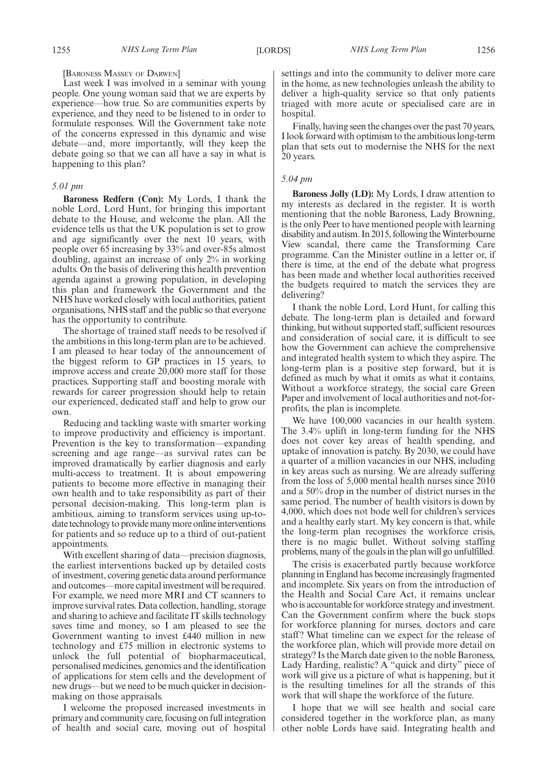# [BARONESS MASSEY OF DARWEN]

Last week I was involved in a seminar with young people. One young woman said that we are experts by experience—how true. So are communities experts by experience, and they need to be listened to in order to formulate responses. Will the Government take note of the concerns expressed in this dynamic and wise debate—and, more importantly, will they keep the debate going so that we can all have a say in what is happening to this plan?

#### *5.01 pm*

**Baroness Redfern (Con):** My Lords, I thank the noble Lord, Lord Hunt, for bringing this important debate to the House, and welcome the plan. All the evidence tells us that the UK population is set to grow and age significantly over the next 10 years, with people over 65 increasing by 33% and over-85s almost doubling, against an increase of only 2% in working adults. On the basis of delivering this health prevention agenda against a growing population, in developing this plan and framework the Government and the NHS have worked closely with local authorities, patient organisations, NHS staff and the public so that everyone has the opportunity to contribute.

The shortage of trained staff needs to be resolved if the ambitions in this long-term plan are to be achieved. I am pleased to hear today of the announcement of the biggest reform to GP practices in 15 years, to improve access and create 20,000 more staff for those practices. Supporting staff and boosting morale with rewards for career progression should help to retain our experienced, dedicated staff and help to grow our own.

Reducing and tackling waste with smarter working to improve productivity and efficiency is important. Prevention is the key to transformation—expanding screening and age range—as survival rates can be improved dramatically by earlier diagnosis and early multi-access to treatment. It is about empowering patients to become more effective in managing their own health and to take responsibility as part of their personal decision-making. This long-term plan is ambitious, aiming to transform services using up-todate technology to provide many more online interventions for patients and so reduce up to a third of out-patient appointments.

With excellent sharing of data—precision diagnosis, the earliest interventions backed up by detailed costs of investment, covering genetic data around performance and outcomes—more capital investment will be required. For example, we need more MRI and CT scanners to improve survival rates. Data collection, handling, storage and sharing to achieve and facilitate IT skills technology saves time and money, so I am pleased to see the Government wanting to invest £440 million in new technology and £75 million in electronic systems to unlock the full potential of biopharmaceutical, personalised medicines, genomics and the identification of applications for stem cells and the development of new drugs—but we need to be much quicker in decisionmaking on those appraisals.

I welcome the proposed increased investments in primary and community care, focusing on full integration of health and social care, moving out of hospital settings and into the community to deliver more care in the home, as new technologies unleash the ability to deliver a high-quality service so that only patients triaged with more acute or specialised care are in hospital.

Finally, having seen the changes over the past 70 years, I look forward with optimism to the ambitious long-term plan that sets out to modernise the NHS for the next 20 years.

# *5.04 pm*

**Baroness Jolly (LD):** My Lords, I draw attention to my interests as declared in the register. It is worth mentioning that the noble Baroness, Lady Browning, is the only Peer to have mentioned people with learning disability and autism. In 2015, following the Winterbourne View scandal, there came the Transforming Care programme. Can the Minister outline in a letter or, if there is time, at the end of the debate what progress has been made and whether local authorities received the budgets required to match the services they are delivering?

I thank the noble Lord, Lord Hunt, for calling this debate. The long-term plan is detailed and forward thinking, but without supported staff, sufficient resources and consideration of social care, it is difficult to see how the Government can achieve the comprehensive and integrated health system to which they aspire. The long-term plan is a positive step forward, but it is defined as much by what it omits as what it contains. Without a workforce strategy, the social care Green Paper and involvement of local authorities and not-forprofits, the plan is incomplete.

We have 100,000 vacancies in our health system. The 3.4% uplift in long-term funding for the NHS does not cover key areas of health spending, and uptake of innovation is patchy. By 2030, we could have a quarter of a million vacancies in our NHS, including in key areas such as nursing. We are already suffering from the loss of 5,000 mental health nurses since 2010 and a 50% drop in the number of district nurses in the same period. The number of health visitors is down by 4,000, which does not bode well for children's services and a healthy early start. My key concern is that, while the long-term plan recognises the workforce crisis, there is no magic bullet. Without solving staffing problems, many of the goals in the plan will go unfulfilled.

The crisis is exacerbated partly because workforce planning in England has become increasingly fragmented and incomplete. Six years on from the introduction of the Health and Social Care Act, it remains unclear who is accountable for workforce strategy and investment. Can the Government confirm where the buck stops for workforce planning for nurses, doctors and care staff? What timeline can we expect for the release of the workforce plan, which will provide more detail on strategy? Is the March date given to the noble Baroness, Lady Harding, realistic? A "quick and dirty" piece of work will give us a picture of what is happening, but it is the resulting timelines for all the strands of this work that will shape the workforce of the future.

I hope that we will see health and social care considered together in the workforce plan, as many other noble Lords have said. Integrating health and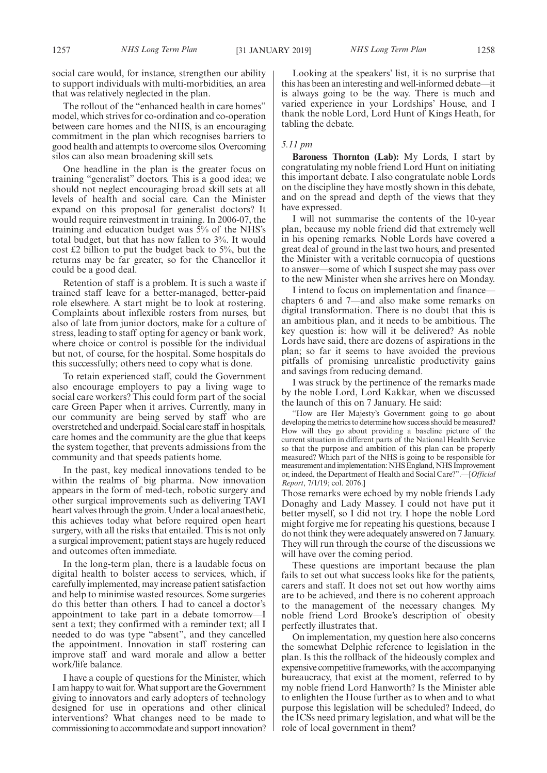social care would, for instance, strengthen our ability to support individuals with multi-morbidities, an area that was relatively neglected in the plan.

The rollout of the "enhanced health in care homes" model, which strives for co-ordination and co-operation between care homes and the NHS, is an encouraging commitment in the plan which recognises barriers to good health and attempts to overcome silos. Overcoming silos can also mean broadening skill sets.

One headline in the plan is the greater focus on training "generalist" doctors. This is a good idea; we should not neglect encouraging broad skill sets at all levels of health and social care. Can the Minister expand on this proposal for generalist doctors? It would require reinvestment in training. In 2006-07, the training and education budget was 5% of the NHS's total budget, but that has now fallen to 3%. It would cost £2 billion to put the budget back to 5%, but the returns may be far greater, so for the Chancellor it could be a good deal.

Retention of staff is a problem. It is such a waste if trained staff leave for a better-managed, better-paid role elsewhere. A start might be to look at rostering. Complaints about inflexible rosters from nurses, but also of late from junior doctors, make for a culture of stress, leading to staff opting for agency or bank work, where choice or control is possible for the individual but not, of course, for the hospital. Some hospitals do this successfully; others need to copy what is done.

To retain experienced staff, could the Government also encourage employers to pay a living wage to social care workers? This could form part of the social care Green Paper when it arrives. Currently, many in our community are being served by staff who are overstretched and underpaid. Social care staff in hospitals, care homes and the community are the glue that keeps the system together, that prevents admissions from the community and that speeds patients home.

In the past, key medical innovations tended to be within the realms of big pharma. Now innovation appears in the form of med-tech, robotic surgery and other surgical improvements such as delivering TAVI heart valves through the groin. Under a local anaesthetic, this achieves today what before required open heart surgery, with all the risks that entailed. This is not only a surgical improvement; patient stays are hugely reduced and outcomes often immediate.

In the long-term plan, there is a laudable focus on digital health to bolster access to services, which, if carefully implemented, may increase patient satisfaction and help to minimise wasted resources. Some surgeries do this better than others. I had to cancel a doctor's appointment to take part in a debate tomorrow—I sent a text; they confirmed with a reminder text; all I needed to do was type "absent", and they cancelled the appointment. Innovation in staff rostering can improve staff and ward morale and allow a better work/life balance.

I have a couple of questions for the Minister, which I am happy to wait for. What support are the Government giving to innovators and early adopters of technology designed for use in operations and other clinical interventions? What changes need to be made to commissioning to accommodate and support innovation?

Looking at the speakers' list, it is no surprise that this has been an interesting and well-informed debate—it is always going to be the way. There is much and varied experience in your Lordships' House, and I thank the noble Lord, Lord Hunt of Kings Heath, for tabling the debate.

# *5.11 pm*

**Baroness Thornton (Lab):** My Lords, I start by congratulating my noble friend Lord Hunt on initiating this important debate. I also congratulate noble Lords on the discipline they have mostly shown in this debate, and on the spread and depth of the views that they have expressed.

I will not summarise the contents of the 10-year plan, because my noble friend did that extremely well in his opening remarks. Noble Lords have covered a great deal of ground in the last two hours, and presented the Minister with a veritable cornucopia of questions to answer—some of which I suspect she may pass over to the new Minister when she arrives here on Monday.

I intend to focus on implementation and finance chapters 6 and 7—and also make some remarks on digital transformation. There is no doubt that this is an ambitious plan, and it needs to be ambitious. The key question is: how will it be delivered? As noble Lords have said, there are dozens of aspirations in the plan; so far it seems to have avoided the previous pitfalls of promising unrealistic productivity gains and savings from reducing demand.

I was struck by the pertinence of the remarks made by the noble Lord, Lord Kakkar, when we discussed the launch of this on 7 January. He said:

"How are Her Majesty's Government going to go about developing the metrics to determine how success should be measured? How will they go about providing a baseline picture of the current situation in different parts of the National Health Service so that the purpose and ambition of this plan can be properly measured? Which part of the NHS is going to be responsible for measurement and implementation: NHS England, NHS Improvement or, indeed, the Department of Health and Social Care?".—[*Official Report*, 7/1/19; col. 2076.]

Those remarks were echoed by my noble friends Lady Donaghy and Lady Massey. I could not have put it better myself, so I did not try. I hope the noble Lord might forgive me for repeating his questions, because I do not think they were adequately answered on 7 January. They will run through the course of the discussions we will have over the coming period.

These questions are important because the plan fails to set out what success looks like for the patients, carers and staff. It does not set out how worthy aims are to be achieved, and there is no coherent approach to the management of the necessary changes. My noble friend Lord Brooke's description of obesity perfectly illustrates that.

On implementation, my question here also concerns the somewhat Delphic reference to legislation in the plan. Is this the rollback of the hideously complex and expensive competitive frameworks, with the accompanying bureaucracy, that exist at the moment, referred to by my noble friend Lord Hanworth? Is the Minister able to enlighten the House further as to when and to what purpose this legislation will be scheduled? Indeed, do the ICSs need primary legislation, and what will be the role of local government in them?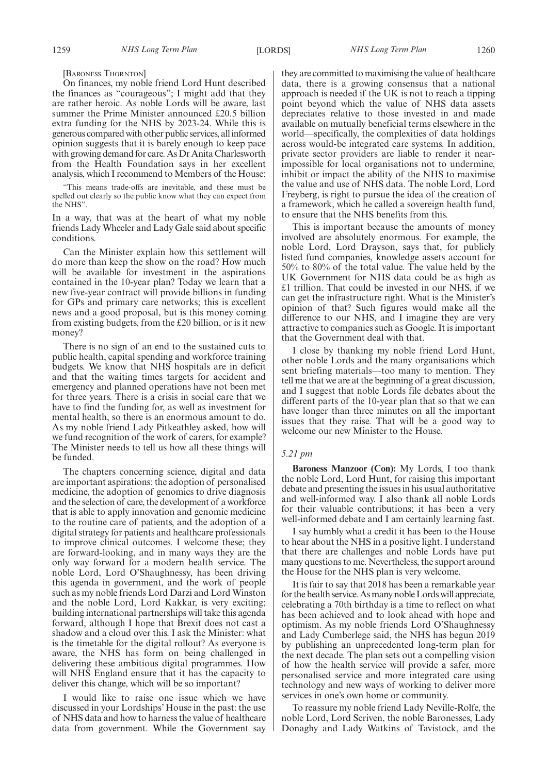[BARONESS THORNTON]

On finances, my noble friend Lord Hunt described the finances as "courageous"; I might add that they are rather heroic. As noble Lords will be aware, last summer the Prime Minister announced £20.5 billion extra funding for the NHS by 2023-24. While this is generous compared with other public services, all informed opinion suggests that it is barely enough to keep pace with growing demand for care. As Dr Anita Charlesworth from the Health Foundation says in her excellent analysis, which I recommend to Members of the House:

"This means trade-offs are inevitable, and these must be spelled out clearly so the public know what they can expect from the NHS".

In a way, that was at the heart of what my noble friends Lady Wheeler and Lady Gale said about specific conditions.

Can the Minister explain how this settlement will do more than keep the show on the road? How much will be available for investment in the aspirations contained in the 10-year plan? Today we learn that a new five-year contract will provide billions in funding for GPs and primary care networks; this is excellent news and a good proposal, but is this money coming from existing budgets, from the £20 billion, or is it new money?

There is no sign of an end to the sustained cuts to public health, capital spending and workforce training budgets. We know that NHS hospitals are in deficit and that the waiting times targets for accident and emergency and planned operations have not been met for three years. There is a crisis in social care that we have to find the funding for, as well as investment for mental health, so there is an enormous amount to do. As my noble friend Lady Pitkeathley asked, how will we fund recognition of the work of carers, for example? The Minister needs to tell us how all these things will be funded.

The chapters concerning science, digital and data are important aspirations: the adoption of personalised medicine, the adoption of genomics to drive diagnosis and the selection of care, the development of a workforce that is able to apply innovation and genomic medicine to the routine care of patients, and the adoption of a digital strategy for patients and healthcare professionals to improve clinical outcomes. I welcome these; they are forward-looking, and in many ways they are the only way forward for a modern health service. The noble Lord, Lord O'Shaughnessy, has been driving this agenda in government, and the work of people such as my noble friends Lord Darzi and Lord Winston and the noble Lord, Lord Kakkar, is very exciting; building international partnerships will take this agenda forward, although I hope that Brexit does not cast a shadow and a cloud over this. I ask the Minister: what is the timetable for the digital rollout? As everyone is aware, the NHS has form on being challenged in delivering these ambitious digital programmes. How will NHS England ensure that it has the capacity to deliver this change, which will be so important?

I would like to raise one issue which we have discussed in your Lordships' House in the past: the use of NHS data and how to harness the value of healthcare data from government. While the Government say they are committed to maximising the value of healthcare data, there is a growing consensus that a national approach is needed if the UK is not to reach a tipping point beyond which the value of NHS data assets depreciates relative to those invested in and made available on mutually beneficial terms elsewhere in the world—specifically, the complexities of data holdings across would-be integrated care systems. In addition, private sector providers are liable to render it nearimpossible for local organisations not to undermine, inhibit or impact the ability of the NHS to maximise the value and use of NHS data. The noble Lord, Lord Freyberg, is right to pursue the idea of the creation of a framework, which he called a sovereign health fund, to ensure that the NHS benefits from this.

This is important because the amounts of money involved are absolutely enormous. For example, the noble Lord, Lord Drayson, says that, for publicly listed fund companies, knowledge assets account for 50% to 80% of the total value. The value held by the UK Government for NHS data could be as high as £1 trillion. That could be invested in our NHS, if we can get the infrastructure right. What is the Minister's opinion of that? Such figures would make all the difference to our NHS, and I imagine they are very attractive to companies such as Google. It is important that the Government deal with that.

I close by thanking my noble friend Lord Hunt, other noble Lords and the many organisations which sent briefing materials—too many to mention. They tell me that we are at the beginning of a great discussion, and I suggest that noble Lords file debates about the different parts of the 10-year plan that so that we can have longer than three minutes on all the important issues that they raise. That will be a good way to welcome our new Minister to the House.

#### *5.21 pm*

**Baroness Manzoor (Con):** My Lords, I too thank the noble Lord, Lord Hunt, for raising this important debate and presenting the issues in his usual authoritative and well-informed way. I also thank all noble Lords for their valuable contributions; it has been a very well-informed debate and I am certainly learning fast.

I say humbly what a credit it has been to the House to hear about the NHS in a positive light. I understand that there are challenges and noble Lords have put many questions to me. Nevertheless, the support around the House for the NHS plan is very welcome.

It is fair to say that 2018 has been a remarkable year for the health service. As many noble Lords will appreciate, celebrating a 70th birthday is a time to reflect on what has been achieved and to look ahead with hope and optimism. As my noble friends Lord O'Shaughnessy and Lady Cumberlege said, the NHS has begun 2019 by publishing an unprecedented long-term plan for the next decade. The plan sets out a compelling vision of how the health service will provide a safer, more personalised service and more integrated care using technology and new ways of working to deliver more services in one's own home or community.

To reassure my noble friend Lady Neville-Rolfe, the noble Lord, Lord Scriven, the noble Baronesses, Lady Donaghy and Lady Watkins of Tavistock, and the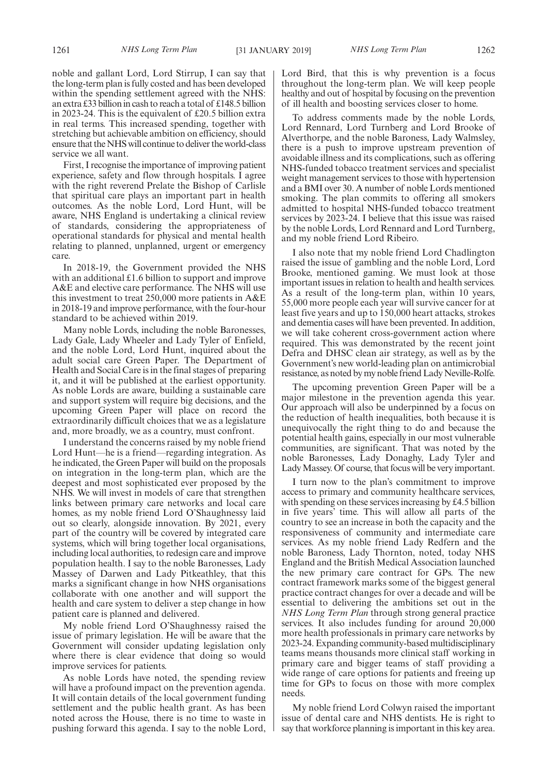noble and gallant Lord, Lord Stirrup, I can say that the long-term plan is fully costed and has been developed within the spending settlement agreed with the NHS: an extra £33 billion in cash to reach a total of £148.5 billion in 2023-24. This is the equivalent of £20.5 billion extra in real terms. This increased spending, together with stretching but achievable ambition on efficiency, should ensure that the NHS will continue to deliver the world-class service we all want.

First, I recognise the importance of improving patient experience, safety and flow through hospitals. I agree with the right reverend Prelate the Bishop of Carlisle that spiritual care plays an important part in health outcomes. As the noble Lord, Lord Hunt, will be aware, NHS England is undertaking a clinical review of standards, considering the appropriateness of operational standards for physical and mental health relating to planned, unplanned, urgent or emergency care.

In 2018-19, the Government provided the NHS with an additional £1.6 billion to support and improve A&E and elective care performance. The NHS will use this investment to treat 250,000 more patients in A&E in 2018-19 and improve performance, with the four-hour standard to be achieved within 2019.

Many noble Lords, including the noble Baronesses, Lady Gale, Lady Wheeler and Lady Tyler of Enfield, and the noble Lord, Lord Hunt, inquired about the adult social care Green Paper. The Department of Health and Social Care is in the final stages of preparing it, and it will be published at the earliest opportunity. As noble Lords are aware, building a sustainable care and support system will require big decisions, and the upcoming Green Paper will place on record the extraordinarily difficult choices that we as a legislature and, more broadly, we as a country, must confront.

I understand the concerns raised by my noble friend Lord Hunt—he is a friend—regarding integration. As he indicated, the Green Paper will build on the proposals on integration in the long-term plan, which are the deepest and most sophisticated ever proposed by the NHS. We will invest in models of care that strengthen links between primary care networks and local care homes, as my noble friend Lord O'Shaughnessy laid out so clearly, alongside innovation. By 2021, every part of the country will be covered by integrated care systems, which will bring together local organisations, including local authorities, to redesign care and improve population health. I say to the noble Baronesses, Lady Massey of Darwen and Lady Pitkeathley, that this marks a significant change in how NHS organisations collaborate with one another and will support the health and care system to deliver a step change in how patient care is planned and delivered.

My noble friend Lord O'Shaughnessy raised the issue of primary legislation. He will be aware that the Government will consider updating legislation only where there is clear evidence that doing so would improve services for patients.

As noble Lords have noted, the spending review will have a profound impact on the prevention agenda. It will contain details of the local government funding settlement and the public health grant. As has been noted across the House, there is no time to waste in pushing forward this agenda. I say to the noble Lord, Lord Bird, that this is why prevention is a focus throughout the long-term plan. We will keep people healthy and out of hospital by focusing on the prevention of ill health and boosting services closer to home.

To address comments made by the noble Lords, Lord Rennard, Lord Turnberg and Lord Brooke of Alverthorpe, and the noble Baroness, Lady Walmsley, there is a push to improve upstream prevention of avoidable illness and its complications, such as offering NHS-funded tobacco treatment services and specialist weight management services to those with hypertension and a BMI over 30. A number of noble Lords mentioned smoking. The plan commits to offering all smokers admitted to hospital NHS-funded tobacco treatment services by 2023-24. I believe that this issue was raised by the noble Lords, Lord Rennard and Lord Turnberg, and my noble friend Lord Ribeiro.

I also note that my noble friend Lord Chadlington raised the issue of gambling and the noble Lord, Lord Brooke, mentioned gaming. We must look at those important issues in relation to health and health services. As a result of the long-term plan, within 10 years, 55,000 more people each year will survive cancer for at least five years and up to 150,000 heart attacks, strokes and dementia cases will have been prevented. In addition, we will take coherent cross-government action where required. This was demonstrated by the recent joint Defra and DHSC clean air strategy, as well as by the Government's new world-leading plan on antimicrobial resistance, as noted by my noble friend Lady Neville-Rolfe.

The upcoming prevention Green Paper will be a major milestone in the prevention agenda this year. Our approach will also be underpinned by a focus on the reduction of health inequalities, both because it is unequivocally the right thing to do and because the potential health gains, especially in our most vulnerable communities, are significant. That was noted by the noble Baronesses, Lady Donaghy, Lady Tyler and Lady Massey. Of course, that focus will be very important.

I turn now to the plan's commitment to improve access to primary and community healthcare services, with spending on these services increasing by £4.5 billion in five years' time. This will allow all parts of the country to see an increase in both the capacity and the responsiveness of community and intermediate care services. As my noble friend Lady Redfern and the noble Baroness, Lady Thornton, noted, today NHS England and the British Medical Association launched the new primary care contract for GPs. The new contract framework marks some of the biggest general practice contract changes for over a decade and will be essential to delivering the ambitions set out in the *NHS Long Term Plan* through strong general practice services. It also includes funding for around 20,000 more health professionals in primary care networks by 2023-24. Expanding community-based multidisciplinary teams means thousands more clinical staff working in primary care and bigger teams of staff providing a wide range of care options for patients and freeing up time for GPs to focus on those with more complex needs.

My noble friend Lord Colwyn raised the important issue of dental care and NHS dentists. He is right to say that workforce planning is important in this key area.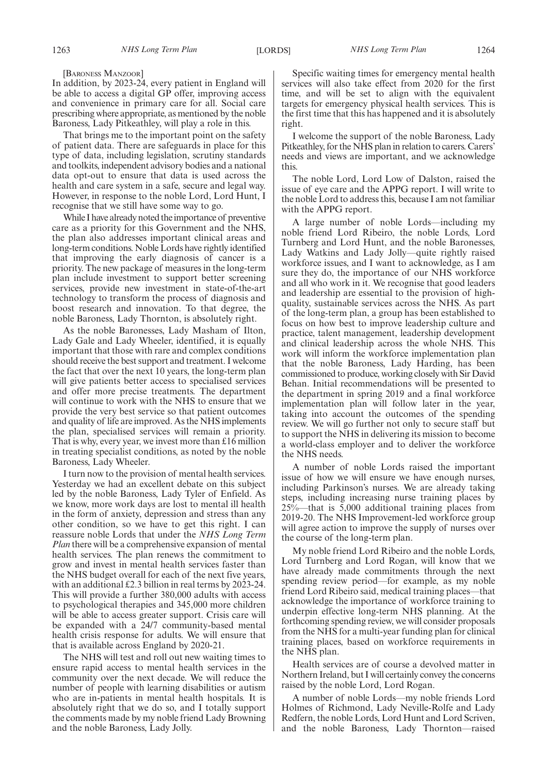[BARONESS MANZOOR]

In addition, by 2023-24, every patient in England will be able to access a digital GP offer, improving access and convenience in primary care for all. Social care prescribing where appropriate, as mentioned by the noble Baroness, Lady Pitkeathley, will play a role in this.

That brings me to the important point on the safety of patient data. There are safeguards in place for this type of data, including legislation, scrutiny standards and toolkits, independent advisory bodies and a national data opt-out to ensure that data is used across the health and care system in a safe, secure and legal way. However, in response to the noble Lord, Lord Hunt, I recognise that we still have some way to go.

While I have already noted the importance of preventive care as a priority for this Government and the NHS, the plan also addresses important clinical areas and long-term conditions. Noble Lords have rightly identified that improving the early diagnosis of cancer is a priority. The new package of measures in the long-term plan include investment to support better screening services, provide new investment in state-of-the-art technology to transform the process of diagnosis and boost research and innovation. To that degree, the noble Baroness, Lady Thornton, is absolutely right.

As the noble Baronesses, Lady Masham of Ilton, Lady Gale and Lady Wheeler, identified, it is equally important that those with rare and complex conditions should receive the best support and treatment. I welcome the fact that over the next 10 years, the long-term plan will give patients better access to specialised services and offer more precise treatments. The department will continue to work with the NHS to ensure that we provide the very best service so that patient outcomes and quality of life are improved. As the NHS implements the plan, specialised services will remain a priority. That is why, every year, we invest more than £16 million in treating specialist conditions, as noted by the noble Baroness, Lady Wheeler.

I turn now to the provision of mental health services. Yesterday we had an excellent debate on this subject led by the noble Baroness, Lady Tyler of Enfield. As we know, more work days are lost to mental ill health in the form of anxiety, depression and stress than any other condition, so we have to get this right. I can reassure noble Lords that under the *NHS Long Term Plan* there will be a comprehensive expansion of mental health services. The plan renews the commitment to grow and invest in mental health services faster than the NHS budget overall for each of the next five years, with an additional £2.3 billion in real terms by 2023-24. This will provide a further 380,000 adults with access to psychological therapies and 345,000 more children will be able to access greater support. Crisis care will be expanded with a 24/7 community-based mental health crisis response for adults. We will ensure that that is available across England by 2020-21.

The NHS will test and roll out new waiting times to ensure rapid access to mental health services in the community over the next decade. We will reduce the number of people with learning disabilities or autism who are in-patients in mental health hospitals. It is absolutely right that we do so, and I totally support the comments made by my noble friend Lady Browning and the noble Baroness, Lady Jolly.

Specific waiting times for emergency mental health services will also take effect from 2020 for the first time, and will be set to align with the equivalent targets for emergency physical health services. This is the first time that this has happened and it is absolutely right.

I welcome the support of the noble Baroness, Lady Pitkeathley, for the NHS plan in relation to carers. Carers' needs and views are important, and we acknowledge this.

The noble Lord, Lord Low of Dalston, raised the issue of eye care and the APPG report. I will write to the noble Lord to address this, because I am not familiar with the APPG report.

A large number of noble Lords—including my noble friend Lord Ribeiro, the noble Lords, Lord Turnberg and Lord Hunt, and the noble Baronesses, Lady Watkins and Lady Jolly—quite rightly raised workforce issues, and I want to acknowledge, as I am sure they do, the importance of our NHS workforce and all who work in it. We recognise that good leaders and leadership are essential to the provision of highquality, sustainable services across the NHS. As part of the long-term plan, a group has been established to focus on how best to improve leadership culture and practice, talent management, leadership development and clinical leadership across the whole NHS. This work will inform the workforce implementation plan that the noble Baroness, Lady Harding, has been commissioned to produce, working closely with Sir David Behan. Initial recommendations will be presented to the department in spring 2019 and a final workforce implementation plan will follow later in the year, taking into account the outcomes of the spending review. We will go further not only to secure staff but to support the NHS in delivering its mission to become a world-class employer and to deliver the workforce the NHS needs.

A number of noble Lords raised the important issue of how we will ensure we have enough nurses, including Parkinson's nurses. We are already taking steps, including increasing nurse training places by 25%—that is 5,000 additional training places from 2019-20. The NHS Improvement-led workforce group will agree action to improve the supply of nurses over the course of the long-term plan.

My noble friend Lord Ribeiro and the noble Lords, Lord Turnberg and Lord Rogan, will know that we have already made commitments through the next spending review period—for example, as my noble friend Lord Ribeiro said, medical training places—that acknowledge the importance of workforce training to underpin effective long-term NHS planning. At the forthcoming spending review, we will consider proposals from the NHS for a multi-year funding plan for clinical training places, based on workforce requirements in the NHS plan.

Health services are of course a devolved matter in Northern Ireland, but I will certainly convey the concerns raised by the noble Lord, Lord Rogan.

A number of noble Lords—my noble friends Lord Holmes of Richmond, Lady Neville-Rolfe and Lady Redfern, the noble Lords, Lord Hunt and Lord Scriven, and the noble Baroness, Lady Thornton—raised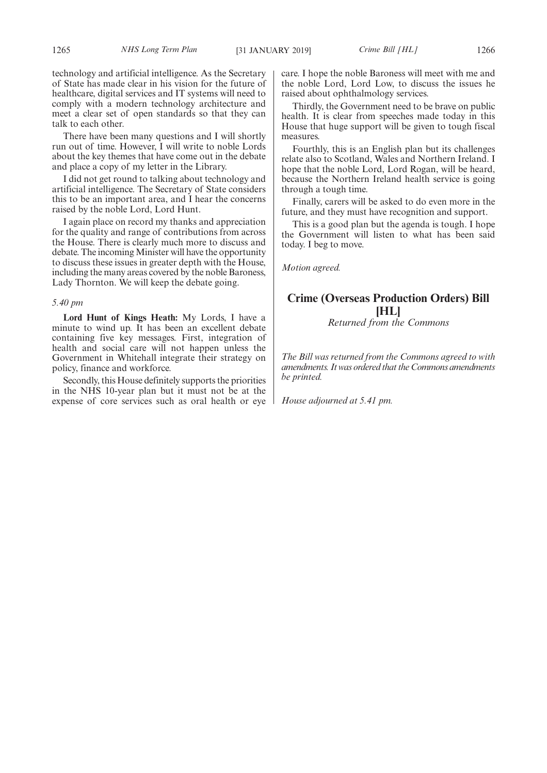technology and artificial intelligence. As the Secretary of State has made clear in his vision for the future of healthcare, digital services and IT systems will need to comply with a modern technology architecture and meet a clear set of open standards so that they can talk to each other.

There have been many questions and I will shortly run out of time. However, I will write to noble Lords about the key themes that have come out in the debate and place a copy of my letter in the Library.

I did not get round to talking about technology and artificial intelligence. The Secretary of State considers this to be an important area, and I hear the concerns raised by the noble Lord, Lord Hunt.

I again place on record my thanks and appreciation for the quality and range of contributions from across the House. There is clearly much more to discuss and debate. The incoming Minister will have the opportunity to discuss these issues in greater depth with the House, including the many areas covered by the noble Baroness, Lady Thornton. We will keep the debate going.

# *5.40 pm*

**Lord Hunt of Kings Heath:** My Lords, I have a minute to wind up. It has been an excellent debate containing five key messages. First, integration of health and social care will not happen unless the Government in Whitehall integrate their strategy on policy, finance and workforce.

Secondly, this House definitely supports the priorities in the NHS 10-year plan but it must not be at the expense of core services such as oral health or eye care. I hope the noble Baroness will meet with me and the noble Lord, Lord Low, to discuss the issues he raised about ophthalmology services.

Thirdly, the Government need to be brave on public health. It is clear from speeches made today in this House that huge support will be given to tough fiscal measures.

Fourthly, this is an English plan but its challenges relate also to Scotland, Wales and Northern Ireland. I hope that the noble Lord, Lord Rogan, will be heard, because the Northern Ireland health service is going through a tough time.

Finally, carers will be asked to do even more in the future, and they must have recognition and support.

This is a good plan but the agenda is tough. I hope the Government will listen to what has been said today. I beg to move.

*Motion agreed.*

# **Crime (Overseas Production Orders) Bill [HL]**

*Returned from the Commons*

*The Bill was returned from the Commons agreed to with amendments. It was ordered that the Commons amendments be printed.*

*House adjourned at 5.41 pm.*